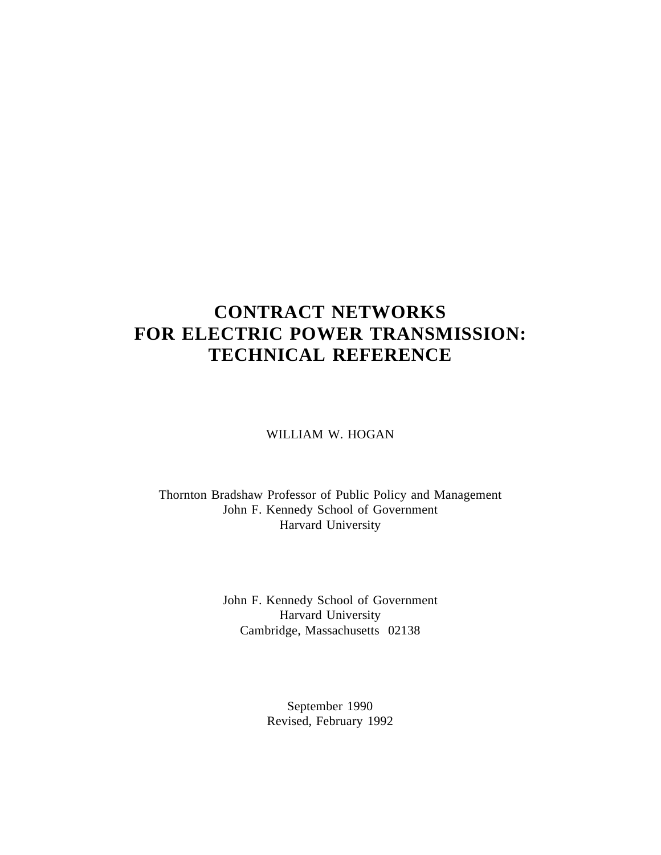# **CONTRACT NETWORKS FOR ELECTRIC POWER TRANSMISSION: TECHNICAL REFERENCE**

WILLIAM W. HOGAN

Thornton Bradshaw Professor of Public Policy and Management John F. Kennedy School of Government Harvard University

> John F. Kennedy School of Government Harvard University Cambridge, Massachusetts 02138

> > September 1990 Revised, February 1992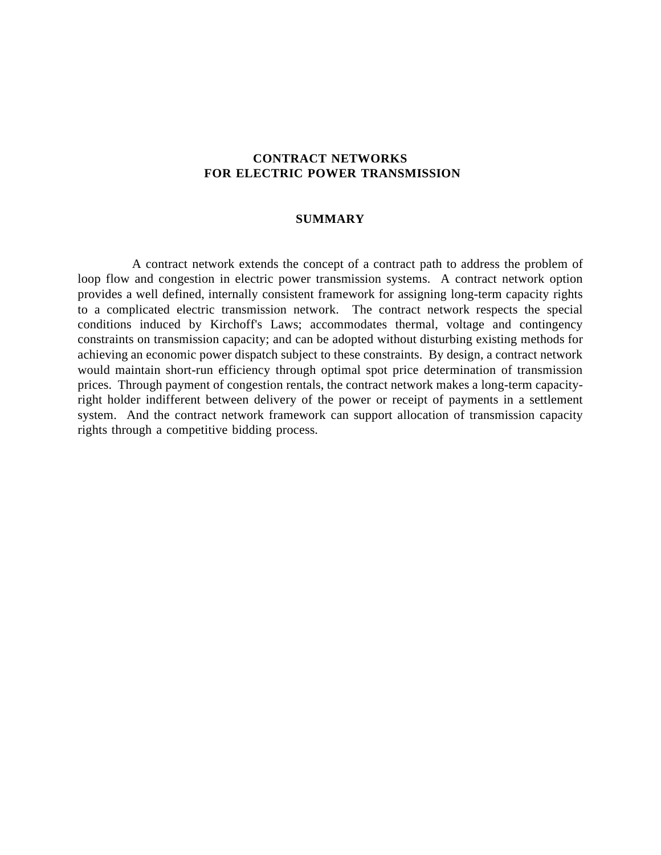## **CONTRACT NETWORKS FOR ELECTRIC POWER TRANSMISSION**

#### **SUMMARY**

A contract network extends the concept of a contract path to address the problem of loop flow and congestion in electric power transmission systems. A contract network option provides a well defined, internally consistent framework for assigning long-term capacity rights to a complicated electric transmission network. The contract network respects the special conditions induced by Kirchoff's Laws; accommodates thermal, voltage and contingency constraints on transmission capacity; and can be adopted without disturbing existing methods for achieving an economic power dispatch subject to these constraints. By design, a contract network would maintain short-run efficiency through optimal spot price determination of transmission prices. Through payment of congestion rentals, the contract network makes a long-term capacityright holder indifferent between delivery of the power or receipt of payments in a settlement system. And the contract network framework can support allocation of transmission capacity rights through a competitive bidding process.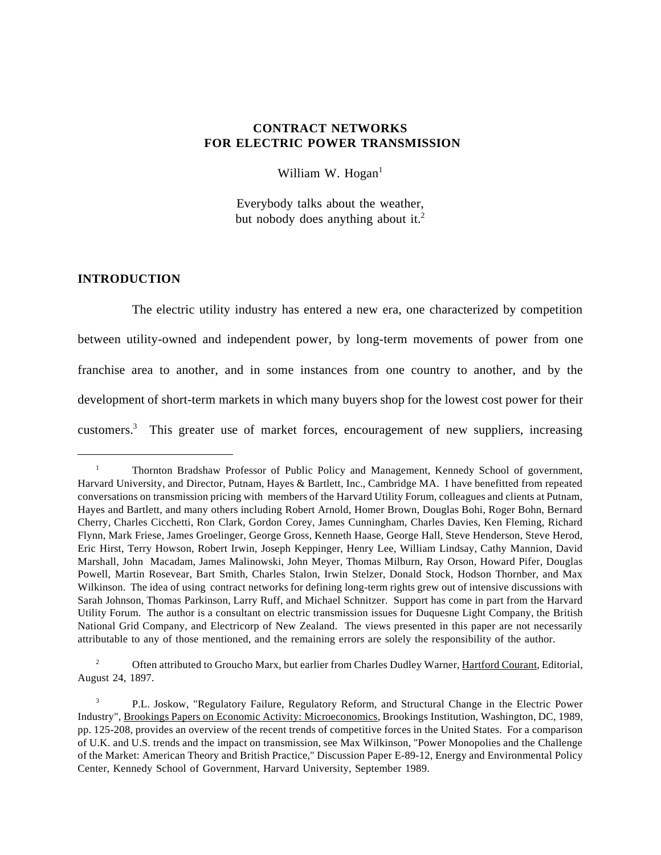# **CONTRACT NETWORKS FOR ELECTRIC POWER TRANSMISSION**

William W. Hogan $<sup>1</sup>$ </sup>

Everybody talks about the weather, but nobody does anything about it.<sup>2</sup>

#### **INTRODUCTION**

 $\overline{a}$ 

The electric utility industry has entered a new era, one characterized by competition between utility-owned and independent power, by long-term movements of power from one franchise area to another, and in some instances from one country to another, and by the development of short-term markets in which many buyers shop for the lowest cost power for their customers.<sup>3</sup> This greater use of market forces, encouragement of new suppliers, increasing

<sup>&</sup>lt;sup>1</sup> Thornton Bradshaw Professor of Public Policy and Management, Kennedy School of government, Harvard University, and Director, Putnam, Hayes & Bartlett, Inc., Cambridge MA. I have benefitted from repeated conversations on transmission pricing with members of the Harvard Utility Forum, colleagues and clients at Putnam, Hayes and Bartlett, and many others including Robert Arnold, Homer Brown, Douglas Bohi, Roger Bohn, Bernard Cherry, Charles Cicchetti, Ron Clark, Gordon Corey, James Cunningham, Charles Davies, Ken Fleming, Richard Flynn, Mark Friese, James Groelinger, George Gross, Kenneth Haase, George Hall, Steve Henderson, Steve Herod, Eric Hirst, Terry Howson, Robert Irwin, Joseph Keppinger, Henry Lee, William Lindsay, Cathy Mannion, David Marshall, John Macadam, James Malinowski, John Meyer, Thomas Milburn, Ray Orson, Howard Pifer, Douglas Powell, Martin Rosevear, Bart Smith, Charles Stalon, Irwin Stelzer, Donald Stock, Hodson Thornber, and Max Wilkinson. The idea of using contract networks for defining long-term rights grew out of intensive discussions with Sarah Johnson, Thomas Parkinson, Larry Ruff, and Michael Schnitzer. Support has come in part from the Harvard Utility Forum. The author is a consultant on electric transmission issues for Duquesne Light Company, the British National Grid Company, and Electricorp of New Zealand. The views presented in this paper are not necessarily attributable to any of those mentioned, and the remaining errors are solely the responsibility of the author.

<sup>&</sup>lt;sup>2</sup> Often attributed to Groucho Marx, but earlier from Charles Dudley Warner, *Hartford Courant*, Editorial, August 24, 1897.

 <sup>3</sup> P.L. Joskow, "Regulatory Failure, Regulatory Reform, and Structural Change in the Electric Power Industry", Brookings Papers on Economic Activity: Microeconomics, Brookings Institution, Washington, DC, 1989, pp. 125-208, provides an overview of the recent trends of competitive forces in the United States. For a comparison of U.K. and U.S. trends and the impact on transmission, see Max Wilkinson, "Power Monopolies and the Challenge of the Market: American Theory and British Practice," Discussion Paper E-89-12, Energy and Environmental Policy Center, Kennedy School of Government, Harvard University, September 1989.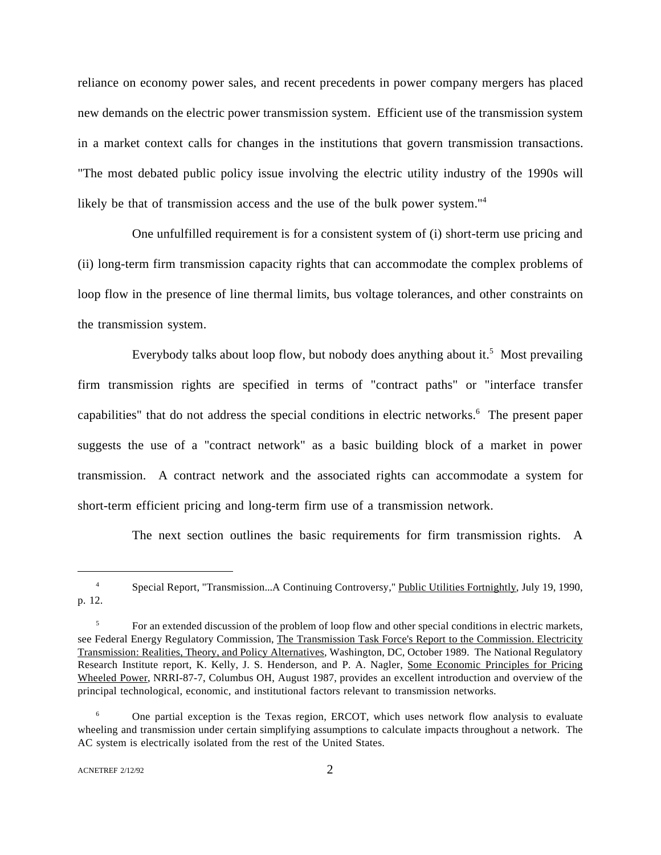reliance on economy power sales, and recent precedents in power company mergers has placed new demands on the electric power transmission system. Efficient use of the transmission system in a market context calls for changes in the institutions that govern transmission transactions. "The most debated public policy issue involving the electric utility industry of the 1990s will likely be that of transmission access and the use of the bulk power system.<sup>"4</sup>

One unfulfilled requirement is for a consistent system of (i) short-term use pricing and (ii) long-term firm transmission capacity rights that can accommodate the complex problems of loop flow in the presence of line thermal limits, bus voltage tolerances, and other constraints on the transmission system.

Everybody talks about loop flow, but nobody does anything about it.<sup>5</sup> Most prevailing firm transmission rights are specified in terms of "contract paths" or "interface transfer capabilities" that do not address the special conditions in electric networks.<sup>6</sup> The present paper suggests the use of a "contract network" as a basic building block of a market in power transmission. A contract network and the associated rights can accommodate a system for short-term efficient pricing and long-term firm use of a transmission network.

The next section outlines the basic requirements for firm transmission rights. A

 <sup>4</sup> Special Report, "Transmission...A Continuing Controversy," Public Utilities Fortnightly, July 19, 1990, p. 12.

<sup>&</sup>lt;sup>5</sup> For an extended discussion of the problem of loop flow and other special conditions in electric markets, see Federal Energy Regulatory Commission, The Transmission Task Force's Report to the Commission. Electricity Transmission: Realities, Theory, and Policy Alternatives, Washington, DC, October 1989. The National Regulatory Research Institute report, K. Kelly, J. S. Henderson, and P. A. Nagler, Some Economic Principles for Pricing Wheeled Power, NRRI-87-7, Columbus OH, August 1987, provides an excellent introduction and overview of the principal technological, economic, and institutional factors relevant to transmission networks.

<sup>&</sup>lt;sup>6</sup> One partial exception is the Texas region, ERCOT, which uses network flow analysis to evaluate wheeling and transmission under certain simplifying assumptions to calculate impacts throughout a network. The AC system is electrically isolated from the rest of the United States.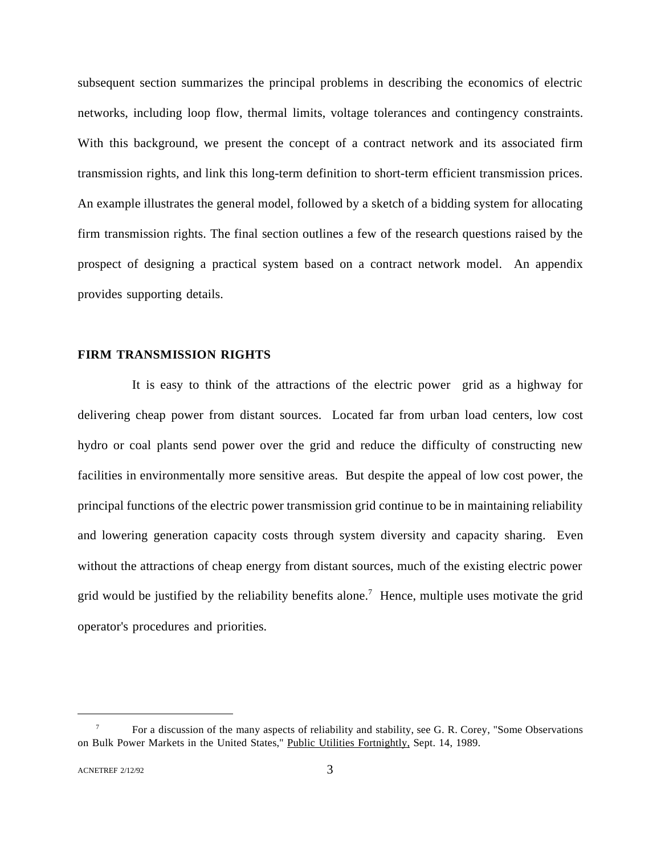subsequent section summarizes the principal problems in describing the economics of electric networks, including loop flow, thermal limits, voltage tolerances and contingency constraints. With this background, we present the concept of a contract network and its associated firm transmission rights, and link this long-term definition to short-term efficient transmission prices. An example illustrates the general model, followed by a sketch of a bidding system for allocating firm transmission rights. The final section outlines a few of the research questions raised by the prospect of designing a practical system based on a contract network model. An appendix provides supporting details.

#### **FIRM TRANSMISSION RIGHTS**

It is easy to think of the attractions of the electric power grid as a highway for delivering cheap power from distant sources. Located far from urban load centers, low cost hydro or coal plants send power over the grid and reduce the difficulty of constructing new facilities in environmentally more sensitive areas. But despite the appeal of low cost power, the principal functions of the electric power transmission grid continue to be in maintaining reliability and lowering generation capacity costs through system diversity and capacity sharing. Even without the attractions of cheap energy from distant sources, much of the existing electric power grid would be justified by the reliability benefits alone.<sup>7</sup> Hence, multiple uses motivate the grid operator's procedures and priorities.

 <sup>7</sup> For a discussion of the many aspects of reliability and stability, see G. R. Corey, "Some Observations on Bulk Power Markets in the United States," Public Utilities Fortnightly, Sept. 14, 1989.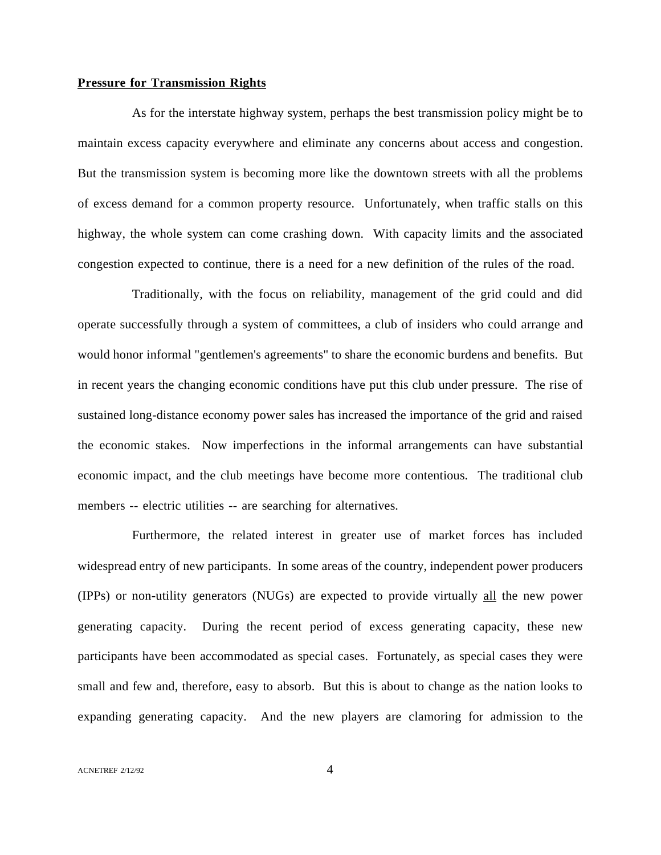## **Pressure for Transmission Rights**

As for the interstate highway system, perhaps the best transmission policy might be to maintain excess capacity everywhere and eliminate any concerns about access and congestion. But the transmission system is becoming more like the downtown streets with all the problems of excess demand for a common property resource. Unfortunately, when traffic stalls on this highway, the whole system can come crashing down. With capacity limits and the associated congestion expected to continue, there is a need for a new definition of the rules of the road.

Traditionally, with the focus on reliability, management of the grid could and did operate successfully through a system of committees, a club of insiders who could arrange and would honor informal "gentlemen's agreements" to share the economic burdens and benefits. But in recent years the changing economic conditions have put this club under pressure. The rise of sustained long-distance economy power sales has increased the importance of the grid and raised the economic stakes. Now imperfections in the informal arrangements can have substantial economic impact, and the club meetings have become more contentious. The traditional club members -- electric utilities -- are searching for alternatives.

Furthermore, the related interest in greater use of market forces has included widespread entry of new participants. In some areas of the country, independent power producers (IPPs) or non-utility generators (NUGs) are expected to provide virtually all the new power generating capacity. During the recent period of excess generating capacity, these new participants have been accommodated as special cases. Fortunately, as special cases they were small and few and, therefore, easy to absorb. But this is about to change as the nation looks to expanding generating capacity. And the new players are clamoring for admission to the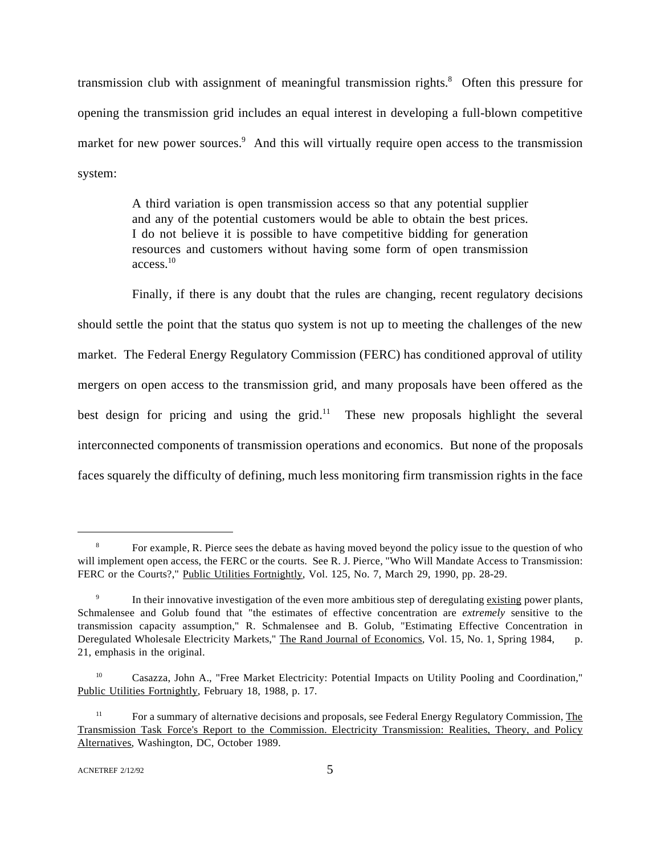transmission club with assignment of meaningful transmission rights.<sup>8</sup> Often this pressure for opening the transmission grid includes an equal interest in developing a full-blown competitive market for new power sources.<sup>9</sup> And this will virtually require open access to the transmission system:

> A third variation is open transmission access so that any potential supplier and any of the potential customers would be able to obtain the best prices. I do not believe it is possible to have competitive bidding for generation resources and customers without having some form of open transmission access.10

Finally, if there is any doubt that the rules are changing, recent regulatory decisions should settle the point that the status quo system is not up to meeting the challenges of the new market. The Federal Energy Regulatory Commission (FERC) has conditioned approval of utility mergers on open access to the transmission grid, and many proposals have been offered as the best design for pricing and using the grid.<sup>11</sup> These new proposals highlight the several interconnected components of transmission operations and economics. But none of the proposals faces squarely the difficulty of defining, much less monitoring firm transmission rights in the face

 <sup>8</sup> For example, R. Pierce sees the debate as having moved beyond the policy issue to the question of who will implement open access, the FERC or the courts. See R. J. Pierce, "Who Will Mandate Access to Transmission: FERC or the Courts?," Public Utilities Fortnightly, Vol. 125, No. 7, March 29, 1990, pp. 28-29.

In their innovative investigation of the even more ambitious step of deregulating existing power plants, Schmalensee and Golub found that "the estimates of effective concentration are *extremely* sensitive to the transmission capacity assumption," R. Schmalensee and B. Golub, "Estimating Effective Concentration in Deregulated Wholesale Electricity Markets," The Rand Journal of Economics, Vol. 15, No. 1, Spring 1984, p. 21, emphasis in the original.

 <sup>10</sup> Casazza, John A., "Free Market Electricity: Potential Impacts on Utility Pooling and Coordination," Public Utilities Fortnightly, February 18, 1988, p. 17.

<sup>&</sup>lt;sup>11</sup> For a summary of alternative decisions and proposals, see Federal Energy Regulatory Commission, The Transmission Task Force's Report to the Commission. Electricity Transmission: Realities, Theory, and Policy Alternatives, Washington, DC, October 1989.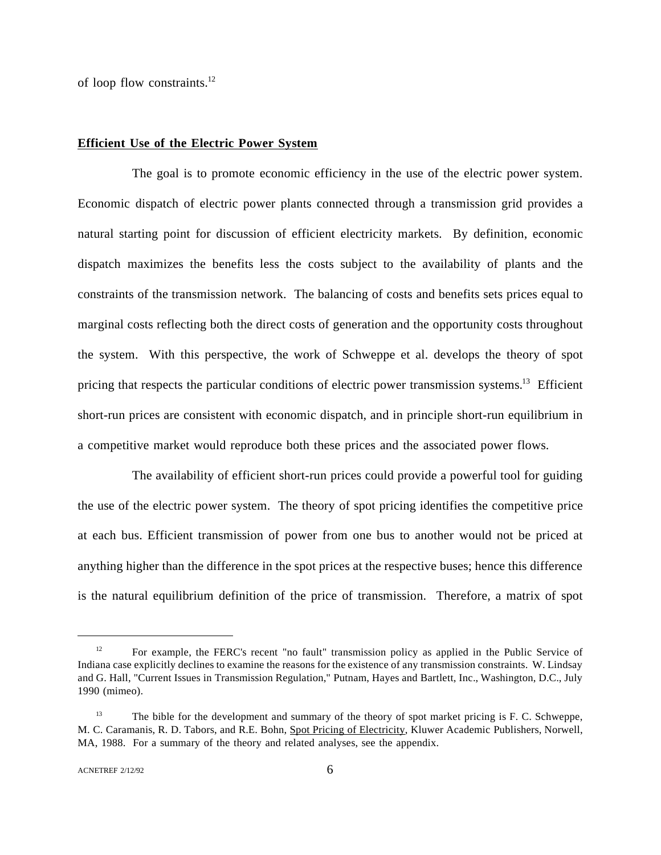of loop flow constraints.12

#### **Efficient Use of the Electric Power System**

The goal is to promote economic efficiency in the use of the electric power system. Economic dispatch of electric power plants connected through a transmission grid provides a natural starting point for discussion of efficient electricity markets. By definition, economic dispatch maximizes the benefits less the costs subject to the availability of plants and the constraints of the transmission network. The balancing of costs and benefits sets prices equal to marginal costs reflecting both the direct costs of generation and the opportunity costs throughout the system. With this perspective, the work of Schweppe et al. develops the theory of spot pricing that respects the particular conditions of electric power transmission systems.<sup>13</sup> Efficient short-run prices are consistent with economic dispatch, and in principle short-run equilibrium in a competitive market would reproduce both these prices and the associated power flows.

The availability of efficient short-run prices could provide a powerful tool for guiding the use of the electric power system. The theory of spot pricing identifies the competitive price at each bus. Efficient transmission of power from one bus to another would not be priced at anything higher than the difference in the spot prices at the respective buses; hence this difference is the natural equilibrium definition of the price of transmission. Therefore, a matrix of spot

<sup>&</sup>lt;sup>12</sup> For example, the FERC's recent "no fault" transmission policy as applied in the Public Service of Indiana case explicitly declines to examine the reasons for the existence of any transmission constraints. W. Lindsay and G. Hall, "Current Issues in Transmission Regulation," Putnam, Hayes and Bartlett, Inc., Washington, D.C., July 1990 (mimeo).

<sup>&</sup>lt;sup>13</sup> The bible for the development and summary of the theory of spot market pricing is F. C. Schweppe, M. C. Caramanis, R. D. Tabors, and R.E. Bohn, Spot Pricing of Electricity, Kluwer Academic Publishers, Norwell, MA, 1988. For a summary of the theory and related analyses, see the appendix.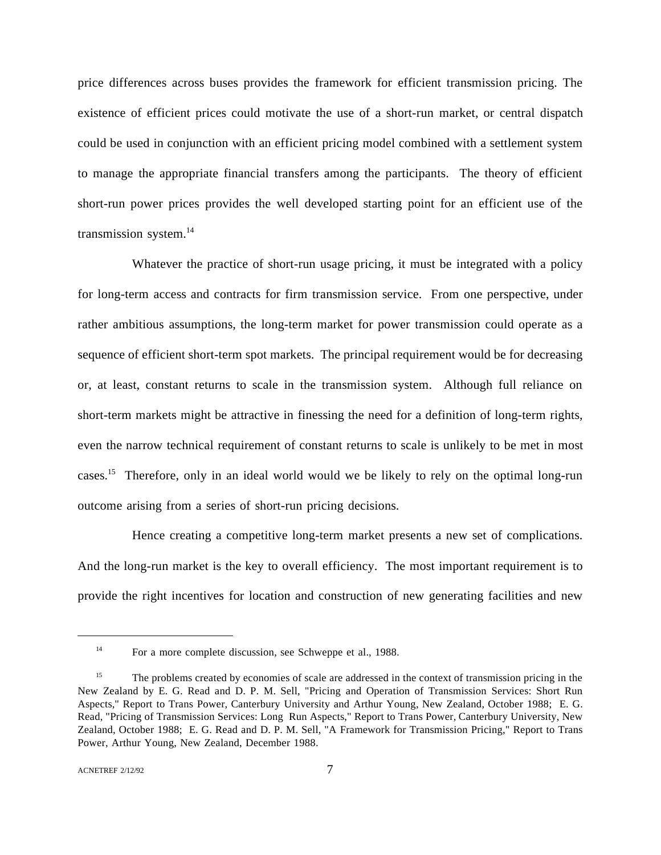price differences across buses provides the framework for efficient transmission pricing. The existence of efficient prices could motivate the use of a short-run market, or central dispatch could be used in conjunction with an efficient pricing model combined with a settlement system to manage the appropriate financial transfers among the participants. The theory of efficient short-run power prices provides the well developed starting point for an efficient use of the transmission system. $14$ 

Whatever the practice of short-run usage pricing, it must be integrated with a policy for long-term access and contracts for firm transmission service. From one perspective, under rather ambitious assumptions, the long-term market for power transmission could operate as a sequence of efficient short-term spot markets. The principal requirement would be for decreasing or, at least, constant returns to scale in the transmission system. Although full reliance on short-term markets might be attractive in finessing the need for a definition of long-term rights, even the narrow technical requirement of constant returns to scale is unlikely to be met in most cases.<sup>15</sup> Therefore, only in an ideal world would we be likely to rely on the optimal long-run outcome arising from a series of short-run pricing decisions.

Hence creating a competitive long-term market presents a new set of complications. And the long-run market is the key to overall efficiency. The most important requirement is to provide the right incentives for location and construction of new generating facilities and new

<sup>&</sup>lt;sup>14</sup> For a more complete discussion, see Schweppe et al., 1988.

<sup>&</sup>lt;sup>15</sup> The problems created by economies of scale are addressed in the context of transmission pricing in the New Zealand by E. G. Read and D. P. M. Sell, "Pricing and Operation of Transmission Services: Short Run Aspects," Report to Trans Power, Canterbury University and Arthur Young, New Zealand, October 1988; E. G. Read, "Pricing of Transmission Services: Long Run Aspects," Report to Trans Power, Canterbury University, New Zealand, October 1988; E. G. Read and D. P. M. Sell, "A Framework for Transmission Pricing," Report to Trans Power, Arthur Young, New Zealand, December 1988.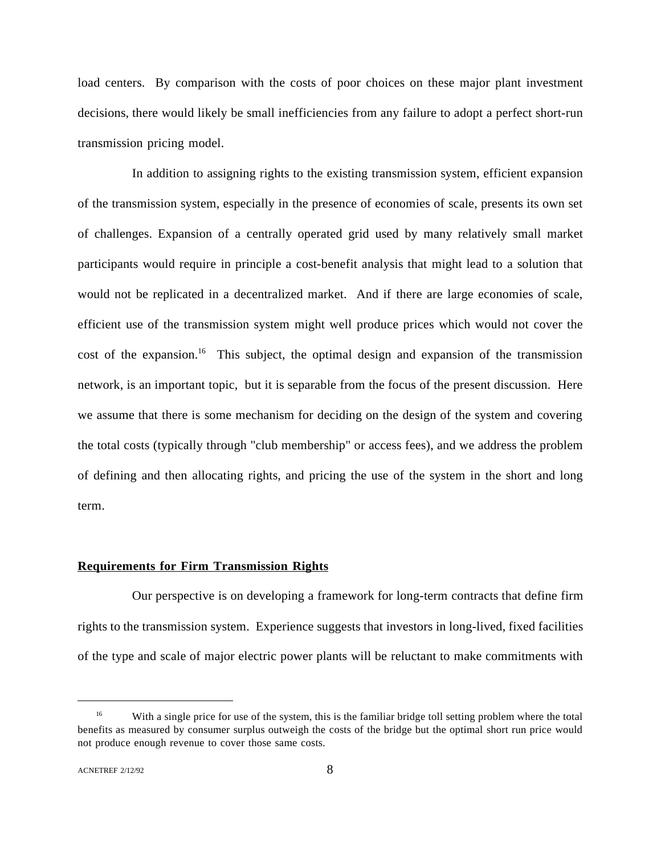load centers. By comparison with the costs of poor choices on these major plant investment decisions, there would likely be small inefficiencies from any failure to adopt a perfect short-run transmission pricing model.

In addition to assigning rights to the existing transmission system, efficient expansion of the transmission system, especially in the presence of economies of scale, presents its own set of challenges. Expansion of a centrally operated grid used by many relatively small market participants would require in principle a cost-benefit analysis that might lead to a solution that would not be replicated in a decentralized market. And if there are large economies of scale, efficient use of the transmission system might well produce prices which would not cover the cost of the expansion.<sup>16</sup> This subject, the optimal design and expansion of the transmission network, is an important topic, but it is separable from the focus of the present discussion. Here we assume that there is some mechanism for deciding on the design of the system and covering the total costs (typically through "club membership" or access fees), and we address the problem of defining and then allocating rights, and pricing the use of the system in the short and long term.

## **Requirements for Firm Transmission Rights**

Our perspective is on developing a framework for long-term contracts that define firm rights to the transmission system. Experience suggests that investors in long-lived, fixed facilities of the type and scale of major electric power plants will be reluctant to make commitments with

<sup>&</sup>lt;sup>16</sup> With a single price for use of the system, this is the familiar bridge toll setting problem where the total benefits as measured by consumer surplus outweigh the costs of the bridge but the optimal short run price would not produce enough revenue to cover those same costs.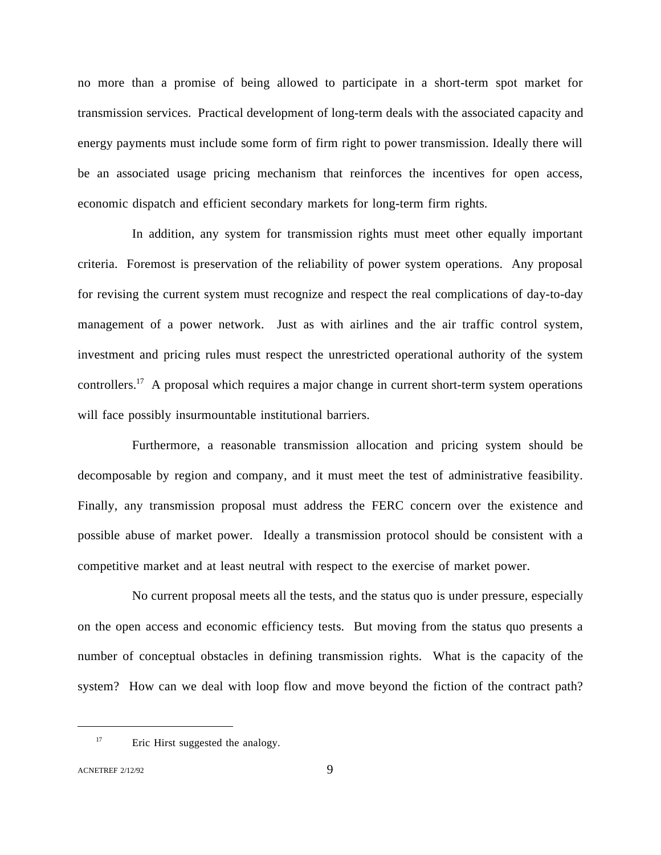no more than a promise of being allowed to participate in a short-term spot market for transmission services. Practical development of long-term deals with the associated capacity and energy payments must include some form of firm right to power transmission. Ideally there will be an associated usage pricing mechanism that reinforces the incentives for open access, economic dispatch and efficient secondary markets for long-term firm rights.

In addition, any system for transmission rights must meet other equally important criteria. Foremost is preservation of the reliability of power system operations. Any proposal for revising the current system must recognize and respect the real complications of day-to-day management of a power network. Just as with airlines and the air traffic control system, investment and pricing rules must respect the unrestricted operational authority of the system controllers.<sup>17</sup> A proposal which requires a major change in current short-term system operations will face possibly insurmountable institutional barriers.

Furthermore, a reasonable transmission allocation and pricing system should be decomposable by region and company, and it must meet the test of administrative feasibility. Finally, any transmission proposal must address the FERC concern over the existence and possible abuse of market power. Ideally a transmission protocol should be consistent with a competitive market and at least neutral with respect to the exercise of market power.

No current proposal meets all the tests, and the status quo is under pressure, especially on the open access and economic efficiency tests. But moving from the status quo presents a number of conceptual obstacles in defining transmission rights. What is the capacity of the system? How can we deal with loop flow and move beyond the fiction of the contract path?

<sup>&</sup>lt;sup>17</sup> Eric Hirst suggested the analogy.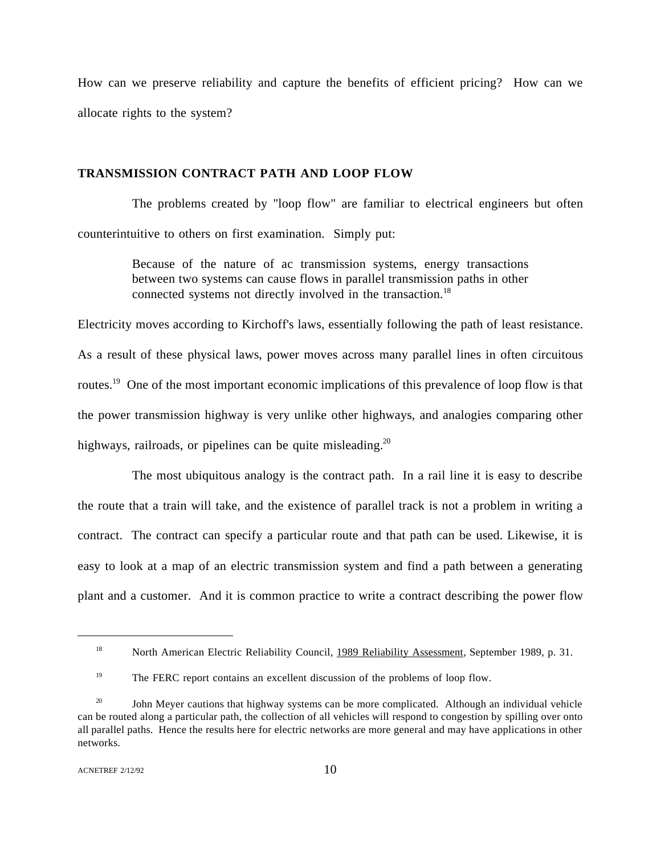How can we preserve reliability and capture the benefits of efficient pricing? How can we allocate rights to the system?

# **TRANSMISSION CONTRACT PATH AND LOOP FLOW**

The problems created by "loop flow" are familiar to electrical engineers but often counterintuitive to others on first examination. Simply put:

> Because of the nature of ac transmission systems, energy transactions between two systems can cause flows in parallel transmission paths in other connected systems not directly involved in the transaction.<sup>18</sup>

Electricity moves according to Kirchoff's laws, essentially following the path of least resistance. As a result of these physical laws, power moves across many parallel lines in often circuitous routes.<sup>19</sup> One of the most important economic implications of this prevalence of loop flow is that the power transmission highway is very unlike other highways, and analogies comparing other highways, railroads, or pipelines can be quite misleading.<sup>20</sup>

The most ubiquitous analogy is the contract path. In a rail line it is easy to describe the route that a train will take, and the existence of parallel track is not a problem in writing a contract. The contract can specify a particular route and that path can be used. Likewise, it is easy to look at a map of an electric transmission system and find a path between a generating plant and a customer. And it is common practice to write a contract describing the power flow

<sup>&</sup>lt;sup>18</sup> North American Electric Reliability Council, 1989 Reliability Assessment, September 1989, p. 31.

<sup>&</sup>lt;sup>19</sup> The FERC report contains an excellent discussion of the problems of loop flow.

John Meyer cautions that highway systems can be more complicated. Although an individual vehicle can be routed along a particular path, the collection of all vehicles will respond to congestion by spilling over onto all parallel paths. Hence the results here for electric networks are more general and may have applications in other networks.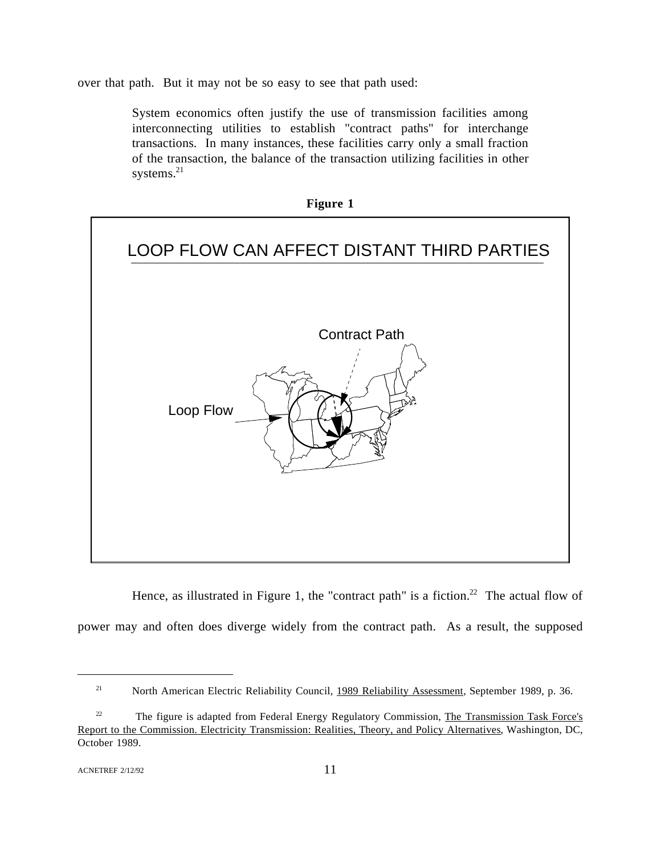over that path. But it may not be so easy to see that path used:

System economics often justify the use of transmission facilities among interconnecting utilities to establish "contract paths" for interchange transactions. In many instances, these facilities carry only a small fraction of the transaction, the balance of the transaction utilizing facilities in other systems.<sup>21</sup>



Hence, as illustrated in Figure 1, the "contract path" is a fiction.<sup>22</sup> The actual flow of power may and often does diverge widely from the contract path. As a result, the supposed

<sup>&</sup>lt;sup>21</sup> North American Electric Reliability Council, 1989 Reliability Assessment, September 1989, p. 36.

<sup>&</sup>lt;sup>22</sup> The figure is adapted from Federal Energy Regulatory Commission, The Transmission Task Force's Report to the Commission. Electricity Transmission: Realities, Theory, and Policy Alternatives, Washington, DC, October 1989.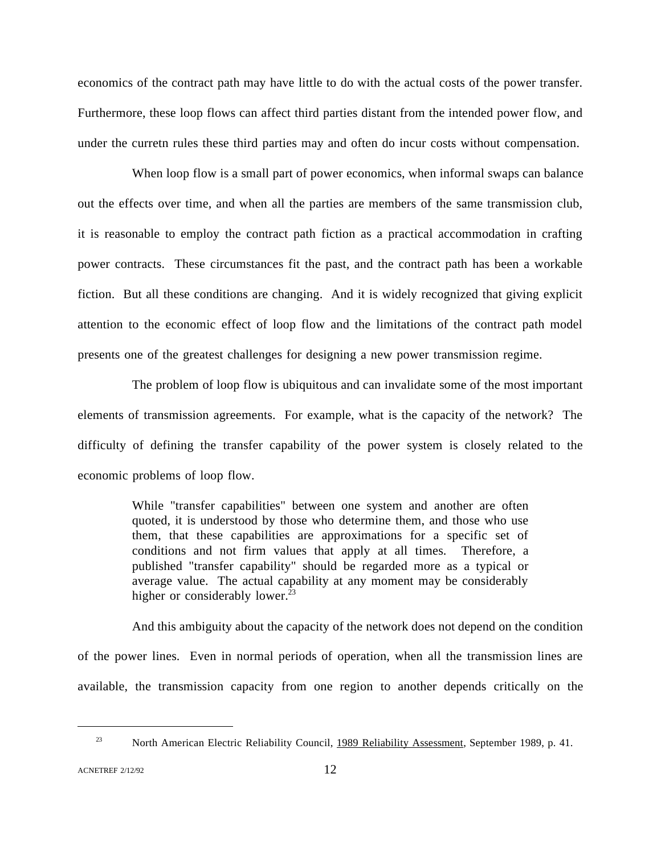economics of the contract path may have little to do with the actual costs of the power transfer. Furthermore, these loop flows can affect third parties distant from the intended power flow, and under the curretn rules these third parties may and often do incur costs without compensation.

When loop flow is a small part of power economics, when informal swaps can balance out the effects over time, and when all the parties are members of the same transmission club, it is reasonable to employ the contract path fiction as a practical accommodation in crafting power contracts. These circumstances fit the past, and the contract path has been a workable fiction. But all these conditions are changing. And it is widely recognized that giving explicit attention to the economic effect of loop flow and the limitations of the contract path model presents one of the greatest challenges for designing a new power transmission regime.

The problem of loop flow is ubiquitous and can invalidate some of the most important elements of transmission agreements. For example, what is the capacity of the network? The difficulty of defining the transfer capability of the power system is closely related to the economic problems of loop flow.

> While "transfer capabilities" between one system and another are often quoted, it is understood by those who determine them, and those who use them, that these capabilities are approximations for a specific set of conditions and not firm values that apply at all times. Therefore, a published "transfer capability" should be regarded more as a typical or average value. The actual capability at any moment may be considerably higher or considerably lower.<sup>23</sup>

 And this ambiguity about the capacity of the network does not depend on the condition of the power lines. Even in normal periods of operation, when all the transmission lines are available, the transmission capacity from one region to another depends critically on the

<sup>&</sup>lt;sup>23</sup> North American Electric Reliability Council, 1989 Reliability Assessment, September 1989, p. 41.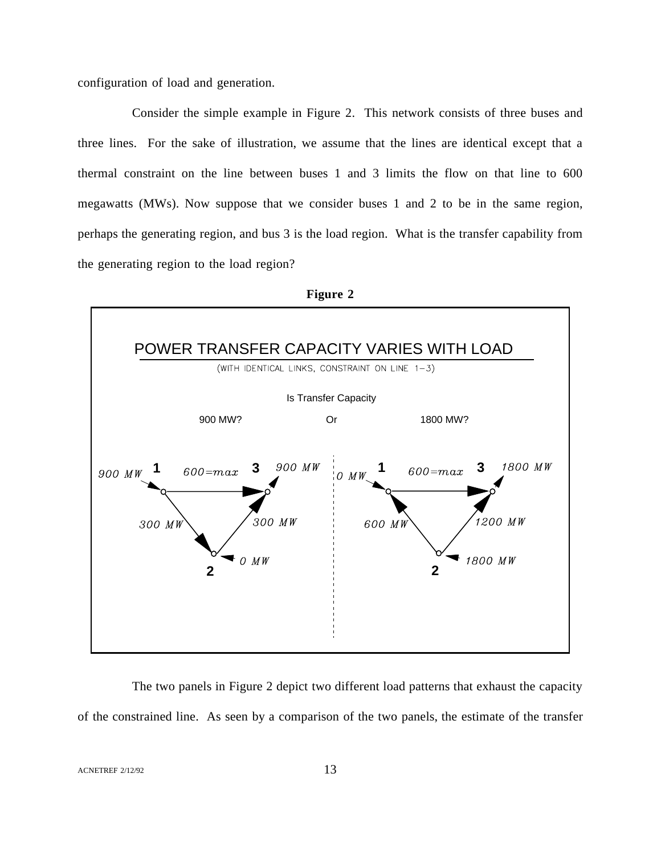configuration of load and generation.

Consider the simple example in Figure 2. This network consists of three buses and three lines. For the sake of illustration, we assume that the lines are identical except that a thermal constraint on the line between buses 1 and 3 limits the flow on that line to 600 megawatts (MWs). Now suppose that we consider buses 1 and 2 to be in the same region, perhaps the generating region, and bus 3 is the load region. What is the transfer capability from the generating region to the load region?



**Figure 2**

The two panels in Figure 2 depict two different load patterns that exhaust the capacity of the constrained line. As seen by a comparison of the two panels, the estimate of the transfer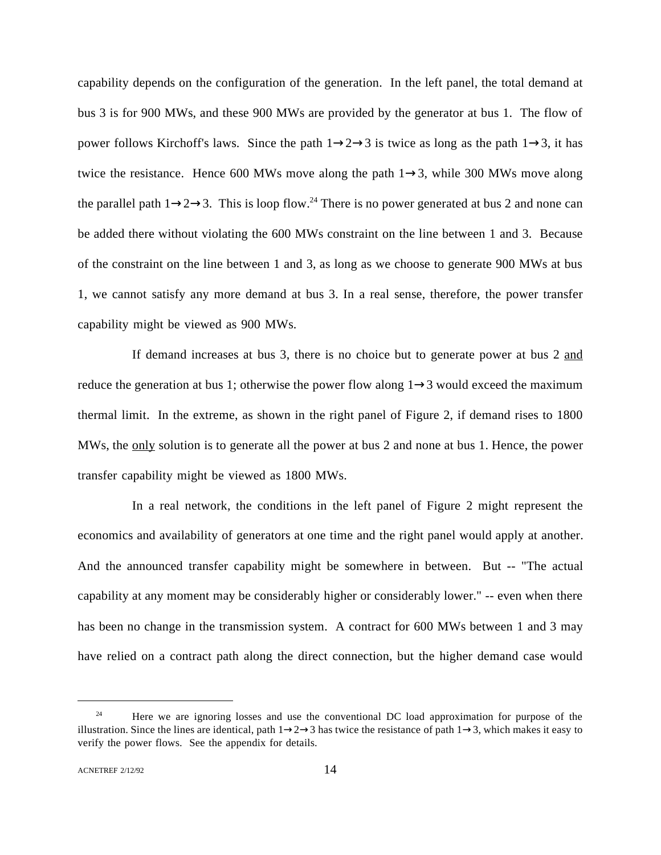capability depends on the configuration of the generation. In the left panel, the total demand at bus 3 is for 900 MWs, and these 900 MWs are provided by the generator at bus 1. The flow of power follows Kirchoff's laws. Since the path  $1\rightarrow 2\rightarrow 3$  is twice as long as the path  $1\rightarrow 3$ , it has twice the resistance. Hence 600 MWs move along the path  $1\rightarrow 3$ , while 300 MWs move along the parallel path  $1\rightarrow 2\rightarrow 3$ . This is loop flow.<sup>24</sup> There is no power generated at bus 2 and none can be added there without violating the 600 MWs constraint on the line between 1 and 3. Because of the constraint on the line between 1 and 3, as long as we choose to generate 900 MWs at bus 1, we cannot satisfy any more demand at bus 3. In a real sense, therefore, the power transfer capability might be viewed as 900 MWs.

If demand increases at bus 3, there is no choice but to generate power at bus 2 and reduce the generation at bus 1; otherwise the power flow along  $1\rightarrow 3$  would exceed the maximum thermal limit. In the extreme, as shown in the right panel of Figure 2, if demand rises to 1800 MWs, the only solution is to generate all the power at bus 2 and none at bus 1. Hence, the power transfer capability might be viewed as 1800 MWs.

In a real network, the conditions in the left panel of Figure 2 might represent the economics and availability of generators at one time and the right panel would apply at another. And the announced transfer capability might be somewhere in between. But -- "The actual capability at any moment may be considerably higher or considerably lower." -- even when there has been no change in the transmission system. A contract for 600 MWs between 1 and 3 may have relied on a contract path along the direct connection, but the higher demand case would

<sup>&</sup>lt;sup>24</sup> Here we are ignoring losses and use the conventional DC load approximation for purpose of the illustration. Since the lines are identical, path  $1\rightarrow 2\rightarrow 3$  has twice the resistance of path  $1\rightarrow 3$ , which makes it easy to verify the power flows. See the appendix for details.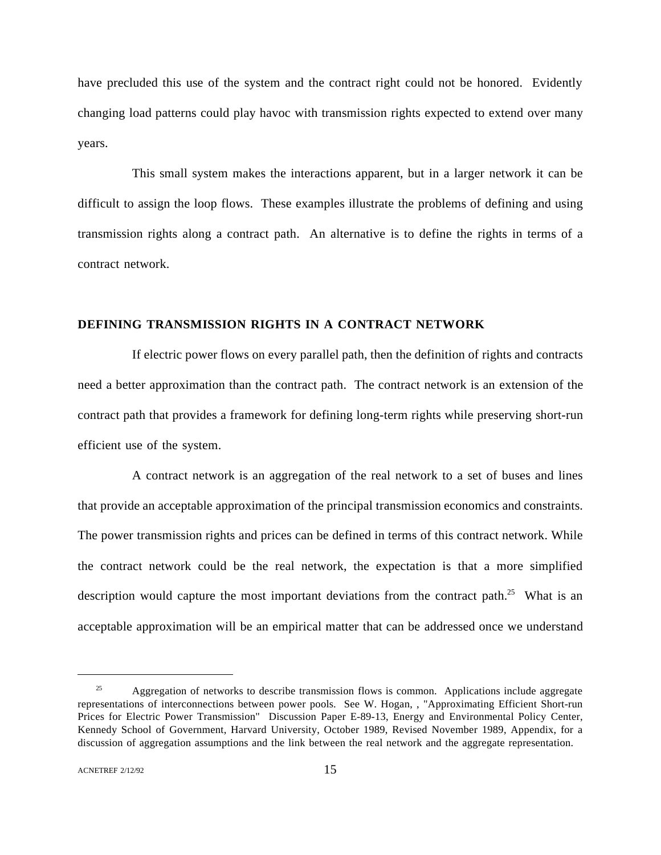have precluded this use of the system and the contract right could not be honored. Evidently changing load patterns could play havoc with transmission rights expected to extend over many years.

This small system makes the interactions apparent, but in a larger network it can be difficult to assign the loop flows. These examples illustrate the problems of defining and using transmission rights along a contract path. An alternative is to define the rights in terms of a contract network.

# **DEFINING TRANSMISSION RIGHTS IN A CONTRACT NETWORK**

If electric power flows on every parallel path, then the definition of rights and contracts need a better approximation than the contract path. The contract network is an extension of the contract path that provides a framework for defining long-term rights while preserving short-run efficient use of the system.

A contract network is an aggregation of the real network to a set of buses and lines that provide an acceptable approximation of the principal transmission economics and constraints. The power transmission rights and prices can be defined in terms of this contract network. While the contract network could be the real network, the expectation is that a more simplified description would capture the most important deviations from the contract path.<sup>25</sup> What is an acceptable approximation will be an empirical matter that can be addressed once we understand

 $25$  Aggregation of networks to describe transmission flows is common. Applications include aggregate representations of interconnections between power pools. See W. Hogan, , "Approximating Efficient Short-run Prices for Electric Power Transmission" Discussion Paper E-89-13, Energy and Environmental Policy Center, Kennedy School of Government, Harvard University, October 1989, Revised November 1989, Appendix, for a discussion of aggregation assumptions and the link between the real network and the aggregate representation.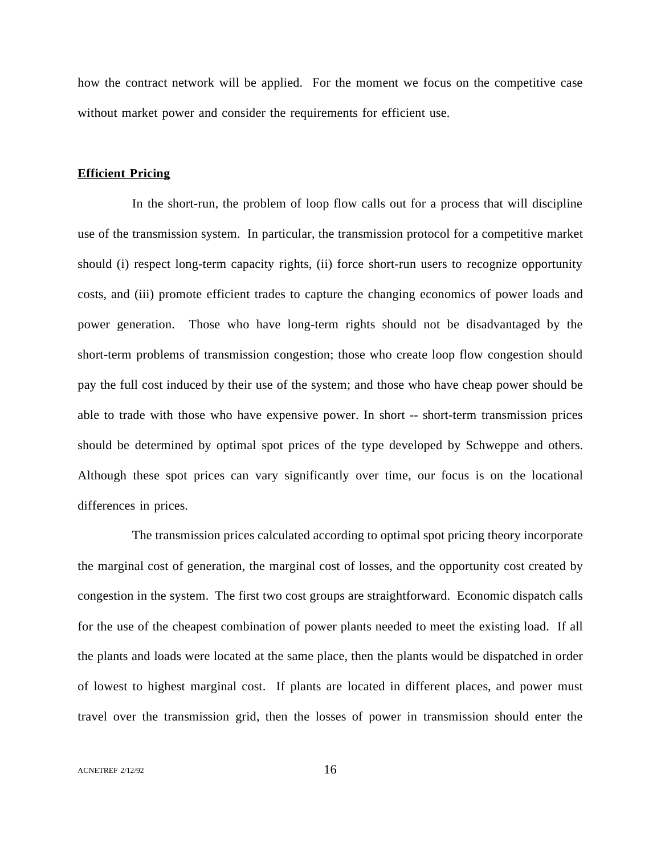how the contract network will be applied. For the moment we focus on the competitive case without market power and consider the requirements for efficient use.

#### **Efficient Pricing**

In the short-run, the problem of loop flow calls out for a process that will discipline use of the transmission system. In particular, the transmission protocol for a competitive market should (i) respect long-term capacity rights, (ii) force short-run users to recognize opportunity costs, and (iii) promote efficient trades to capture the changing economics of power loads and power generation. Those who have long-term rights should not be disadvantaged by the short-term problems of transmission congestion; those who create loop flow congestion should pay the full cost induced by their use of the system; and those who have cheap power should be able to trade with those who have expensive power. In short -- short-term transmission prices should be determined by optimal spot prices of the type developed by Schweppe and others. Although these spot prices can vary significantly over time, our focus is on the locational differences in prices.

The transmission prices calculated according to optimal spot pricing theory incorporate the marginal cost of generation, the marginal cost of losses, and the opportunity cost created by congestion in the system. The first two cost groups are straightforward. Economic dispatch calls for the use of the cheapest combination of power plants needed to meet the existing load. If all the plants and loads were located at the same place, then the plants would be dispatched in order of lowest to highest marginal cost. If plants are located in different places, and power must travel over the transmission grid, then the losses of power in transmission should enter the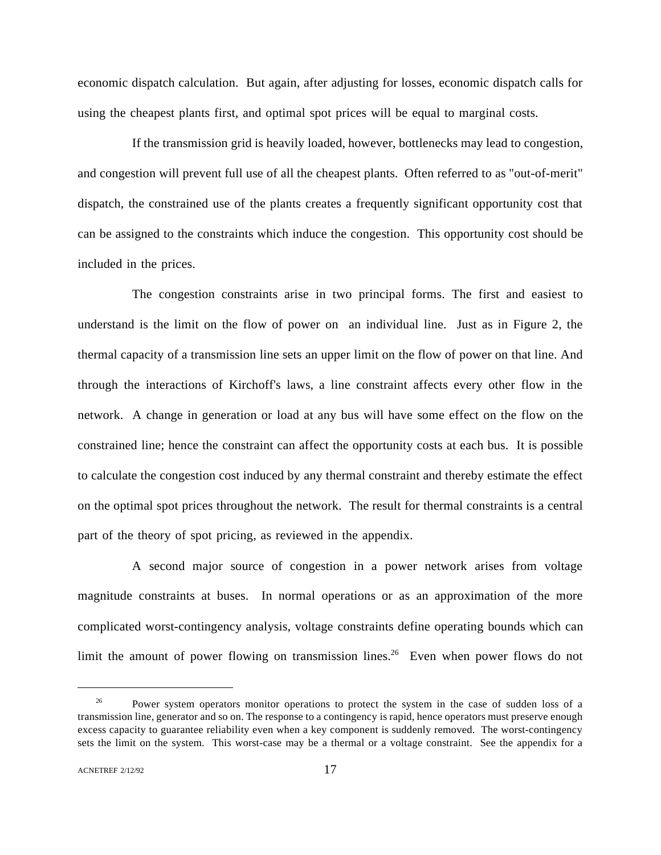economic dispatch calculation. But again, after adjusting for losses, economic dispatch calls for using the cheapest plants first, and optimal spot prices will be equal to marginal costs.

If the transmission grid is heavily loaded, however, bottlenecks may lead to congestion, and congestion will prevent full use of all the cheapest plants. Often referred to as "out-of-merit" dispatch, the constrained use of the plants creates a frequently significant opportunity cost that can be assigned to the constraints which induce the congestion. This opportunity cost should be included in the prices.

The congestion constraints arise in two principal forms. The first and easiest to understand is the limit on the flow of power on an individual line. Just as in Figure 2, the thermal capacity of a transmission line sets an upper limit on the flow of power on that line. And through the interactions of Kirchoff's laws, a line constraint affects every other flow in the network. A change in generation or load at any bus will have some effect on the flow on the constrained line; hence the constraint can affect the opportunity costs at each bus. It is possible to calculate the congestion cost induced by any thermal constraint and thereby estimate the effect on the optimal spot prices throughout the network. The result for thermal constraints is a central part of the theory of spot pricing, as reviewed in the appendix.

A second major source of congestion in a power network arises from voltage magnitude constraints at buses. In normal operations or as an approximation of the more complicated worst-contingency analysis, voltage constraints define operating bounds which can limit the amount of power flowing on transmission lines.<sup>26</sup> Even when power flows do not

<sup>&</sup>lt;sup>26</sup> Power system operators monitor operations to protect the system in the case of sudden loss of a transmission line, generator and so on. The response to a contingency is rapid, hence operators must preserve enough excess capacity to guarantee reliability even when a key component is suddenly removed. The worst-contingency sets the limit on the system. This worst-case may be a thermal or a voltage constraint. See the appendix for a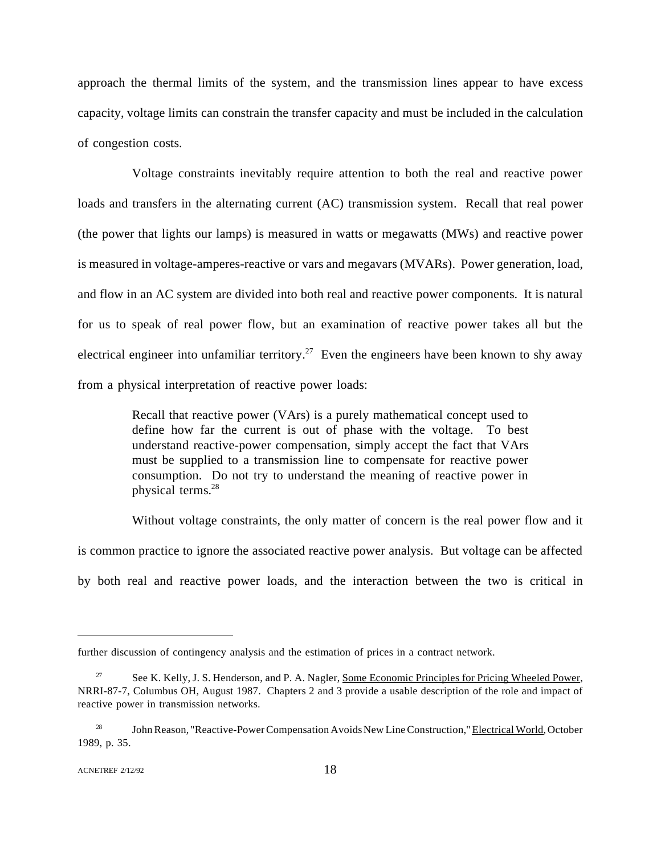approach the thermal limits of the system, and the transmission lines appear to have excess capacity, voltage limits can constrain the transfer capacity and must be included in the calculation of congestion costs.

Voltage constraints inevitably require attention to both the real and reactive power loads and transfers in the alternating current (AC) transmission system. Recall that real power (the power that lights our lamps) is measured in watts or megawatts (MWs) and reactive power is measured in voltage-amperes-reactive or vars and megavars (MVARs). Power generation, load, and flow in an AC system are divided into both real and reactive power components. It is natural for us to speak of real power flow, but an examination of reactive power takes all but the electrical engineer into unfamiliar territory.<sup>27</sup> Even the engineers have been known to shy away from a physical interpretation of reactive power loads:

> Recall that reactive power (VArs) is a purely mathematical concept used to define how far the current is out of phase with the voltage. To best understand reactive-power compensation, simply accept the fact that VArs must be supplied to a transmission line to compensate for reactive power consumption. Do not try to understand the meaning of reactive power in physical terms.<sup>28</sup>

Without voltage constraints, the only matter of concern is the real power flow and it

is common practice to ignore the associated reactive power analysis. But voltage can be affected by both real and reactive power loads, and the interaction between the two is critical in

further discussion of contingency analysis and the estimation of prices in a contract network.

 <sup>27</sup> See K. Kelly, J. S. Henderson, and P. A. Nagler, Some Economic Principles for Pricing Wheeled Power, NRRI-87-7, Columbus OH, August 1987. Chapters 2 and 3 provide a usable description of the role and impact of reactive power in transmission networks.

<sup>&</sup>lt;sup>28</sup> John Reason, "Reactive-Power Compensation Avoids New Line Construction," Electrical World, October 1989, p. 35.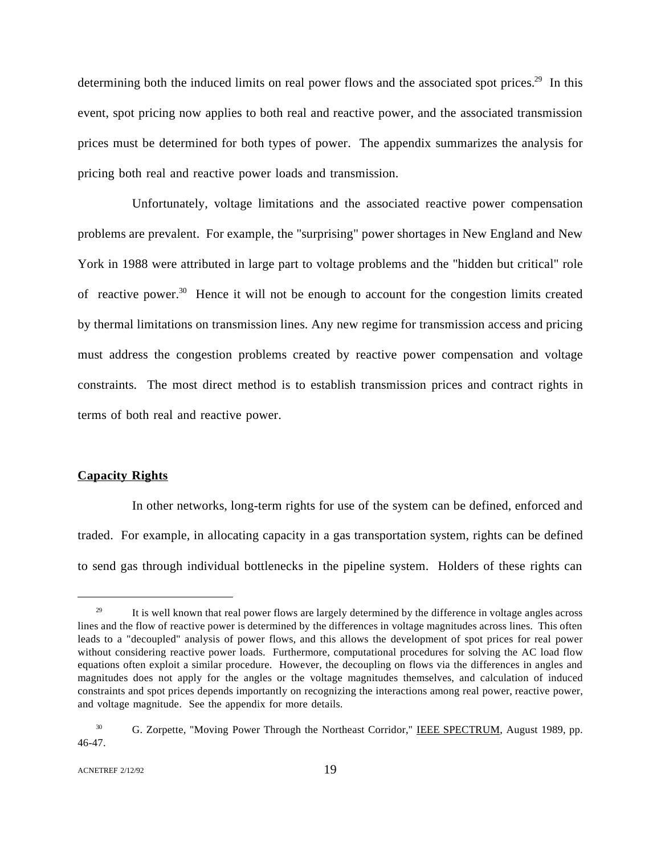determining both the induced limits on real power flows and the associated spot prices.<sup>29</sup> In this event, spot pricing now applies to both real and reactive power, and the associated transmission prices must be determined for both types of power. The appendix summarizes the analysis for pricing both real and reactive power loads and transmission.

Unfortunately, voltage limitations and the associated reactive power compensation problems are prevalent. For example, the "surprising" power shortages in New England and New York in 1988 were attributed in large part to voltage problems and the "hidden but critical" role of reactive power.<sup>30</sup> Hence it will not be enough to account for the congestion limits created by thermal limitations on transmission lines. Any new regime for transmission access and pricing must address the congestion problems created by reactive power compensation and voltage constraints. The most direct method is to establish transmission prices and contract rights in terms of both real and reactive power.

## **Capacity Rights**

In other networks, long-term rights for use of the system can be defined, enforced and traded. For example, in allocating capacity in a gas transportation system, rights can be defined to send gas through individual bottlenecks in the pipeline system. Holders of these rights can

<sup>&</sup>lt;sup>29</sup> It is well known that real power flows are largely determined by the difference in voltage angles across lines and the flow of reactive power is determined by the differences in voltage magnitudes across lines. This often leads to a "decoupled" analysis of power flows, and this allows the development of spot prices for real power without considering reactive power loads. Furthermore, computational procedures for solving the AC load flow equations often exploit a similar procedure. However, the decoupling on flows via the differences in angles and magnitudes does not apply for the angles or the voltage magnitudes themselves, and calculation of induced constraints and spot prices depends importantly on recognizing the interactions among real power, reactive power, and voltage magnitude. See the appendix for more details.

<sup>&</sup>lt;sup>30</sup> G. Zorpette, "Moving Power Through the Northeast Corridor," IEEE SPECTRUM, August 1989, pp. 46-47.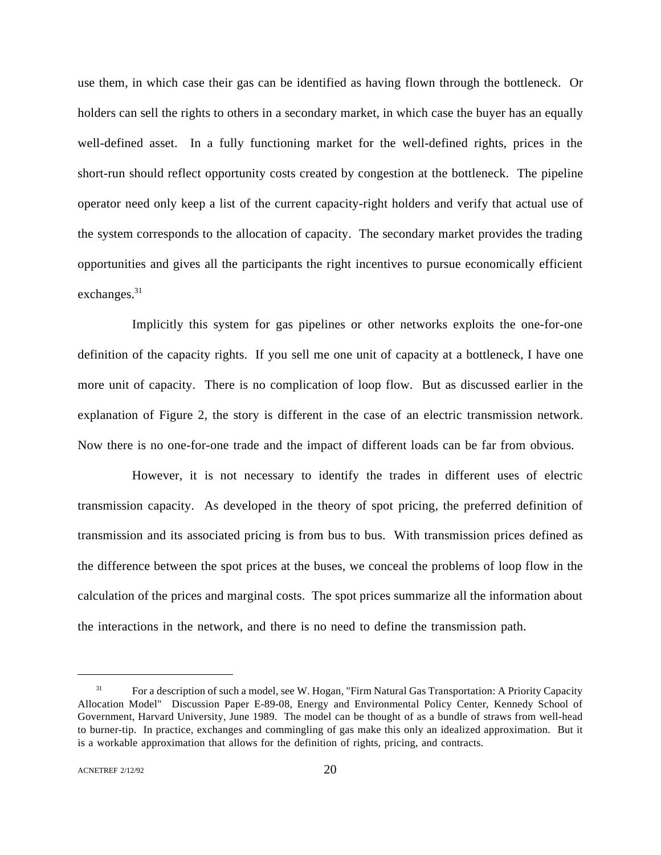use them, in which case their gas can be identified as having flown through the bottleneck. Or holders can sell the rights to others in a secondary market, in which case the buyer has an equally well-defined asset. In a fully functioning market for the well-defined rights, prices in the short-run should reflect opportunity costs created by congestion at the bottleneck. The pipeline operator need only keep a list of the current capacity-right holders and verify that actual use of the system corresponds to the allocation of capacity. The secondary market provides the trading opportunities and gives all the participants the right incentives to pursue economically efficient exchanges.<sup>31</sup>

Implicitly this system for gas pipelines or other networks exploits the one-for-one definition of the capacity rights. If you sell me one unit of capacity at a bottleneck, I have one more unit of capacity. There is no complication of loop flow. But as discussed earlier in the explanation of Figure 2, the story is different in the case of an electric transmission network. Now there is no one-for-one trade and the impact of different loads can be far from obvious.

However, it is not necessary to identify the trades in different uses of electric transmission capacity. As developed in the theory of spot pricing, the preferred definition of transmission and its associated pricing is from bus to bus. With transmission prices defined as the difference between the spot prices at the buses, we conceal the problems of loop flow in the calculation of the prices and marginal costs. The spot prices summarize all the information about the interactions in the network, and there is no need to define the transmission path.

<sup>&</sup>lt;sup>31</sup> For a description of such a model, see W. Hogan, "Firm Natural Gas Transportation: A Priority Capacity Allocation Model" Discussion Paper E-89-08, Energy and Environmental Policy Center, Kennedy School of Government, Harvard University, June 1989. The model can be thought of as a bundle of straws from well-head to burner-tip. In practice, exchanges and commingling of gas make this only an idealized approximation. But it is a workable approximation that allows for the definition of rights, pricing, and contracts.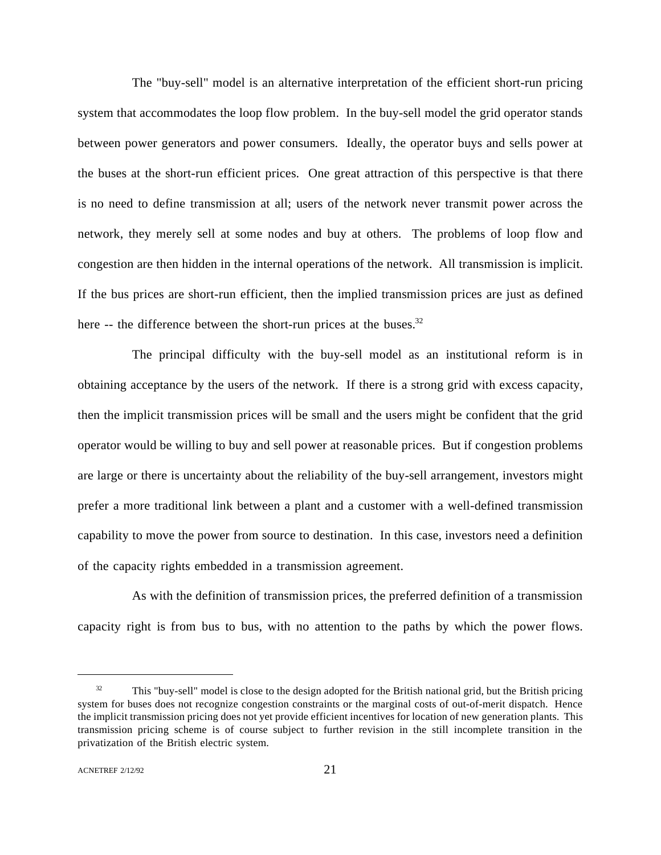The "buy-sell" model is an alternative interpretation of the efficient short-run pricing system that accommodates the loop flow problem. In the buy-sell model the grid operator stands between power generators and power consumers. Ideally, the operator buys and sells power at the buses at the short-run efficient prices. One great attraction of this perspective is that there is no need to define transmission at all; users of the network never transmit power across the network, they merely sell at some nodes and buy at others. The problems of loop flow and congestion are then hidden in the internal operations of the network. All transmission is implicit. If the bus prices are short-run efficient, then the implied transmission prices are just as defined here -- the difference between the short-run prices at the buses.<sup>32</sup>

The principal difficulty with the buy-sell model as an institutional reform is in obtaining acceptance by the users of the network. If there is a strong grid with excess capacity, then the implicit transmission prices will be small and the users might be confident that the grid operator would be willing to buy and sell power at reasonable prices. But if congestion problems are large or there is uncertainty about the reliability of the buy-sell arrangement, investors might prefer a more traditional link between a plant and a customer with a well-defined transmission capability to move the power from source to destination. In this case, investors need a definition of the capacity rights embedded in a transmission agreement.

As with the definition of transmission prices, the preferred definition of a transmission capacity right is from bus to bus, with no attention to the paths by which the power flows.

<sup>&</sup>lt;sup>32</sup> This "buy-sell" model is close to the design adopted for the British national grid, but the British pricing system for buses does not recognize congestion constraints or the marginal costs of out-of-merit dispatch. Hence the implicit transmission pricing does not yet provide efficient incentives for location of new generation plants. This transmission pricing scheme is of course subject to further revision in the still incomplete transition in the privatization of the British electric system.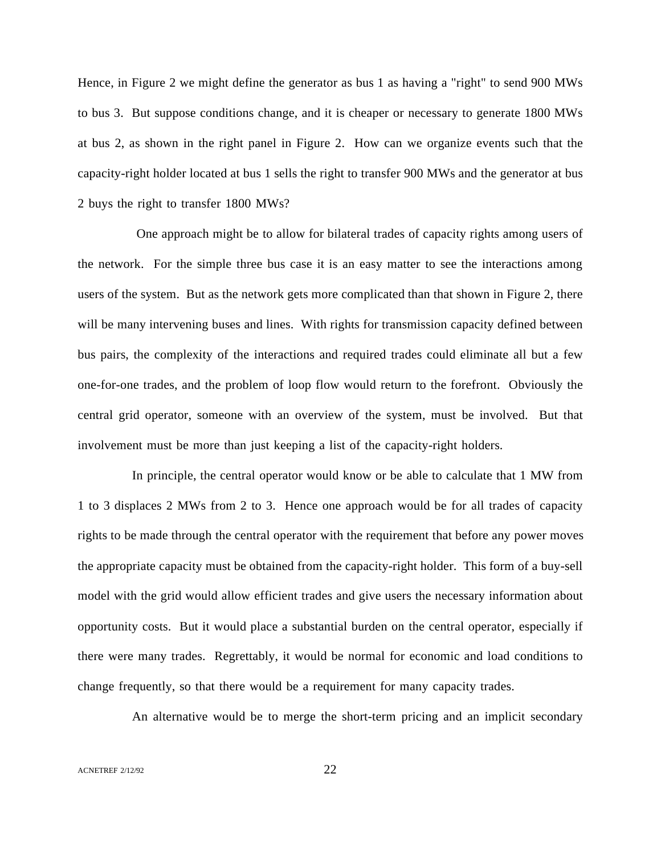Hence, in Figure 2 we might define the generator as bus 1 as having a "right" to send 900 MWs to bus 3. But suppose conditions change, and it is cheaper or necessary to generate 1800 MWs at bus 2, as shown in the right panel in Figure 2. How can we organize events such that the capacity-right holder located at bus 1 sells the right to transfer 900 MWs and the generator at bus 2 buys the right to transfer 1800 MWs?

 One approach might be to allow for bilateral trades of capacity rights among users of the network. For the simple three bus case it is an easy matter to see the interactions among users of the system. But as the network gets more complicated than that shown in Figure 2, there will be many intervening buses and lines. With rights for transmission capacity defined between bus pairs, the complexity of the interactions and required trades could eliminate all but a few one-for-one trades, and the problem of loop flow would return to the forefront. Obviously the central grid operator, someone with an overview of the system, must be involved. But that involvement must be more than just keeping a list of the capacity-right holders.

 In principle, the central operator would know or be able to calculate that 1 MW from 1 to 3 displaces 2 MWs from 2 to 3. Hence one approach would be for all trades of capacity rights to be made through the central operator with the requirement that before any power moves the appropriate capacity must be obtained from the capacity-right holder. This form of a buy-sell model with the grid would allow efficient trades and give users the necessary information about opportunity costs. But it would place a substantial burden on the central operator, especially if there were many trades. Regrettably, it would be normal for economic and load conditions to change frequently, so that there would be a requirement for many capacity trades.

An alternative would be to merge the short-term pricing and an implicit secondary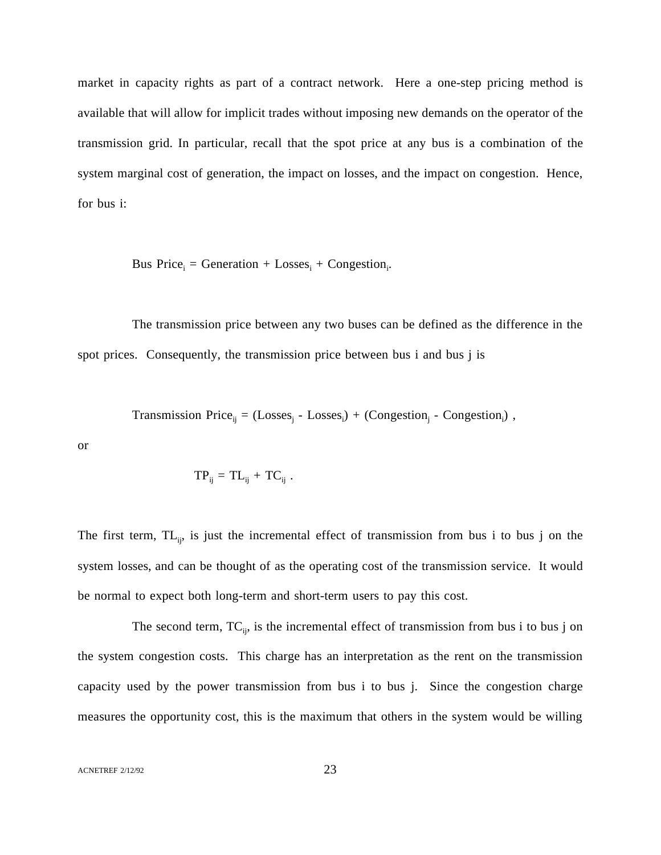market in capacity rights as part of a contract network. Here a one-step pricing method is available that will allow for implicit trades without imposing new demands on the operator of the transmission grid. In particular, recall that the spot price at any bus is a combination of the system marginal cost of generation, the impact on losses, and the impact on congestion. Hence, for bus i:

Bus Price<sub>i</sub> = Generation + Losses<sub>i</sub> + Congestion<sub>i</sub>.

The transmission price between any two buses can be defined as the difference in the spot prices. Consequently, the transmission price between bus i and bus j is

Transmission Price<sub>ij</sub> = (Losses<sub>j</sub> - Losses<sub>i</sub>) + (Congestion<sub>j</sub> - Congestion<sub>i</sub>),

or

$$
TP_{ij} = TL_{ij} + TC_{ij} .
$$

The first term,  $TL_{ii}$ , is just the incremental effect of transmission from bus i to bus j on the system losses, and can be thought of as the operating cost of the transmission service. It would be normal to expect both long-term and short-term users to pay this cost.

The second term,  $TC_{ii}$ , is the incremental effect of transmission from bus i to bus j on the system congestion costs. This charge has an interpretation as the rent on the transmission capacity used by the power transmission from bus i to bus j. Since the congestion charge measures the opportunity cost, this is the maximum that others in the system would be willing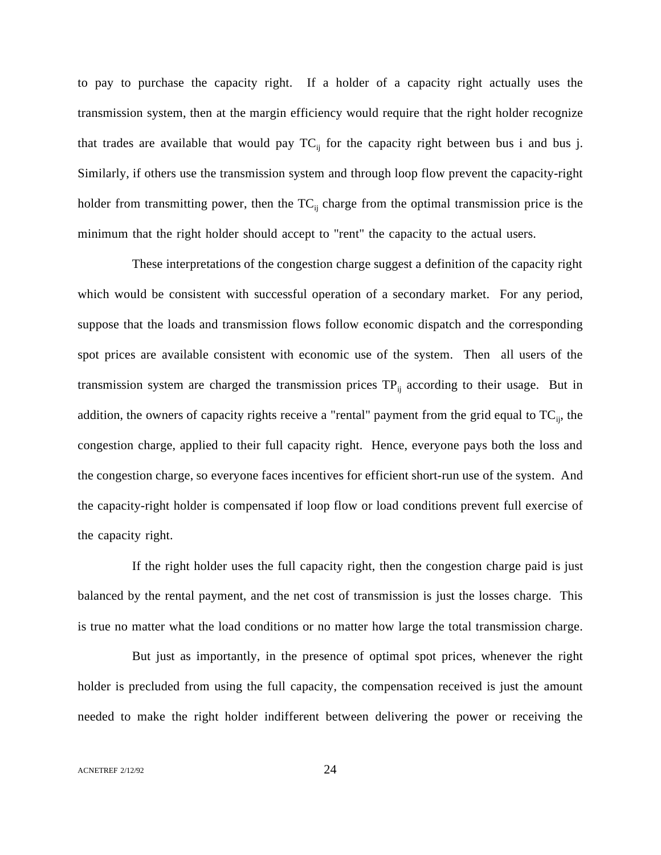to pay to purchase the capacity right. If a holder of a capacity right actually uses the transmission system, then at the margin efficiency would require that the right holder recognize that trades are available that would pay  $TC_{ii}$  for the capacity right between bus i and bus j. Similarly, if others use the transmission system and through loop flow prevent the capacity-right holder from transmitting power, then the  $TC_{ii}$  charge from the optimal transmission price is the minimum that the right holder should accept to "rent" the capacity to the actual users.

These interpretations of the congestion charge suggest a definition of the capacity right which would be consistent with successful operation of a secondary market. For any period, suppose that the loads and transmission flows follow economic dispatch and the corresponding spot prices are available consistent with economic use of the system. Then all users of the transmission system are charged the transmission prices  $TP_{ii}$  according to their usage. But in addition, the owners of capacity rights receive a "rental" payment from the grid equal to  $TC_{ij}$ , the congestion charge, applied to their full capacity right. Hence, everyone pays both the loss and the congestion charge, so everyone faces incentives for efficient short-run use of the system. And the capacity-right holder is compensated if loop flow or load conditions prevent full exercise of the capacity right.

If the right holder uses the full capacity right, then the congestion charge paid is just balanced by the rental payment, and the net cost of transmission is just the losses charge. This is true no matter what the load conditions or no matter how large the total transmission charge.

But just as importantly, in the presence of optimal spot prices, whenever the right holder is precluded from using the full capacity, the compensation received is just the amount needed to make the right holder indifferent between delivering the power or receiving the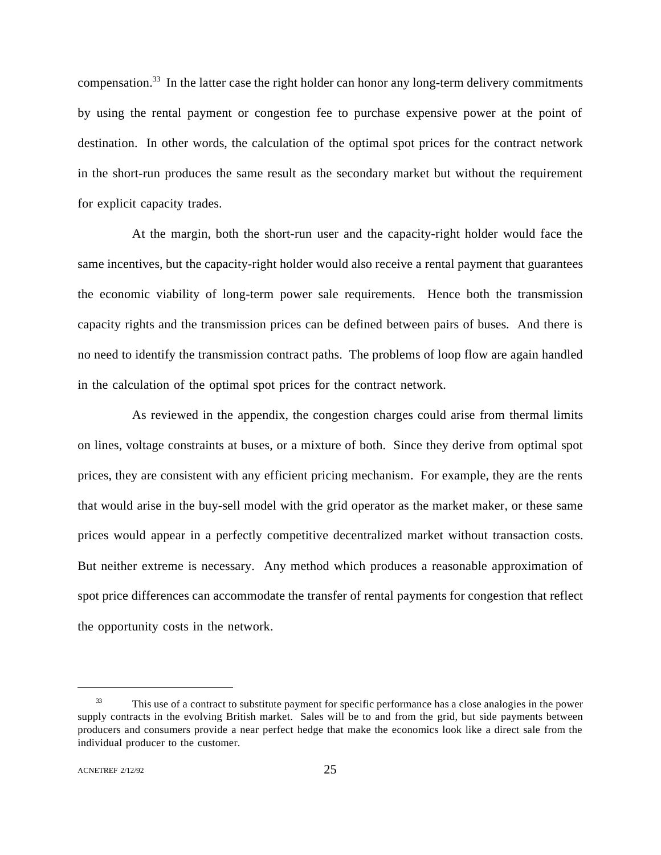compensation.33 In the latter case the right holder can honor any long-term delivery commitments by using the rental payment or congestion fee to purchase expensive power at the point of destination. In other words, the calculation of the optimal spot prices for the contract network in the short-run produces the same result as the secondary market but without the requirement for explicit capacity trades.

At the margin, both the short-run user and the capacity-right holder would face the same incentives, but the capacity-right holder would also receive a rental payment that guarantees the economic viability of long-term power sale requirements. Hence both the transmission capacity rights and the transmission prices can be defined between pairs of buses. And there is no need to identify the transmission contract paths. The problems of loop flow are again handled in the calculation of the optimal spot prices for the contract network.

As reviewed in the appendix, the congestion charges could arise from thermal limits on lines, voltage constraints at buses, or a mixture of both. Since they derive from optimal spot prices, they are consistent with any efficient pricing mechanism. For example, they are the rents that would arise in the buy-sell model with the grid operator as the market maker, or these same prices would appear in a perfectly competitive decentralized market without transaction costs. But neither extreme is necessary. Any method which produces a reasonable approximation of spot price differences can accommodate the transfer of rental payments for congestion that reflect the opportunity costs in the network.

This use of a contract to substitute payment for specific performance has a close analogies in the power supply contracts in the evolving British market. Sales will be to and from the grid, but side payments between producers and consumers provide a near perfect hedge that make the economics look like a direct sale from the individual producer to the customer.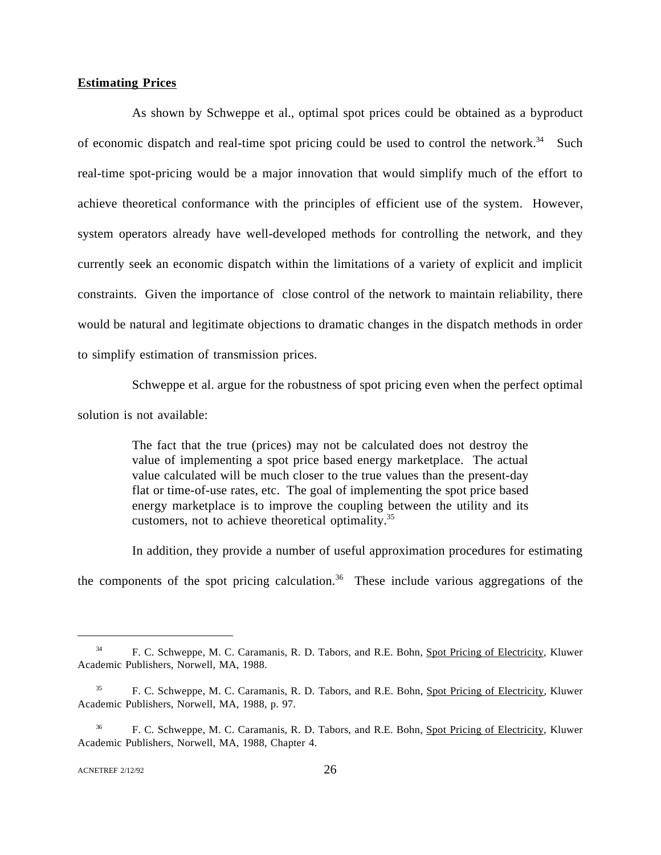## **Estimating Prices**

As shown by Schweppe et al., optimal spot prices could be obtained as a byproduct of economic dispatch and real-time spot pricing could be used to control the network.<sup>34</sup> Such real-time spot-pricing would be a major innovation that would simplify much of the effort to achieve theoretical conformance with the principles of efficient use of the system. However, system operators already have well-developed methods for controlling the network, and they currently seek an economic dispatch within the limitations of a variety of explicit and implicit constraints. Given the importance of close control of the network to maintain reliability, there would be natural and legitimate objections to dramatic changes in the dispatch methods in order to simplify estimation of transmission prices.

Schweppe et al. argue for the robustness of spot pricing even when the perfect optimal

solution is not available:

The fact that the true (prices) may not be calculated does not destroy the value of implementing a spot price based energy marketplace. The actual value calculated will be much closer to the true values than the present-day flat or time-of-use rates, etc. The goal of implementing the spot price based energy marketplace is to improve the coupling between the utility and its customers, not to achieve theoretical optimality.35

In addition, they provide a number of useful approximation procedures for estimating

the components of the spot pricing calculation.<sup>36</sup> These include various aggregations of the

<sup>&</sup>lt;sup>34</sup> F. C. Schweppe, M. C. Caramanis, R. D. Tabors, and R.E. Bohn, Spot Pricing of Electricity, Kluwer Academic Publishers, Norwell, MA, 1988.

<sup>&</sup>lt;sup>35</sup> F. C. Schweppe, M. C. Caramanis, R. D. Tabors, and R.E. Bohn, Spot Pricing of Electricity, Kluwer Academic Publishers, Norwell, MA, 1988, p. 97.

F. C. Schweppe, M. C. Caramanis, R. D. Tabors, and R.E. Bohn, Spot Pricing of Electricity, Kluwer Academic Publishers, Norwell, MA, 1988, Chapter 4.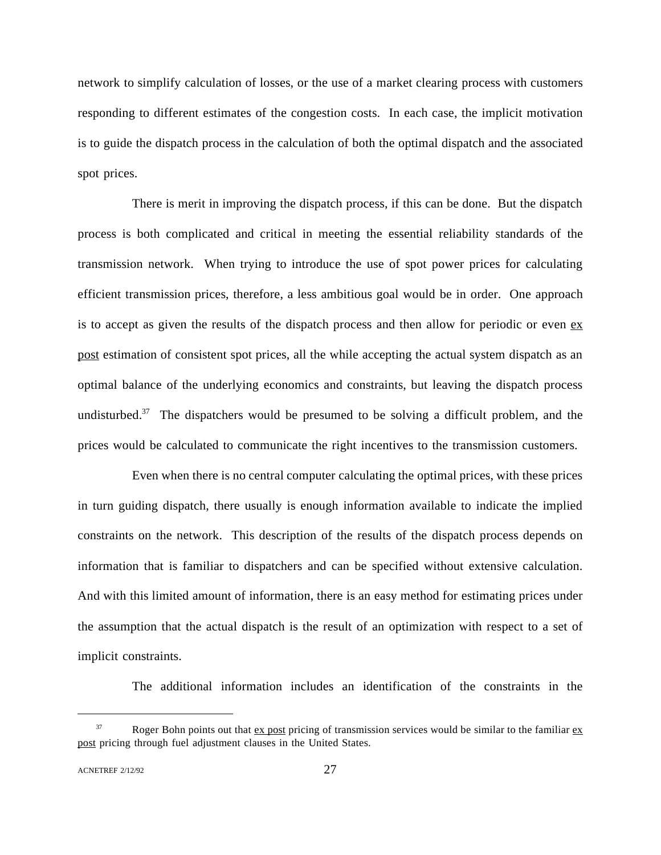network to simplify calculation of losses, or the use of a market clearing process with customers responding to different estimates of the congestion costs. In each case, the implicit motivation is to guide the dispatch process in the calculation of both the optimal dispatch and the associated spot prices.

There is merit in improving the dispatch process, if this can be done. But the dispatch process is both complicated and critical in meeting the essential reliability standards of the transmission network. When trying to introduce the use of spot power prices for calculating efficient transmission prices, therefore, a less ambitious goal would be in order. One approach is to accept as given the results of the dispatch process and then allow for periodic or even ex post estimation of consistent spot prices, all the while accepting the actual system dispatch as an optimal balance of the underlying economics and constraints, but leaving the dispatch process undisturbed. $37$  The dispatchers would be presumed to be solving a difficult problem, and the prices would be calculated to communicate the right incentives to the transmission customers.

Even when there is no central computer calculating the optimal prices, with these prices in turn guiding dispatch, there usually is enough information available to indicate the implied constraints on the network. This description of the results of the dispatch process depends on information that is familiar to dispatchers and can be specified without extensive calculation. And with this limited amount of information, there is an easy method for estimating prices under the assumption that the actual dispatch is the result of an optimization with respect to a set of implicit constraints.

The additional information includes an identification of the constraints in the

 $37$  Roger Bohn points out that ex post pricing of transmission services would be similar to the familiar  $ex$ post pricing through fuel adjustment clauses in the United States.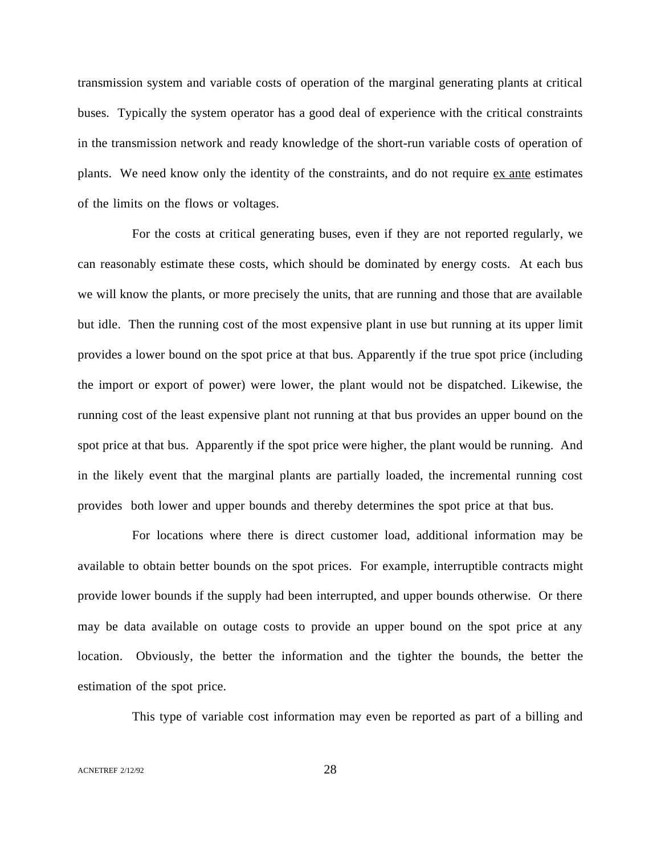transmission system and variable costs of operation of the marginal generating plants at critical buses. Typically the system operator has a good deal of experience with the critical constraints in the transmission network and ready knowledge of the short-run variable costs of operation of plants. We need know only the identity of the constraints, and do not require ex ante estimates of the limits on the flows or voltages.

For the costs at critical generating buses, even if they are not reported regularly, we can reasonably estimate these costs, which should be dominated by energy costs. At each bus we will know the plants, or more precisely the units, that are running and those that are available but idle. Then the running cost of the most expensive plant in use but running at its upper limit provides a lower bound on the spot price at that bus. Apparently if the true spot price (including the import or export of power) were lower, the plant would not be dispatched. Likewise, the running cost of the least expensive plant not running at that bus provides an upper bound on the spot price at that bus. Apparently if the spot price were higher, the plant would be running. And in the likely event that the marginal plants are partially loaded, the incremental running cost provides both lower and upper bounds and thereby determines the spot price at that bus.

For locations where there is direct customer load, additional information may be available to obtain better bounds on the spot prices. For example, interruptible contracts might provide lower bounds if the supply had been interrupted, and upper bounds otherwise. Or there may be data available on outage costs to provide an upper bound on the spot price at any location. Obviously, the better the information and the tighter the bounds, the better the estimation of the spot price.

This type of variable cost information may even be reported as part of a billing and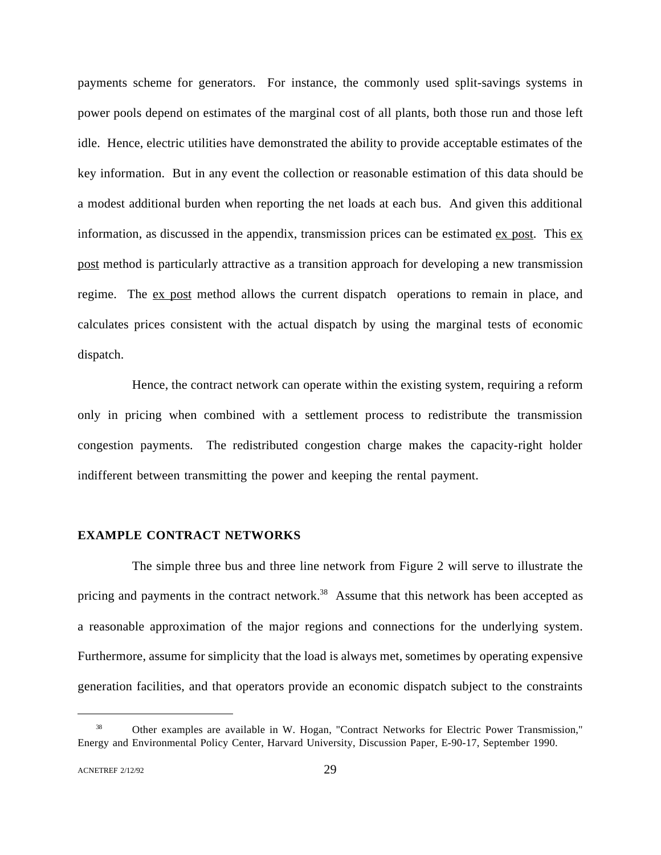payments scheme for generators. For instance, the commonly used split-savings systems in power pools depend on estimates of the marginal cost of all plants, both those run and those left idle. Hence, electric utilities have demonstrated the ability to provide acceptable estimates of the key information. But in any event the collection or reasonable estimation of this data should be a modest additional burden when reporting the net loads at each bus. And given this additional information, as discussed in the appendix, transmission prices can be estimated  $ex$  post. This  $ex$ post method is particularly attractive as a transition approach for developing a new transmission regime. The ex post method allows the current dispatch operations to remain in place, and calculates prices consistent with the actual dispatch by using the marginal tests of economic dispatch.

Hence, the contract network can operate within the existing system, requiring a reform only in pricing when combined with a settlement process to redistribute the transmission congestion payments. The redistributed congestion charge makes the capacity-right holder indifferent between transmitting the power and keeping the rental payment.

## **EXAMPLE CONTRACT NETWORKS**

The simple three bus and three line network from Figure 2 will serve to illustrate the pricing and payments in the contract network.<sup>38</sup> Assume that this network has been accepted as a reasonable approximation of the major regions and connections for the underlying system. Furthermore, assume for simplicity that the load is always met, sometimes by operating expensive generation facilities, and that operators provide an economic dispatch subject to the constraints

Other examples are available in W. Hogan, "Contract Networks for Electric Power Transmission," Energy and Environmental Policy Center, Harvard University, Discussion Paper, E-90-17, September 1990.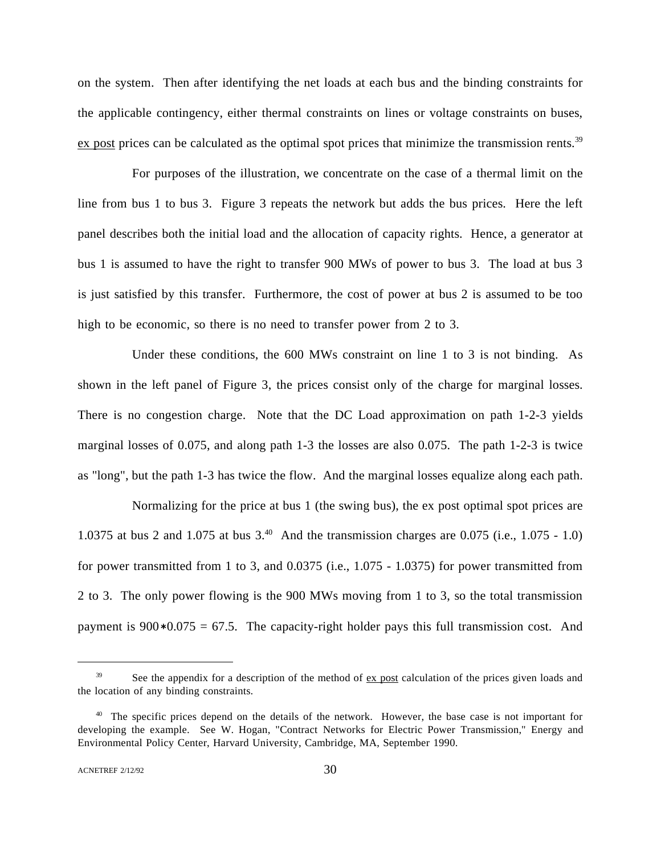on the system. Then after identifying the net loads at each bus and the binding constraints for the applicable contingency, either thermal constraints on lines or voltage constraints on buses,  $ex$  post prices can be calculated as the optimal spot prices that minimize the transmission rents.<sup>39</sup>

For purposes of the illustration, we concentrate on the case of a thermal limit on the line from bus 1 to bus 3. Figure 3 repeats the network but adds the bus prices. Here the left panel describes both the initial load and the allocation of capacity rights. Hence, a generator at bus 1 is assumed to have the right to transfer 900 MWs of power to bus 3. The load at bus 3 is just satisfied by this transfer. Furthermore, the cost of power at bus 2 is assumed to be too high to be economic, so there is no need to transfer power from 2 to 3.

Under these conditions, the 600 MWs constraint on line 1 to 3 is not binding. As shown in the left panel of Figure 3, the prices consist only of the charge for marginal losses. There is no congestion charge. Note that the DC Load approximation on path 1-2-3 yields marginal losses of 0.075, and along path 1-3 the losses are also 0.075. The path 1-2-3 is twice as "long", but the path 1-3 has twice the flow. And the marginal losses equalize along each path.

Normalizing for the price at bus 1 (the swing bus), the ex post optimal spot prices are 1.0375 at bus 2 and 1.075 at bus  $3^{40}$  And the transmission charges are 0.075 (i.e., 1.075 - 1.0) for power transmitted from 1 to 3, and 0.0375 (i.e., 1.075 - 1.0375) for power transmitted from 2 to 3. The only power flowing is the 900 MWs moving from 1 to 3, so the total transmission payment is  $900*0.075 = 67.5$ . The capacity-right holder pays this full transmission cost. And

See the appendix for a description of the method of ex post calculation of the prices given loads and the location of any binding constraints.

<sup>&</sup>lt;sup>40</sup> The specific prices depend on the details of the network. However, the base case is not important for developing the example. See W. Hogan, "Contract Networks for Electric Power Transmission," Energy and Environmental Policy Center, Harvard University, Cambridge, MA, September 1990.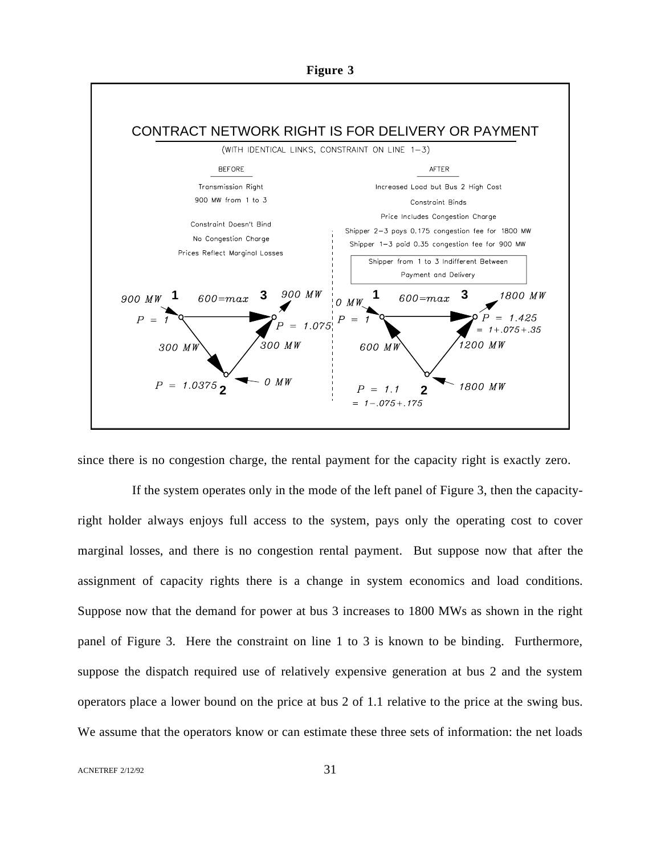**Figure 3**



since there is no congestion charge, the rental payment for the capacity right is exactly zero.

If the system operates only in the mode of the left panel of Figure 3, then the capacityright holder always enjoys full access to the system, pays only the operating cost to cover marginal losses, and there is no congestion rental payment. But suppose now that after the assignment of capacity rights there is a change in system economics and load conditions. Suppose now that the demand for power at bus 3 increases to 1800 MWs as shown in the right panel of Figure 3. Here the constraint on line 1 to 3 is known to be binding. Furthermore, suppose the dispatch required use of relatively expensive generation at bus 2 and the system operators place a lower bound on the price at bus 2 of 1.1 relative to the price at the swing bus. We assume that the operators know or can estimate these three sets of information: the net loads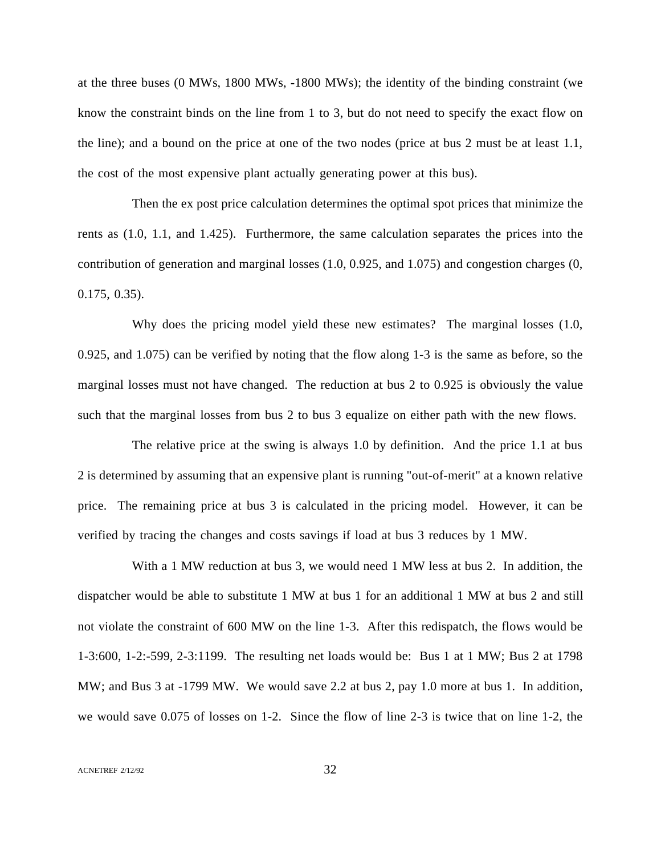at the three buses (0 MWs, 1800 MWs, -1800 MWs); the identity of the binding constraint (we know the constraint binds on the line from 1 to 3, but do not need to specify the exact flow on the line); and a bound on the price at one of the two nodes (price at bus 2 must be at least 1.1, the cost of the most expensive plant actually generating power at this bus).

Then the ex post price calculation determines the optimal spot prices that minimize the rents as (1.0, 1.1, and 1.425). Furthermore, the same calculation separates the prices into the contribution of generation and marginal losses (1.0, 0.925, and 1.075) and congestion charges (0, 0.175, 0.35).

Why does the pricing model yield these new estimates? The marginal losses (1.0, 0.925, and 1.075) can be verified by noting that the flow along 1-3 is the same as before, so the marginal losses must not have changed. The reduction at bus 2 to 0.925 is obviously the value such that the marginal losses from bus 2 to bus 3 equalize on either path with the new flows.

The relative price at the swing is always 1.0 by definition. And the price 1.1 at bus 2 is determined by assuming that an expensive plant is running "out-of-merit" at a known relative price. The remaining price at bus 3 is calculated in the pricing model. However, it can be verified by tracing the changes and costs savings if load at bus 3 reduces by 1 MW.

With a 1 MW reduction at bus 3, we would need 1 MW less at bus 2. In addition, the dispatcher would be able to substitute 1 MW at bus 1 for an additional 1 MW at bus 2 and still not violate the constraint of 600 MW on the line 1-3. After this redispatch, the flows would be 1-3:600, 1-2:-599, 2-3:1199. The resulting net loads would be: Bus 1 at 1 MW; Bus 2 at 1798 MW; and Bus 3 at -1799 MW. We would save 2.2 at bus 2, pay 1.0 more at bus 1. In addition, we would save 0.075 of losses on 1-2. Since the flow of line 2-3 is twice that on line 1-2, the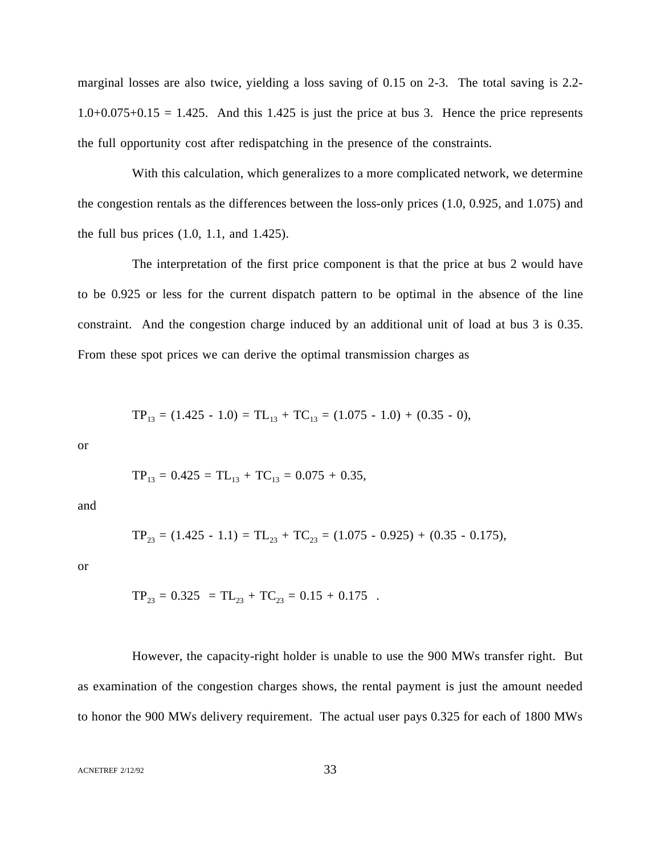marginal losses are also twice, yielding a loss saving of 0.15 on 2-3. The total saving is 2.2-  $1.0+0.075+0.15 = 1.425$ . And this 1.425 is just the price at bus 3. Hence the price represents the full opportunity cost after redispatching in the presence of the constraints.

With this calculation, which generalizes to a more complicated network, we determine the congestion rentals as the differences between the loss-only prices (1.0, 0.925, and 1.075) and the full bus prices (1.0, 1.1, and 1.425).

The interpretation of the first price component is that the price at bus 2 would have to be 0.925 or less for the current dispatch pattern to be optimal in the absence of the line constraint. And the congestion charge induced by an additional unit of load at bus 3 is 0.35. From these spot prices we can derive the optimal transmission charges as

$$
TP_{13} = (1.425 - 1.0) = TL_{13} + TC_{13} = (1.075 - 1.0) + (0.35 - 0),
$$

or

$$
TP_{13} = 0.425 = TL_{13} + TC_{13} = 0.075 + 0.35,
$$

and

$$
TP_{23} = (1.425 - 1.1) = TL_{23} + TC_{23} = (1.075 - 0.925) + (0.35 - 0.175),
$$

or

$$
TP_{23} = 0.325 = TL_{23} + TC_{23} = 0.15 + 0.175.
$$

However, the capacity-right holder is unable to use the 900 MWs transfer right. But as examination of the congestion charges shows, the rental payment is just the amount needed to honor the 900 MWs delivery requirement. The actual user pays 0.325 for each of 1800 MWs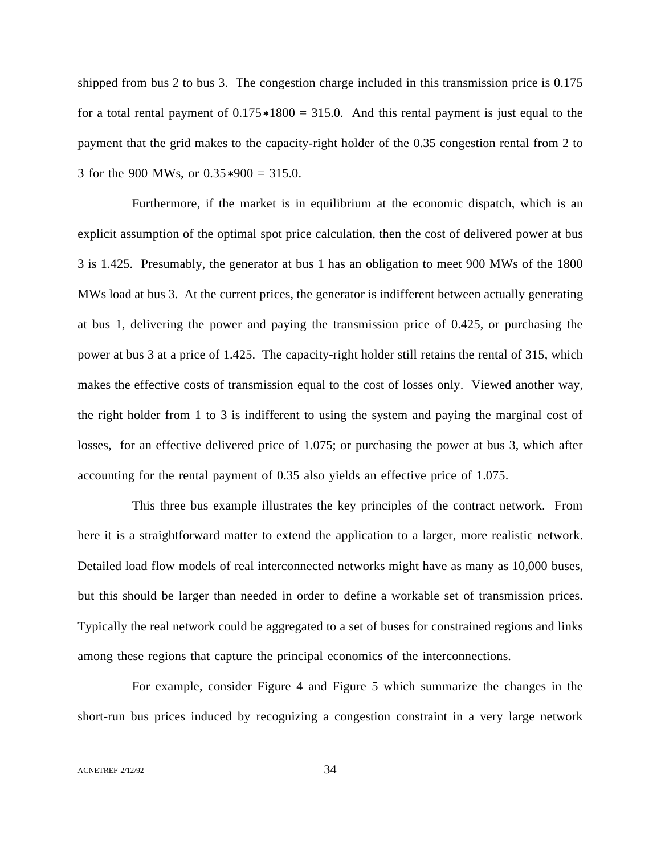shipped from bus 2 to bus 3. The congestion charge included in this transmission price is 0.175 for a total rental payment of  $0.175*1800 = 315.0$ . And this rental payment is just equal to the payment that the grid makes to the capacity-right holder of the 0.35 congestion rental from 2 to 3 for the 900 MWs, or  $0.35*900 = 315.0$ .

Furthermore, if the market is in equilibrium at the economic dispatch, which is an explicit assumption of the optimal spot price calculation, then the cost of delivered power at bus 3 is 1.425. Presumably, the generator at bus 1 has an obligation to meet 900 MWs of the 1800 MWs load at bus 3. At the current prices, the generator is indifferent between actually generating at bus 1, delivering the power and paying the transmission price of 0.425, or purchasing the power at bus 3 at a price of 1.425. The capacity-right holder still retains the rental of 315, which makes the effective costs of transmission equal to the cost of losses only. Viewed another way, the right holder from 1 to 3 is indifferent to using the system and paying the marginal cost of losses, for an effective delivered price of 1.075; or purchasing the power at bus 3, which after accounting for the rental payment of 0.35 also yields an effective price of 1.075.

This three bus example illustrates the key principles of the contract network. From here it is a straightforward matter to extend the application to a larger, more realistic network. Detailed load flow models of real interconnected networks might have as many as 10,000 buses, but this should be larger than needed in order to define a workable set of transmission prices. Typically the real network could be aggregated to a set of buses for constrained regions and links among these regions that capture the principal economics of the interconnections.

For example, consider Figure 4 and Figure 5 which summarize the changes in the short-run bus prices induced by recognizing a congestion constraint in a very large network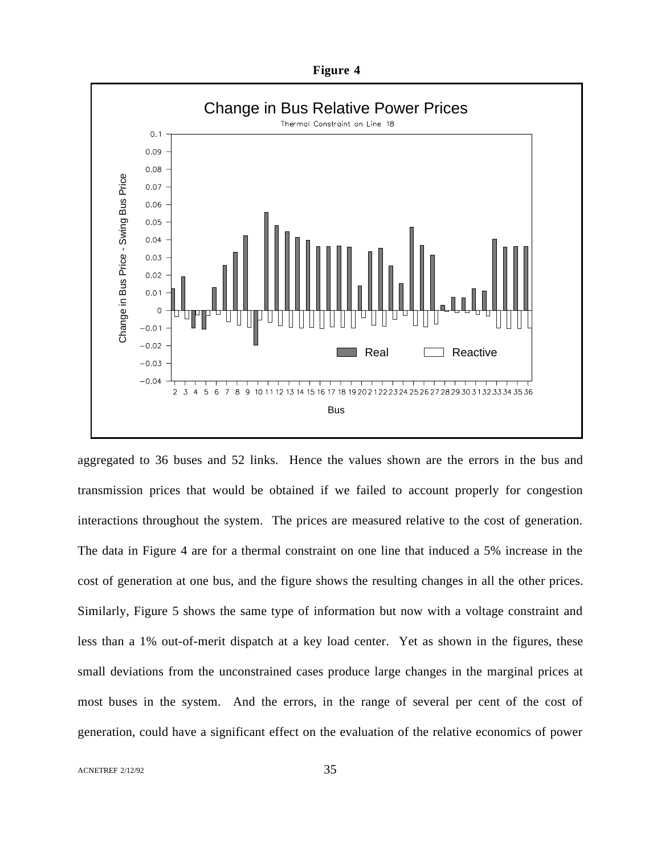**Figure 4**



aggregated to 36 buses and 52 links. Hence the values shown are the errors in the bus and transmission prices that would be obtained if we failed to account properly for congestion interactions throughout the system. The prices are measured relative to the cost of generation. The data in Figure 4 are for a thermal constraint on one line that induced a 5% increase in the cost of generation at one bus, and the figure shows the resulting changes in all the other prices. Similarly, Figure 5 shows the same type of information but now with a voltage constraint and less than a 1% out-of-merit dispatch at a key load center. Yet as shown in the figures, these small deviations from the unconstrained cases produce large changes in the marginal prices at most buses in the system. And the errors, in the range of several per cent of the cost of generation, could have a significant effect on the evaluation of the relative economics of power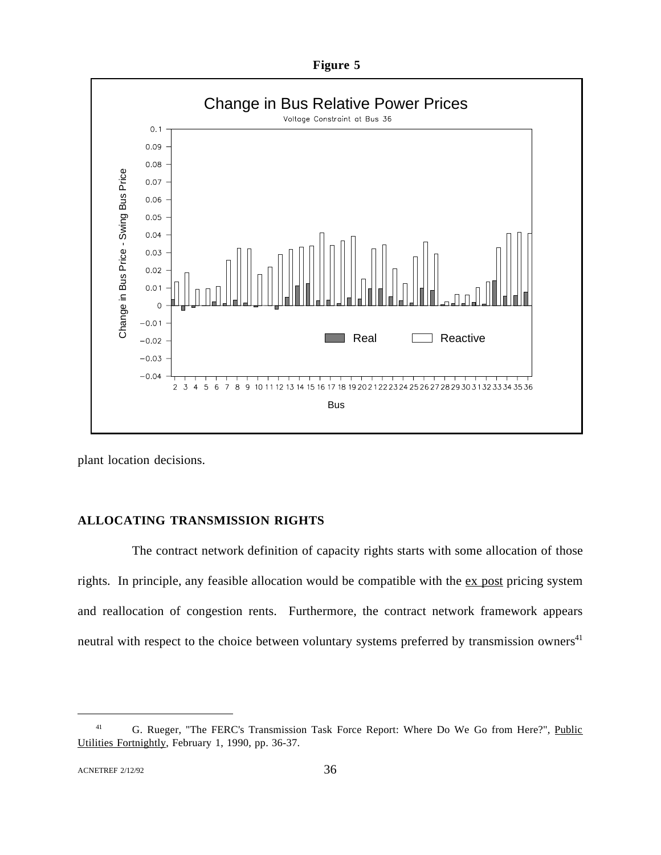



plant location decisions.

#### **ALLOCATING TRANSMISSION RIGHTS**

The contract network definition of capacity rights starts with some allocation of those rights. In principle, any feasible allocation would be compatible with the ex post pricing system and reallocation of congestion rents. Furthermore, the contract network framework appears neutral with respect to the choice between voluntary systems preferred by transmission owners<sup>41</sup>

<sup>&</sup>lt;sup>41</sup> G. Rueger, "The FERC's Transmission Task Force Report: Where Do We Go from Here?", Public Utilities Fortnightly, February 1, 1990, pp. 36-37.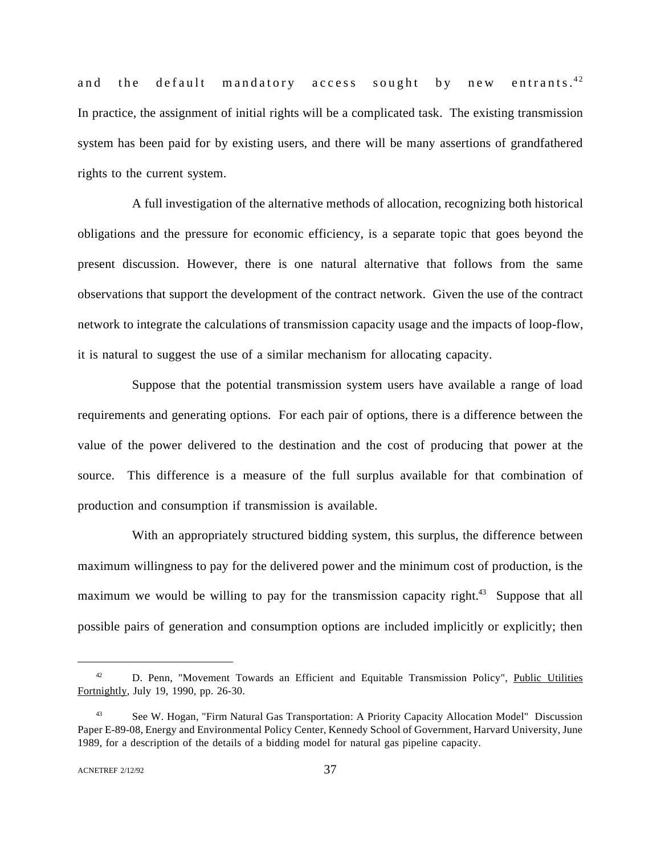and the default mandatory access sought by new entrants.<sup>42</sup> In practice, the assignment of initial rights will be a complicated task. The existing transmission system has been paid for by existing users, and there will be many assertions of grandfathered rights to the current system.

A full investigation of the alternative methods of allocation, recognizing both historical obligations and the pressure for economic efficiency, is a separate topic that goes beyond the present discussion. However, there is one natural alternative that follows from the same observations that support the development of the contract network. Given the use of the contract network to integrate the calculations of transmission capacity usage and the impacts of loop-flow, it is natural to suggest the use of a similar mechanism for allocating capacity.

Suppose that the potential transmission system users have available a range of load requirements and generating options. For each pair of options, there is a difference between the value of the power delivered to the destination and the cost of producing that power at the source. This difference is a measure of the full surplus available for that combination of production and consumption if transmission is available.

 With an appropriately structured bidding system, this surplus, the difference between maximum willingness to pay for the delivered power and the minimum cost of production, is the maximum we would be willing to pay for the transmission capacity right.<sup>43</sup> Suppose that all possible pairs of generation and consumption options are included implicitly or explicitly; then

<sup>&</sup>lt;sup>42</sup> D. Penn, "Movement Towards an Efficient and Equitable Transmission Policy", Public Utilities Fortnightly, July 19, 1990, pp. 26-30.

<sup>43</sup> See W. Hogan, "Firm Natural Gas Transportation: A Priority Capacity Allocation Model" Discussion Paper E-89-08, Energy and Environmental Policy Center, Kennedy School of Government, Harvard University, June 1989, for a description of the details of a bidding model for natural gas pipeline capacity.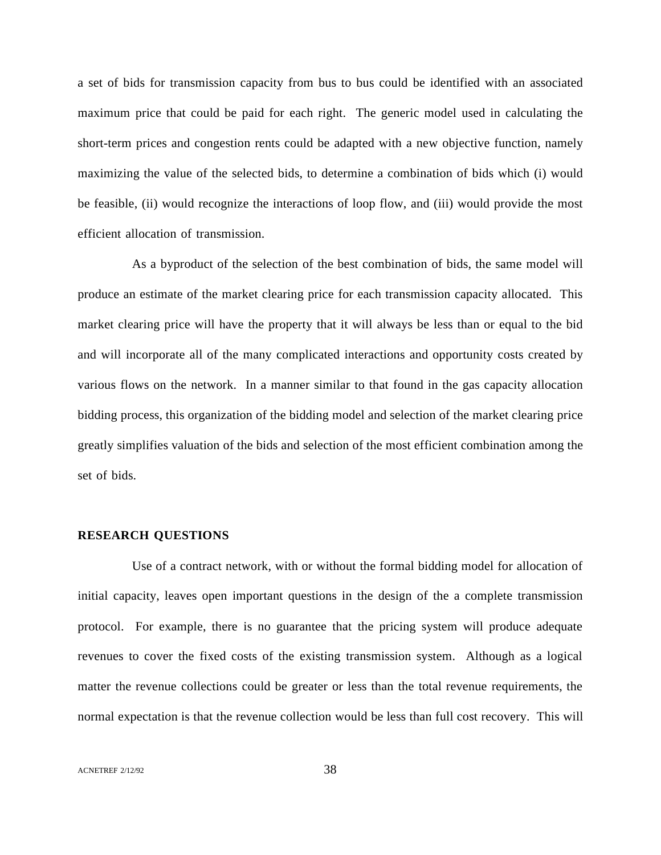a set of bids for transmission capacity from bus to bus could be identified with an associated maximum price that could be paid for each right. The generic model used in calculating the short-term prices and congestion rents could be adapted with a new objective function, namely maximizing the value of the selected bids, to determine a combination of bids which (i) would be feasible, (ii) would recognize the interactions of loop flow, and (iii) would provide the most efficient allocation of transmission.

As a byproduct of the selection of the best combination of bids, the same model will produce an estimate of the market clearing price for each transmission capacity allocated. This market clearing price will have the property that it will always be less than or equal to the bid and will incorporate all of the many complicated interactions and opportunity costs created by various flows on the network. In a manner similar to that found in the gas capacity allocation bidding process, this organization of the bidding model and selection of the market clearing price greatly simplifies valuation of the bids and selection of the most efficient combination among the set of bids.

#### **RESEARCH QUESTIONS**

Use of a contract network, with or without the formal bidding model for allocation of initial capacity, leaves open important questions in the design of the a complete transmission protocol. For example, there is no guarantee that the pricing system will produce adequate revenues to cover the fixed costs of the existing transmission system. Although as a logical matter the revenue collections could be greater or less than the total revenue requirements, the normal expectation is that the revenue collection would be less than full cost recovery. This will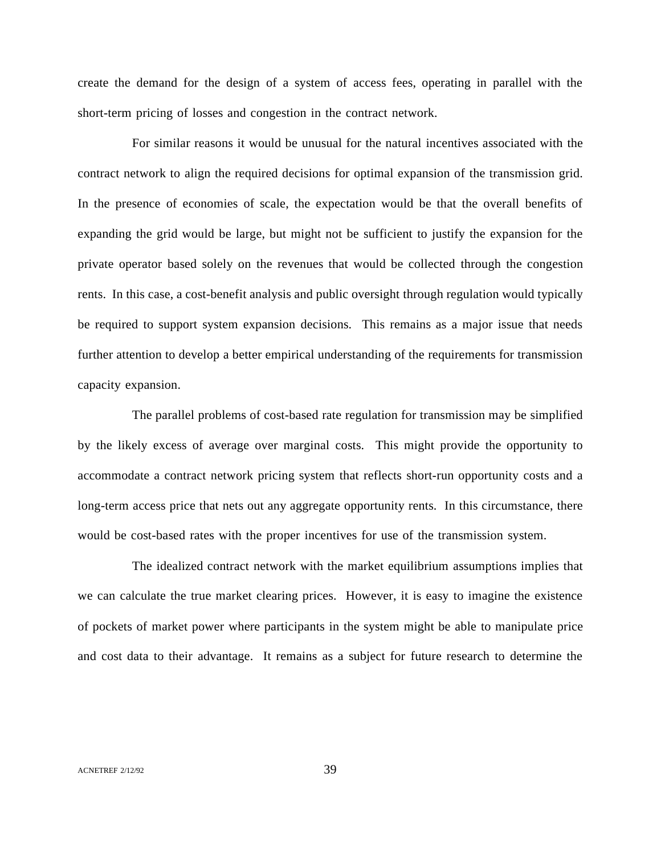create the demand for the design of a system of access fees, operating in parallel with the short-term pricing of losses and congestion in the contract network.

For similar reasons it would be unusual for the natural incentives associated with the contract network to align the required decisions for optimal expansion of the transmission grid. In the presence of economies of scale, the expectation would be that the overall benefits of expanding the grid would be large, but might not be sufficient to justify the expansion for the private operator based solely on the revenues that would be collected through the congestion rents. In this case, a cost-benefit analysis and public oversight through regulation would typically be required to support system expansion decisions. This remains as a major issue that needs further attention to develop a better empirical understanding of the requirements for transmission capacity expansion.

The parallel problems of cost-based rate regulation for transmission may be simplified by the likely excess of average over marginal costs. This might provide the opportunity to accommodate a contract network pricing system that reflects short-run opportunity costs and a long-term access price that nets out any aggregate opportunity rents. In this circumstance, there would be cost-based rates with the proper incentives for use of the transmission system.

 The idealized contract network with the market equilibrium assumptions implies that we can calculate the true market clearing prices. However, it is easy to imagine the existence of pockets of market power where participants in the system might be able to manipulate price and cost data to their advantage. It remains as a subject for future research to determine the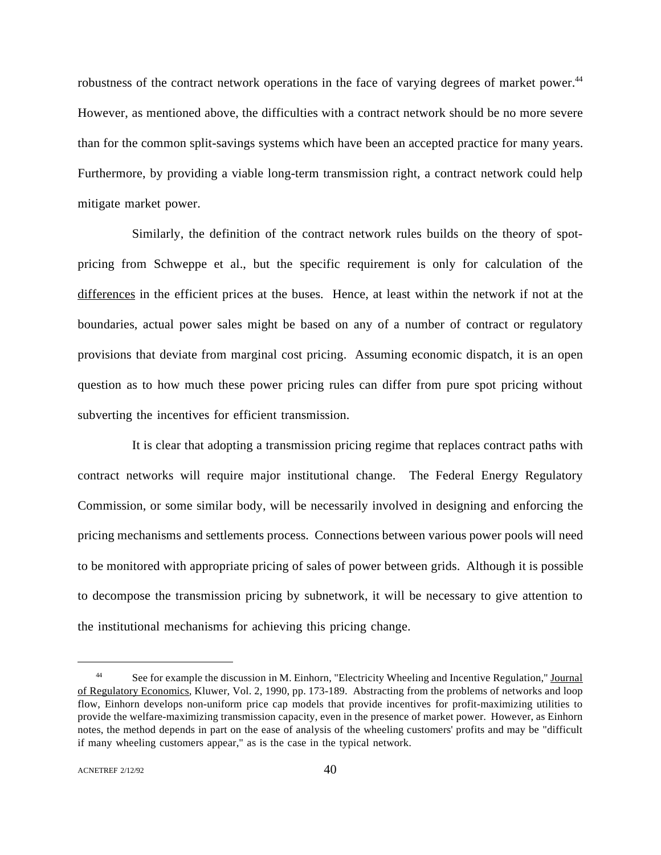robustness of the contract network operations in the face of varying degrees of market power.<sup>44</sup> However, as mentioned above, the difficulties with a contract network should be no more severe than for the common split-savings systems which have been an accepted practice for many years. Furthermore, by providing a viable long-term transmission right, a contract network could help mitigate market power.

Similarly, the definition of the contract network rules builds on the theory of spotpricing from Schweppe et al., but the specific requirement is only for calculation of the differences in the efficient prices at the buses. Hence, at least within the network if not at the boundaries, actual power sales might be based on any of a number of contract or regulatory provisions that deviate from marginal cost pricing. Assuming economic dispatch, it is an open question as to how much these power pricing rules can differ from pure spot pricing without subverting the incentives for efficient transmission.

It is clear that adopting a transmission pricing regime that replaces contract paths with contract networks will require major institutional change. The Federal Energy Regulatory Commission, or some similar body, will be necessarily involved in designing and enforcing the pricing mechanisms and settlements process. Connections between various power pools will need to be monitored with appropriate pricing of sales of power between grids. Although it is possible to decompose the transmission pricing by subnetwork, it will be necessary to give attention to the institutional mechanisms for achieving this pricing change.

<sup>&</sup>lt;sup>44</sup> See for example the discussion in M. Einhorn, "Electricity Wheeling and Incentive Regulation," Journal of Regulatory Economics, Kluwer, Vol. 2, 1990, pp. 173-189. Abstracting from the problems of networks and loop flow, Einhorn develops non-uniform price cap models that provide incentives for profit-maximizing utilities to provide the welfare-maximizing transmission capacity, even in the presence of market power. However, as Einhorn notes, the method depends in part on the ease of analysis of the wheeling customers' profits and may be "difficult if many wheeling customers appear," as is the case in the typical network.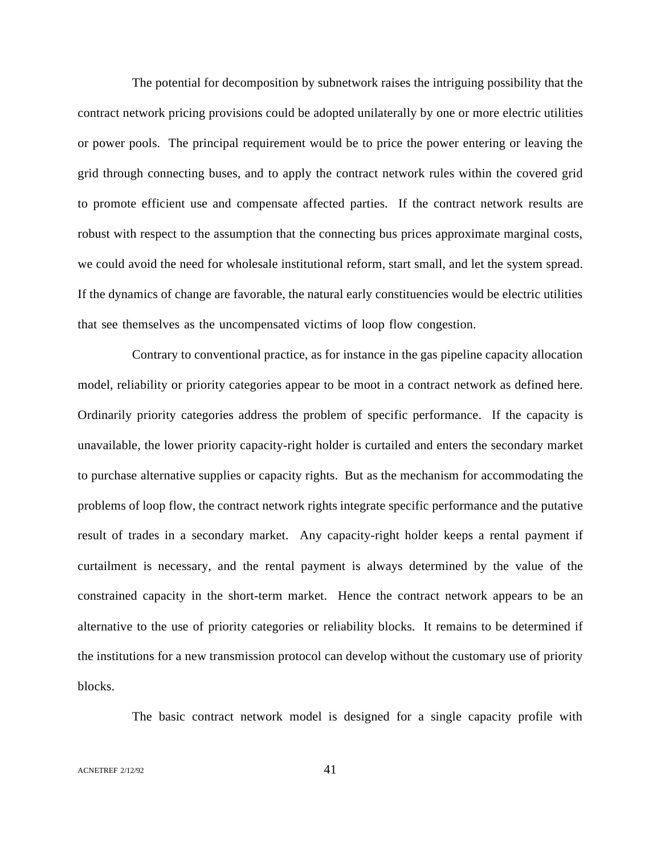The potential for decomposition by subnetwork raises the intriguing possibility that the contract network pricing provisions could be adopted unilaterally by one or more electric utilities or power pools. The principal requirement would be to price the power entering or leaving the grid through connecting buses, and to apply the contract network rules within the covered grid to promote efficient use and compensate affected parties. If the contract network results are robust with respect to the assumption that the connecting bus prices approximate marginal costs, we could avoid the need for wholesale institutional reform, start small, and let the system spread. If the dynamics of change are favorable, the natural early constituencies would be electric utilities that see themselves as the uncompensated victims of loop flow congestion.

Contrary to conventional practice, as for instance in the gas pipeline capacity allocation model, reliability or priority categories appear to be moot in a contract network as defined here. Ordinarily priority categories address the problem of specific performance. If the capacity is unavailable, the lower priority capacity-right holder is curtailed and enters the secondary market to purchase alternative supplies or capacity rights. But as the mechanism for accommodating the problems of loop flow, the contract network rights integrate specific performance and the putative result of trades in a secondary market. Any capacity-right holder keeps a rental payment if curtailment is necessary, and the rental payment is always determined by the value of the constrained capacity in the short-term market. Hence the contract network appears to be an alternative to the use of priority categories or reliability blocks. It remains to be determined if the institutions for a new transmission protocol can develop without the customary use of priority blocks.

The basic contract network model is designed for a single capacity profile with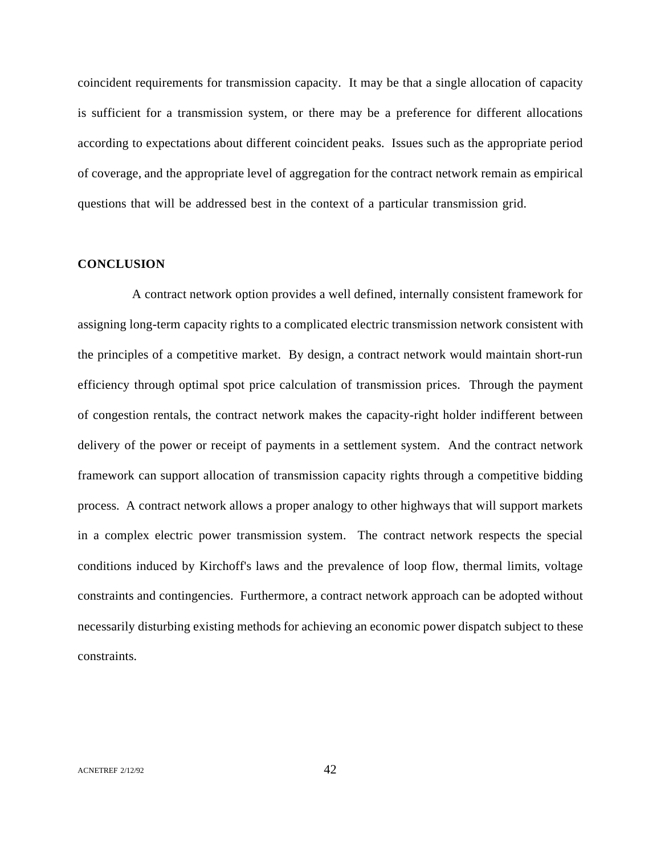coincident requirements for transmission capacity. It may be that a single allocation of capacity is sufficient for a transmission system, or there may be a preference for different allocations according to expectations about different coincident peaks. Issues such as the appropriate period of coverage, and the appropriate level of aggregation for the contract network remain as empirical questions that will be addressed best in the context of a particular transmission grid.

# **CONCLUSION**

A contract network option provides a well defined, internally consistent framework for assigning long-term capacity rights to a complicated electric transmission network consistent with the principles of a competitive market. By design, a contract network would maintain short-run efficiency through optimal spot price calculation of transmission prices. Through the payment of congestion rentals, the contract network makes the capacity-right holder indifferent between delivery of the power or receipt of payments in a settlement system. And the contract network framework can support allocation of transmission capacity rights through a competitive bidding process. A contract network allows a proper analogy to other highways that will support markets in a complex electric power transmission system. The contract network respects the special conditions induced by Kirchoff's laws and the prevalence of loop flow, thermal limits, voltage constraints and contingencies. Furthermore, a contract network approach can be adopted without necessarily disturbing existing methods for achieving an economic power dispatch subject to these constraints.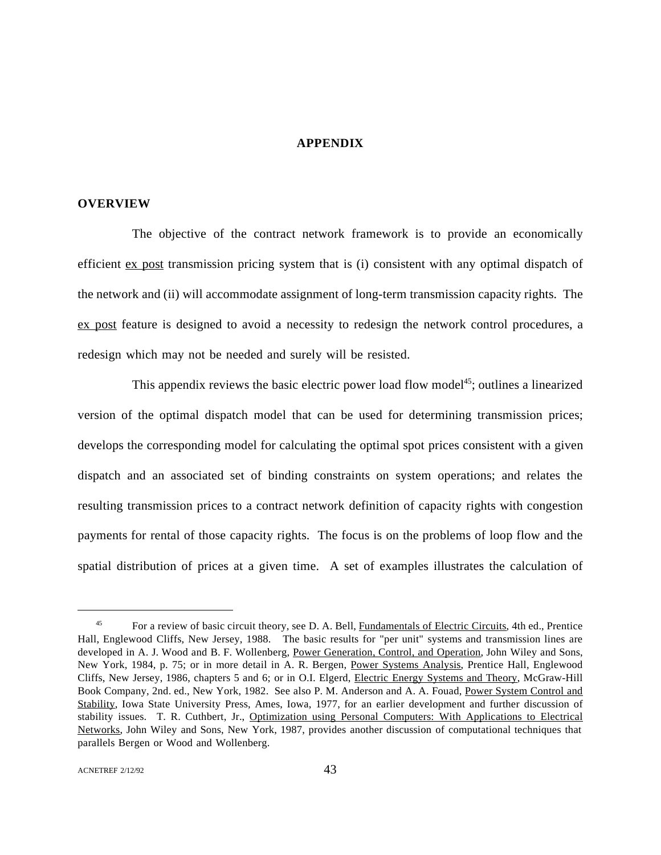### **APPENDIX**

#### **OVERVIEW**

The objective of the contract network framework is to provide an economically efficient ex post transmission pricing system that is (i) consistent with any optimal dispatch of the network and (ii) will accommodate assignment of long-term transmission capacity rights. The ex post feature is designed to avoid a necessity to redesign the network control procedures, a redesign which may not be needed and surely will be resisted.

This appendix reviews the basic electric power load flow model<sup>45</sup>; outlines a linearized version of the optimal dispatch model that can be used for determining transmission prices; develops the corresponding model for calculating the optimal spot prices consistent with a given dispatch and an associated set of binding constraints on system operations; and relates the resulting transmission prices to a contract network definition of capacity rights with congestion payments for rental of those capacity rights. The focus is on the problems of loop flow and the spatial distribution of prices at a given time. A set of examples illustrates the calculation of

<sup>&</sup>lt;sup>45</sup> For a review of basic circuit theory, see D. A. Bell, Fundamentals of Electric Circuits, 4th ed., Prentice Hall, Englewood Cliffs, New Jersey, 1988. The basic results for "per unit" systems and transmission lines are developed in A. J. Wood and B. F. Wollenberg, Power Generation, Control, and Operation, John Wiley and Sons, New York, 1984, p. 75; or in more detail in A. R. Bergen, Power Systems Analysis, Prentice Hall, Englewood Cliffs, New Jersey, 1986, chapters 5 and 6; or in O.I. Elgerd, Electric Energy Systems and Theory, McGraw-Hill Book Company, 2nd. ed., New York, 1982. See also P. M. Anderson and A. A. Fouad, Power System Control and Stability, Iowa State University Press, Ames, Iowa, 1977, for an earlier development and further discussion of stability issues. T. R. Cuthbert, Jr., Optimization using Personal Computers: With Applications to Electrical Networks, John Wiley and Sons, New York, 1987, provides another discussion of computational techniques that parallels Bergen or Wood and Wollenberg.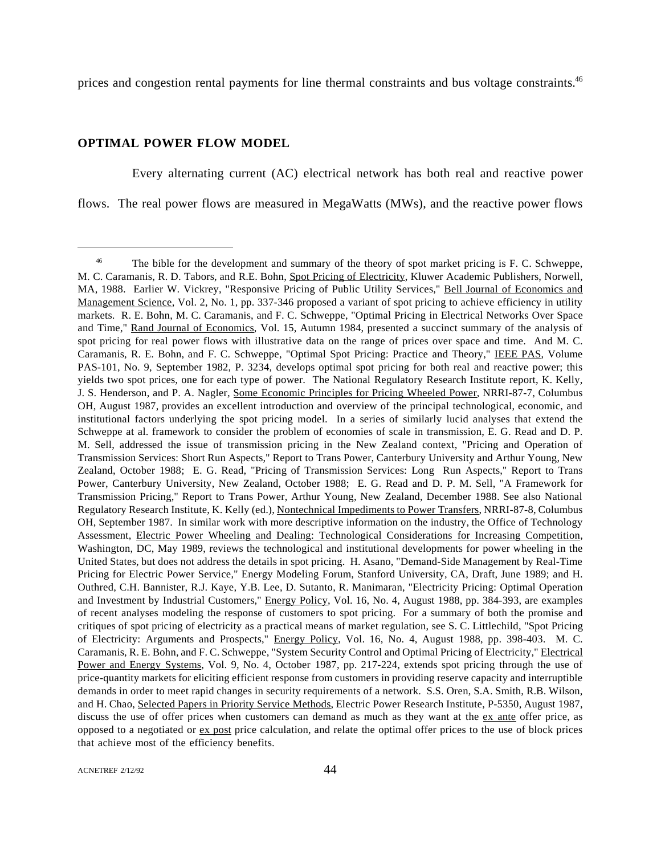prices and congestion rental payments for line thermal constraints and bus voltage constraints.<sup>46</sup>

### **OPTIMAL POWER FLOW MODEL**

 $\overline{a}$ 

Every alternating current (AC) electrical network has both real and reactive power flows. The real power flows are measured in MegaWatts (MWs), and the reactive power flows

<sup>&</sup>lt;sup>46</sup> The bible for the development and summary of the theory of spot market pricing is F. C. Schweppe, M. C. Caramanis, R. D. Tabors, and R.E. Bohn, Spot Pricing of Electricity, Kluwer Academic Publishers, Norwell, MA, 1988. Earlier W. Vickrey, "Responsive Pricing of Public Utility Services," Bell Journal of Economics and Management Science, Vol. 2, No. 1, pp. 337-346 proposed a variant of spot pricing to achieve efficiency in utility markets. R. E. Bohn, M. C. Caramanis, and F. C. Schweppe, "Optimal Pricing in Electrical Networks Over Space and Time," Rand Journal of Economics, Vol. 15, Autumn 1984, presented a succinct summary of the analysis of spot pricing for real power flows with illustrative data on the range of prices over space and time. And M. C. Caramanis, R. E. Bohn, and F. C. Schweppe, "Optimal Spot Pricing: Practice and Theory," IEEE PAS, Volume PAS-101, No. 9, September 1982, P. 3234, develops optimal spot pricing for both real and reactive power; this yields two spot prices, one for each type of power. The National Regulatory Research Institute report, K. Kelly, J. S. Henderson, and P. A. Nagler, Some Economic Principles for Pricing Wheeled Power, NRRI-87-7, Columbus OH, August 1987, provides an excellent introduction and overview of the principal technological, economic, and institutional factors underlying the spot pricing model. In a series of similarly lucid analyses that extend the Schweppe at al. framework to consider the problem of economies of scale in transmission, E. G. Read and D. P. M. Sell, addressed the issue of transmission pricing in the New Zealand context, "Pricing and Operation of Transmission Services: Short Run Aspects," Report to Trans Power, Canterbury University and Arthur Young, New Zealand, October 1988; E. G. Read, "Pricing of Transmission Services: Long Run Aspects," Report to Trans Power, Canterbury University, New Zealand, October 1988; E. G. Read and D. P. M. Sell, "A Framework for Transmission Pricing," Report to Trans Power, Arthur Young, New Zealand, December 1988. See also National Regulatory Research Institute, K. Kelly (ed.), Nontechnical Impediments to Power Transfers, NRRI-87-8, Columbus OH, September 1987. In similar work with more descriptive information on the industry, the Office of Technology Assessment, Electric Power Wheeling and Dealing: Technological Considerations for Increasing Competition, Washington, DC, May 1989, reviews the technological and institutional developments for power wheeling in the United States, but does not address the details in spot pricing. H. Asano, "Demand-Side Management by Real-Time Pricing for Electric Power Service," Energy Modeling Forum, Stanford University, CA, Draft, June 1989; and H. Outhred, C.H. Bannister, R.J. Kaye, Y.B. Lee, D. Sutanto, R. Manimaran, "Electricity Pricing: Optimal Operation and Investment by Industrial Customers," Energy Policy, Vol. 16, No. 4, August 1988, pp. 384-393, are examples of recent analyses modeling the response of customers to spot pricing. For a summary of both the promise and critiques of spot pricing of electricity as a practical means of market regulation, see S. C. Littlechild, "Spot Pricing of Electricity: Arguments and Prospects," Energy Policy, Vol. 16, No. 4, August 1988, pp. 398-403. M. C. Caramanis, R. E. Bohn, and F. C. Schweppe, "System Security Control and Optimal Pricing of Electricity," Electrical Power and Energy Systems, Vol. 9, No. 4, October 1987, pp. 217-224, extends spot pricing through the use of price-quantity markets for eliciting efficient response from customers in providing reserve capacity and interruptible demands in order to meet rapid changes in security requirements of a network. S.S. Oren, S.A. Smith, R.B. Wilson, and H. Chao, Selected Papers in Priority Service Methods, Electric Power Research Institute, P-5350, August 1987, discuss the use of offer prices when customers can demand as much as they want at the ex ante offer price, as opposed to a negotiated or ex post price calculation, and relate the optimal offer prices to the use of block prices that achieve most of the efficiency benefits.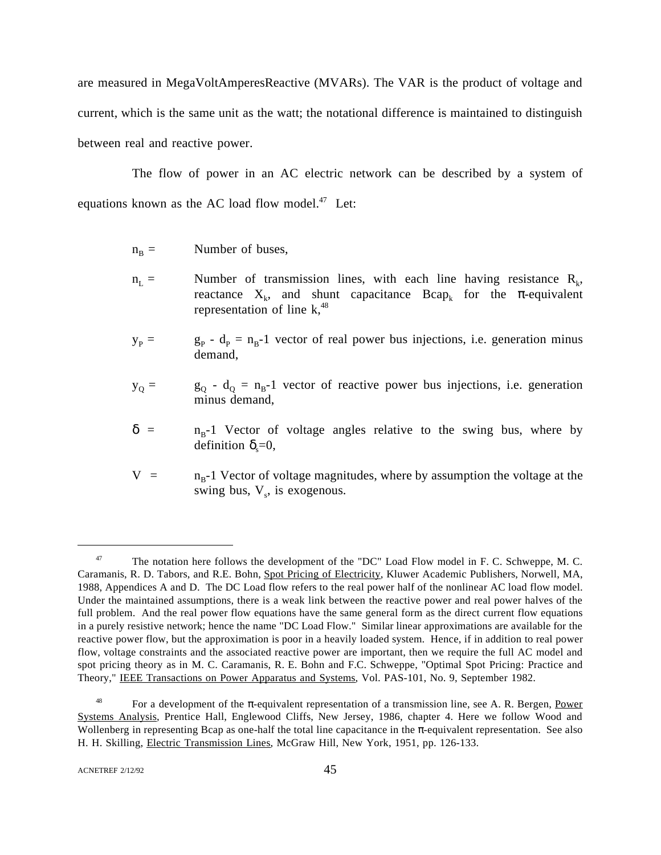are measured in MegaVoltAmperesReactive (MVARs). The VAR is the product of voltage and current, which is the same unit as the watt; the notational difference is maintained to distinguish between real and reactive power.

The flow of power in an AC electric network can be described by a system of equations known as the AC load flow model.<sup>47</sup> Let:

- $n_B$  = Number of buses,
- $n_L$  = Number of transmission lines, with each line having resistance  $R_k$ , reactance  $X_k$ , and shunt capacitance  $Bcap_k$  for the  $\pi$ -equivalent representation of line  $k<sub>1</sub><sup>48</sup>$
- $y_P = g_P d_P = n_B-1$  vector of real power bus injections, i.e. generation minus demand,
- $y_{Q} = g_{Q} d_{Q} = n_{B} 1$  vector of reactive power bus injections, i.e. generation minus demand,
- $\delta$  = n<sub>B</sub>-1 Vector of voltage angles relative to the swing bus, where by definition  $\delta_{\rm s}=0$ ,
- $V =$  n<sub>B</sub>-1 Vector of voltage magnitudes, where by assumption the voltage at the swing bus,  $V_s$ , is exogenous.

<sup>&</sup>lt;sup>47</sup> The notation here follows the development of the "DC" Load Flow model in F. C. Schweppe, M. C. Caramanis, R. D. Tabors, and R.E. Bohn, Spot Pricing of Electricity, Kluwer Academic Publishers, Norwell, MA, 1988, Appendices A and D. The DC Load flow refers to the real power half of the nonlinear AC load flow model. Under the maintained assumptions, there is a weak link between the reactive power and real power halves of the full problem. And the real power flow equations have the same general form as the direct current flow equations in a purely resistive network; hence the name "DC Load Flow." Similar linear approximations are available for the reactive power flow, but the approximation is poor in a heavily loaded system. Hence, if in addition to real power flow, voltage constraints and the associated reactive power are important, then we require the full AC model and spot pricing theory as in M. C. Caramanis, R. E. Bohn and F.C. Schweppe, "Optimal Spot Pricing: Practice and Theory," IEEE Transactions on Power Apparatus and Systems, Vol. PAS-101, No. 9, September 1982.

For a development of the  $\pi$ -equivalent representation of a transmission line, see A. R. Bergen, Power Systems Analysis, Prentice Hall, Englewood Cliffs, New Jersey, 1986, chapter 4. Here we follow Wood and Wollenberg in representing Bcap as one-half the total line capacitance in the  $\pi$ -equivalent representation. See also H. H. Skilling, Electric Transmission Lines, McGraw Hill, New York, 1951, pp. 126-133.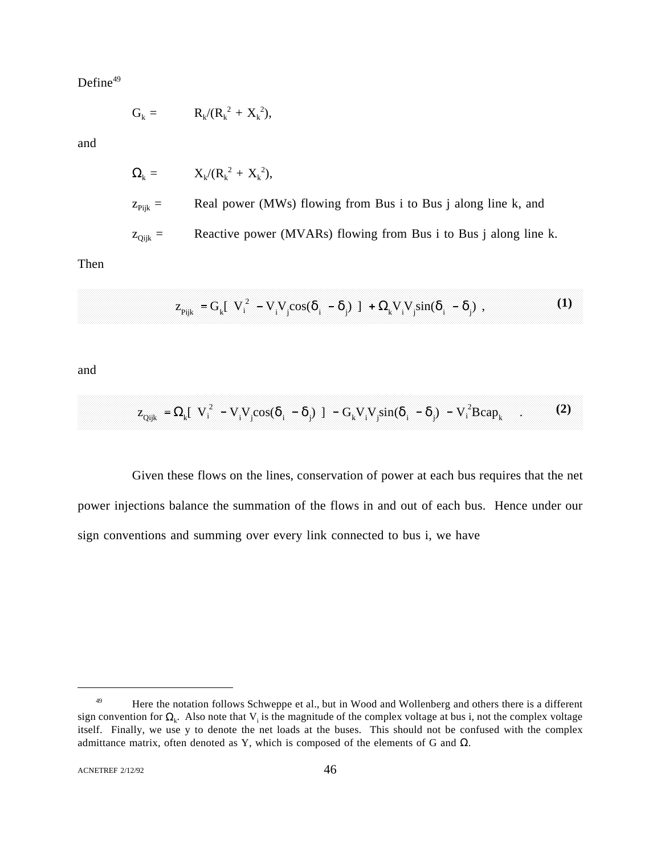Define $49$ 

$$
G_k = \qquad \qquad R_k / (R_k^2 + X_k^2),
$$

and

$$
\Omega_{k} = X_{k}/(R_{k}^{2} + X_{k}^{2}),
$$
  
\n
$$
z_{Pijk} =
$$
 Real power (MWs) flowing from Bus i to Bus j along line k, and  
\n
$$
z_{Qijk} =
$$
Reactive power (MVARS) flowing from Bus i to Bus j along line k.

Then

$$
z_{\text{Pijk}} = G_{k} [V_{i}^{2} - V_{i} V_{j} \cos(\delta_{i} - \delta_{j})] + \Omega_{k} V_{i} V_{j} \sin(\delta_{i} - \delta_{j}), \qquad (1)
$$

and

$$
z_{0ijk} = \Omega_k [V_i^2 - V_i V_j \cos(\delta_i - \delta_j)] - G_k V_i V_j \sin(\delta_i - \delta_j) - V_i^2 B \cos \beta_k
$$
 (2)

Given these flows on the lines, conservation of power at each bus requires that the net power injections balance the summation of the flows in and out of each bus. Hence under our sign conventions and summing over every link connected to bus i, we have

<sup>&</sup>lt;sup>49</sup> Here the notation follows Schweppe et al., but in Wood and Wollenberg and others there is a different sign convention for  $\Omega_k$ . Also note that  $V_i$  is the magnitude of the complex voltage at bus i, not the complex voltage itself. Finally, we use y to denote the net loads at the buses. This should not be confused with the complex admittance matrix, often denoted as Y, which is composed of the elements of G and  $Ω$ .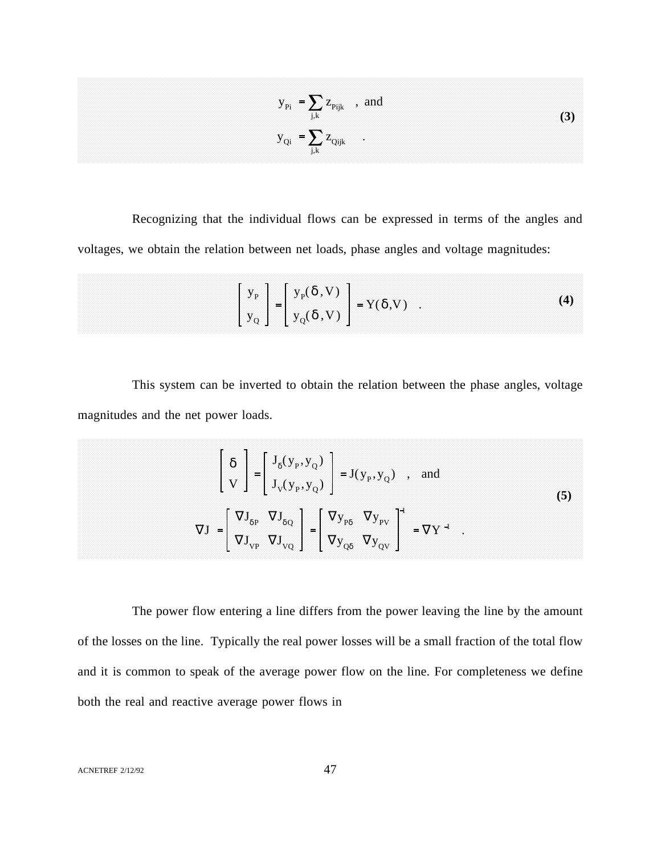$$
y_{p_1} = \sum_{j,k} z_{p_{ijk}}
$$
, and  
 $y_{Q_i} = \sum_{j,k} z_{Qijk}$  (3)

Recognizing that the individual flows can be expressed in terms of the angles and voltages, we obtain the relation between net loads, phase angles and voltage magnitudes:

$$
\begin{bmatrix} y_{p} \\ y_{Q} \end{bmatrix} = \begin{bmatrix} y_{p}(\delta, V) \\ y_{Q}(\delta, V) \end{bmatrix} = Y(\delta, V) .
$$
 (4)

This system can be inverted to obtain the relation between the phase angles, voltage magnitudes and the net power loads.

$$
\begin{bmatrix} \delta \\ V \end{bmatrix} = \begin{bmatrix} J_{\delta}(y_{P}, y_{Q}) \\ J_{V}(y_{P}, y_{Q}) \end{bmatrix} = J(y_{P}, y_{Q}) \text{ and}
$$
\n
$$
\nabla J = \begin{bmatrix} \nabla J_{\delta P} & \nabla J_{\delta Q} \\ \nabla J_{VP} & \nabla J_{VQ} \end{bmatrix} = \begin{bmatrix} \nabla y_{P\delta} & \nabla y_{PV} \\ \nabla y_{Q\delta} & \nabla y_{QV} \end{bmatrix}^{-1} = \nabla Y^{-1}.
$$
\n(5)

The power flow entering a line differs from the power leaving the line by the amount of the losses on the line. Typically the real power losses will be a small fraction of the total flow and it is common to speak of the average power flow on the line. For completeness we define both the real and reactive average power flows in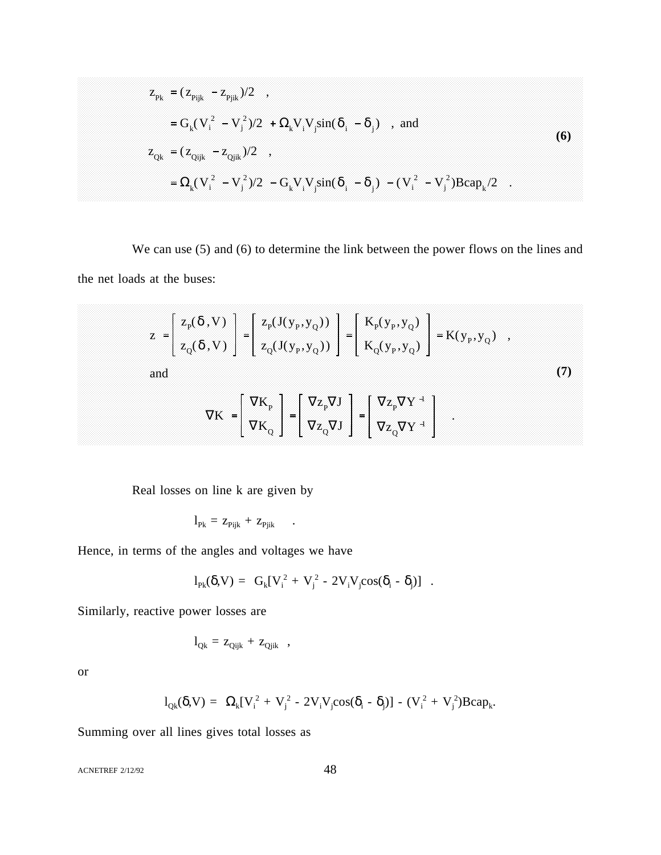$$
z_{p_k} = (z_{p_{ijk}} - z_{p_{jik}})/2 ,
$$
  
\n
$$
= G_k (V_i^2 - V_j^2)/2 + \Omega_k V_j \sin(\delta_i - \delta_j) ,
$$
 and  
\n
$$
z_{Qk} = (z_{Qijk} - z_{Qjik})/2 ,
$$
  
\n
$$
= \Omega_k (V_i^2 - V_j^2)/2 - G_k V_j V_j \sin(\delta_i - \delta_j) - (V_i^2 - V_j^2) \text{Bcap}_k/2 .
$$
 (6)

We can use (5) and (6) to determine the link between the power flows on the lines and the net loads at the buses:

$$
z = \begin{bmatrix} z_{P}(\delta, V) \\ z_{Q}(\delta, V) \end{bmatrix} = \begin{bmatrix} z_{P}(J(y_{P}, y_{Q})) \\ z_{Q}(J(y_{P}, y_{Q})) \end{bmatrix} = \begin{bmatrix} K_{P}(y_{P}, y_{Q}) \\ K_{Q}(y_{P}, y_{Q}) \end{bmatrix} = K(y_{P}, y_{Q}) ,
$$
  
and  

$$
\nabla K = \begin{bmatrix} \nabla K_{P} \\ \nabla K_{Q} \end{bmatrix} = \begin{bmatrix} \nabla z_{P} \nabla J \\ \nabla z_{Q} \nabla J \end{bmatrix} = \begin{bmatrix} \nabla z_{P} \nabla Y \\ \nabla z_{Q} \nabla Y \end{bmatrix}
$$
 (7)

Real losses on line k are given by

$$
l_{Pk} = z_{Pijk} + z_{Pjik} \qquad .
$$

Hence, in terms of the angles and voltages we have

$$
l_{p_k}(\delta,V) = \ G_k[V_i^2 + V_j^2 - 2V_iV_jcos(\delta_i - \delta_j)] \ .
$$

Similarly, reactive power losses are

$$
l_{Qk} = z_{Qijk} + z_{Qjik} \quad ,
$$

or

$$
l_{Qk}(\delta,V) = \Omega_k[V_i^2 + V_j^2 - 2V_iV_j\cos(\delta_i - \delta_j)] - (V_i^2 + V_j^2)Bcap_k.
$$

Summing over all lines gives total losses as

ACNETREF 2/12/92 48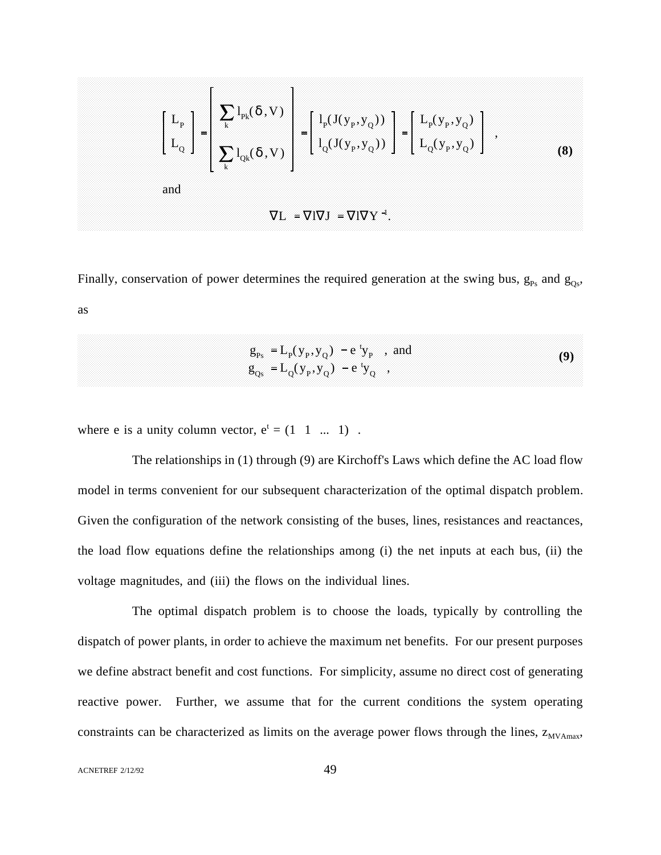$$
\begin{bmatrix} L_{\rm p} \\ L_{\rm Q} \end{bmatrix} = \begin{bmatrix} \sum_{\rm k} l_{\rm pk}(\delta, V) \\ \sum_{\rm k} l_{\rm Qk}(\delta, V) \end{bmatrix} = \begin{bmatrix} l_{\rm p}(J(y_{\rm p}, y_{\rm Q})) \\ l_{\rm Q}(J(y_{\rm p}, y_{\rm Q})) \end{bmatrix} = \begin{bmatrix} L_{\rm p}(y_{\rm p}, y_{\rm Q}) \\ L_{\rm Q}(y_{\rm p}, y_{\rm Q}) \end{bmatrix},
$$
\n(8)

\nand

\n
$$
\nabla L = \nabla I \nabla J = \nabla I \nabla Y^{-1}.
$$

Finally, conservation of power determines the required generation at the swing bus,  $g_{P_s}$  and  $g_{Os}$ , as

$$
g_{p_s} = L_p(y_p, y_Q) - e^{y}y_p
$$
, and  
\n $g_{Q_s} = L_Q(y_p, y_Q) - e^{y}y_Q$ , (9)

where e is a unity column vector,  $e^t = (1 \ 1 \ ... \ 1)$ .

The relationships in (1) through (9) are Kirchoff's Laws which define the AC load flow model in terms convenient for our subsequent characterization of the optimal dispatch problem. Given the configuration of the network consisting of the buses, lines, resistances and reactances, the load flow equations define the relationships among (i) the net inputs at each bus, (ii) the voltage magnitudes, and (iii) the flows on the individual lines.

The optimal dispatch problem is to choose the loads, typically by controlling the dispatch of power plants, in order to achieve the maximum net benefits. For our present purposes we define abstract benefit and cost functions. For simplicity, assume no direct cost of generating reactive power. Further, we assume that for the current conditions the system operating constraints can be characterized as limits on the average power flows through the lines,  $z_{MVAmax}$ ,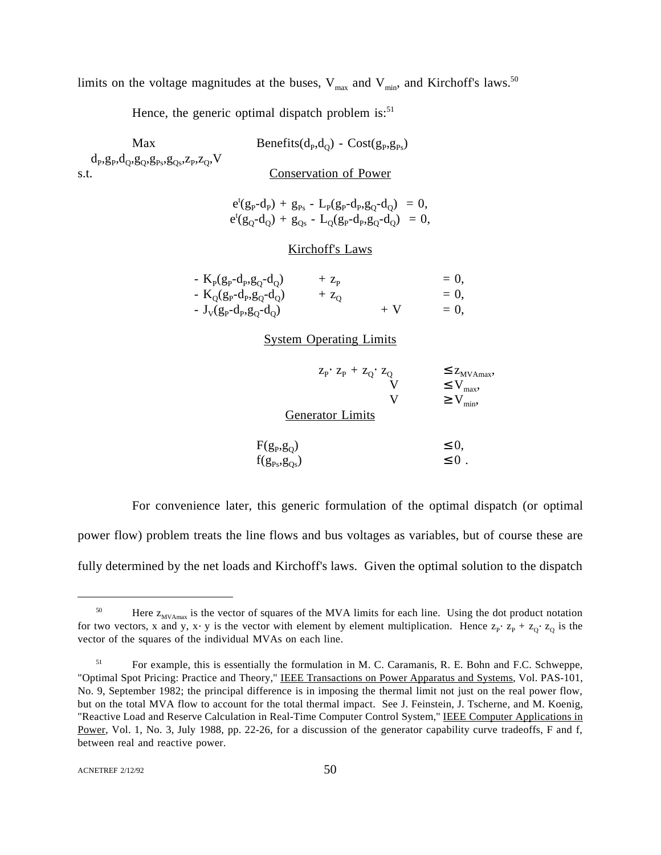limits on the voltage magnitudes at the buses,  $V_{max}$  and  $V_{min}$ , and Kirchoff's laws.<sup>50</sup>

Hence, the generic optimal dispatch problem is: $51$ 

Max Benefits $(d_p, d_q)$  - Cost $(g_p, g_{p_s})$  $d_p, g_p, d_0, g_0, g_{Ps}, g_{Os}, z_p, z_0, V$ s.t. Conservation of Power  $e^{t}(g_{p}-d_{p}) + g_{p_{s}} - L_{p}(g_{p}-d_{p},g_{Q}-d_{Q}) = 0,$  $e^{t}(g_{Q}-d_{Q}) + g_{Qs} - L_{Q}(g_{P}-d_{P},g_{Q}-d_{Q}) = 0,$ Kirchoff's Laws -  $K_P(g_P - d_P, g_Q - d_Q)$  +  $z_P$  = 0, -  $K_Q(g_P - d_P, g_Q - d_Q)$  +  $z_Q$  = 0, -  $J_V(g_P - d_P, g_Q - d_Q)$  + V = 0, System Operating Limits

|                                      | $Z_P$ $Z_P$ + $Z_Q$ $Z_Q$<br><b>Generator Limits</b> | $\leq$ Z <sub>MVAmax</sub> ,<br>$\leq V_{\text{max}}$<br>$\geq V_{min}$ |
|--------------------------------------|------------------------------------------------------|-------------------------------------------------------------------------|
| $F(g_P, g_Q)$<br>$f(g_{Ps}, g_{Os})$ |                                                      | $\leq 0$ ,<br>$\leq 0$                                                  |

For convenience later, this generic formulation of the optimal dispatch (or optimal power flow) problem treats the line flows and bus voltages as variables, but of course these are fully determined by the net loads and Kirchoff's laws. Given the optimal solution to the dispatch

<sup>&</sup>lt;sup>50</sup> Here  $z_{MVAmax}$  is the vector of squares of the MVA limits for each line. Using the dot product notation for two vectors, x and y, x⋅ y is the vector with element by element multiplication. Hence  $z_p$ ⋅  $z_p$  +  $z_Q$ ⋅  $z_Q$  is the vector of the squares of the individual MVAs on each line.

 <sup>51</sup> For example, this is essentially the formulation in M. C. Caramanis, R. E. Bohn and F.C. Schweppe, "Optimal Spot Pricing: Practice and Theory," IEEE Transactions on Power Apparatus and Systems, Vol. PAS-101, No. 9, September 1982; the principal difference is in imposing the thermal limit not just on the real power flow, but on the total MVA flow to account for the total thermal impact. See J. Feinstein, J. Tscherne, and M. Koenig, "Reactive Load and Reserve Calculation in Real-Time Computer Control System," IEEE Computer Applications in Power, Vol. 1, No. 3, July 1988, pp. 22-26, for a discussion of the generator capability curve tradeoffs, F and f, between real and reactive power.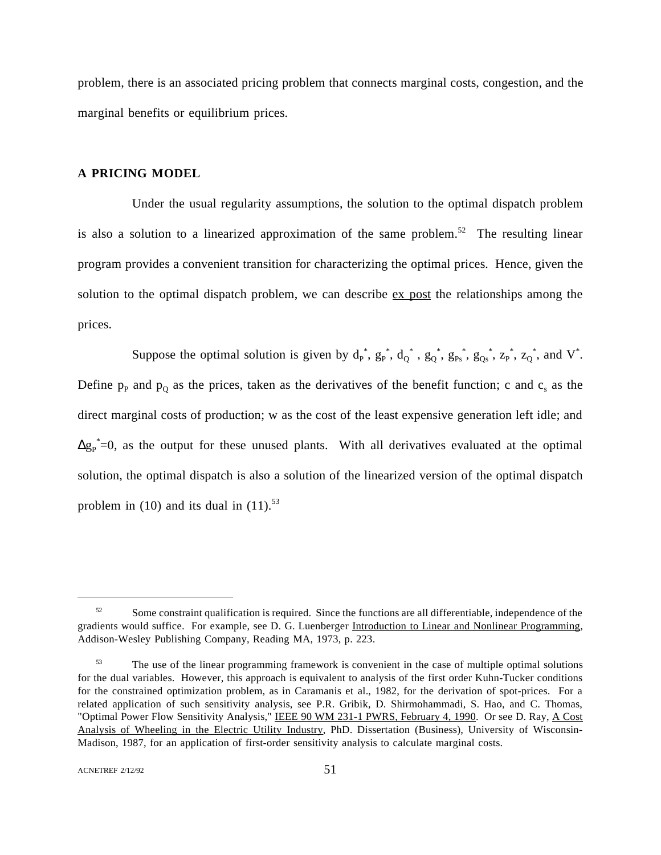problem, there is an associated pricing problem that connects marginal costs, congestion, and the marginal benefits or equilibrium prices.

### **A PRICING MODEL**

Under the usual regularity assumptions, the solution to the optimal dispatch problem is also a solution to a linearized approximation of the same problem.<sup>52</sup> The resulting linear program provides a convenient transition for characterizing the optimal prices. Hence, given the solution to the optimal dispatch problem, we can describe ex post the relationships among the prices.

Suppose the optimal solution is given by  $d_p^*$ ,  $g_p^*$ ,  $d_Q^*$ ,  $g_Q^*$ ,  $g_{p_s}^*$ ,  $g_{Q_s}^*$ ,  $z_p^*$ ,  $z_q^*$ , and V<sup>\*</sup>. Define  $p<sub>p</sub>$  and  $p<sub>Q</sub>$  as the prices, taken as the derivatives of the benefit function; c and c<sub>s</sub> as the direct marginal costs of production; w as the cost of the least expensive generation left idle; and  $\Delta g_{\rm p}$ <sup>\*</sup>=0, as the output for these unused plants. With all derivatives evaluated at the optimal solution, the optimal dispatch is also a solution of the linearized version of the optimal dispatch problem in (10) and its dual in  $(11).$ <sup>53</sup>

<sup>&</sup>lt;sup>52</sup> Some constraint qualification is required. Since the functions are all differentiable, independence of the gradients would suffice. For example, see D. G. Luenberger Introduction to Linear and Nonlinear Programming, Addison-Wesley Publishing Company, Reading MA, 1973, p. 223.

<sup>&</sup>lt;sup>53</sup> The use of the linear programming framework is convenient in the case of multiple optimal solutions for the dual variables. However, this approach is equivalent to analysis of the first order Kuhn-Tucker conditions for the constrained optimization problem, as in Caramanis et al., 1982, for the derivation of spot-prices. For a related application of such sensitivity analysis, see P.R. Gribik, D. Shirmohammadi, S. Hao, and C. Thomas, "Optimal Power Flow Sensitivity Analysis," IEEE 90 WM 231-1 PWRS, February 4, 1990. Or see D. Ray, A Cost Analysis of Wheeling in the Electric Utility Industry, PhD. Dissertation (Business), University of Wisconsin-Madison, 1987, for an application of first-order sensitivity analysis to calculate marginal costs.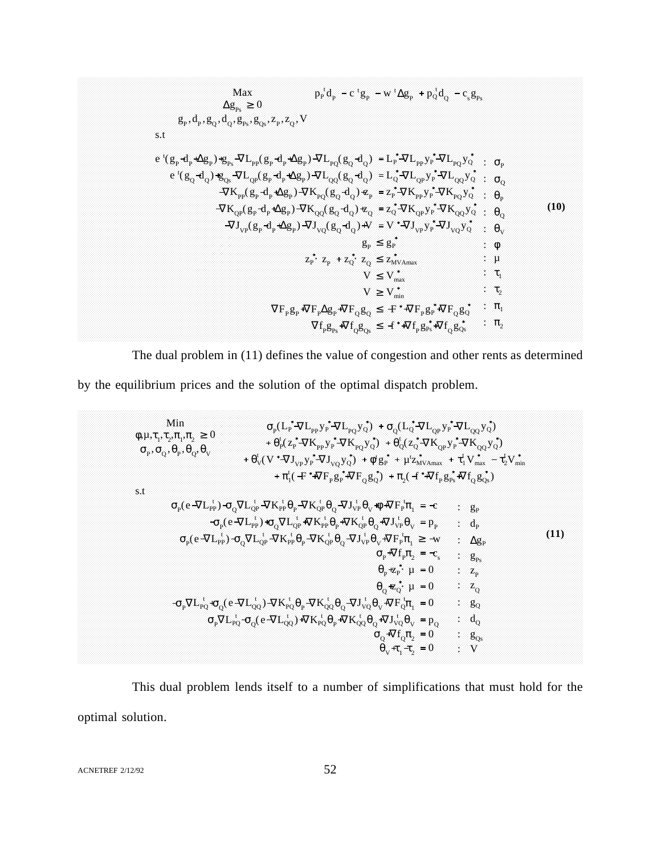$$
\begin{array}{llll} \text{Max} & p_{P}{}^{i}d_{P} - c \, {}^{i}g_{P} - w \, {}^{i}\Delta g_{P} + p_{Q}{}^{i}d_{Q} - c_{s}g_{Ps} \\ & \Delta g_{Ps} \geq 0 \\ & g_{P} , d_{P} , g_{Q} , d_{Q} , g_{Ps} , g_{Qs} , z_{P} , z_{Q} , V \\ & s.t & \\ & e \, {}^{i}(g_{P} \cdot d_{P} \cdot \Delta g_{P} ) \cdot g_{Ps} \cdot \nabla L_{PP}(g_{P} \cdot d_{P} \cdot \Delta g_{P} ) \cdot \nabla L_{PQ}(g_{Q} \cdot d_{Q}) = L_{P}{}^{*} \cdot \nabla L_{PP} y_{P}{}^{*} \cdot \nabla L_{PQ} y_{Q}{}^{*} \quad : & \sigma_{P} \\ & e \, {}^{i}(g_{Q} \cdot d_{Q}) \cdot g_{Qs} \cdot \nabla L_{QP}(g_{P} \cdot d_{P} \cdot \Delta g_{P}) \cdot \nabla L_{QQ}(g_{Q} \cdot d_{Q}) = L_{Q}{}^{*} \cdot \nabla L_{QP} y_{P}{}^{*} \cdot \nabla L_{QQ} y_{Q}{}^{*} \quad : & \sigma_{Q} \\ & \cdot \nabla K_{PP}(g_{P} \cdot d_{P} \cdot \Delta g_{P}) \cdot \nabla K_{PQ}(g_{Q} \cdot d_{Q}) \cdot \nabla_{P} = z_{P}{}^{*} \cdot \nabla K_{PP} y_{P}{}^{*} \cdot \nabla K_{PQ} y_{Q}{}^{*} \quad : & \theta_{P} \\ & \cdot \nabla K_{QP}(g_{P} \cdot d_{P} \cdot \Delta g_{P}) \cdot \nabla K_{QQ}(g_{Q} \cdot d_{Q}) \cdot \nabla_{Q} = z_{Q}{}^{*} \cdot \nabla K_{QP} y_{P}{}^{*} \cdot \nabla J_{VQ} y_{Q}{}^{*} \quad : & \theta_{Q} \\ & \cdot \nabla J_{Vp}(g_{P} \cdot d_{P} \cdot \Delta g_{P}) \cdot \nabla J_{VQ}(g_{Q} \cdot d_{Q}) \cdot \nabla = V \cdot \nabla J_{Vp} y_{P}{}^{*} \cdot \nabla J_{VQ} y_{Q}{}^{*} \quad : & \theta_{Q} \\ & g_{P} \leq g_{P}{}^{*} \
$$

The dual problem in (11) defines the value of congestion and other rents as determined

by the equilibrium prices and the solution of the optimal dispatch problem.

$$
\begin{array}{lll}\n\text{Min} & \sigma_{p}(L_{p}^{*}\text{-}\!\mathbf{V}L_{pp}\textbf{y}_{p}^{*}\text{-}\!\mathbf{V}L_{pQ}\textbf{y}_{Q}^{*}) + \sigma_{Q}(L_{Q}^{*}\text{-}\!\mathbf{V}L_{qp}\textbf{y}_{p}^{*}\text{-}\!\mathbf{V}L_{QQ}\textbf{y}_{Q}^{*}) \\
& \phi_{\mu},\sigma_{Q},\theta_{p},\theta_{Q},\theta_{V} & + \theta_{p}^{t}(z_{p}^{*}\text{-}\!\mathbf{V}K_{pp}\textbf{y}_{p}^{*}\text{-}\!\mathbf{V}K_{pQ}\textbf{y}_{Q}^{*}) + \theta_{Q}^{t}(z_{Q}^{*}\text{-}\!\mathbf{V}K_{QP}\textbf{y}_{p}^{*}\text{-}\!\mathbf{V}K_{QQ}\textbf{y}_{Q}^{*}) \\
& & \sigma_{p},\sigma_{Q},\theta_{p},\theta_{Q},\theta_{V} & + \theta_{V}^{t}(Y^{*}\text{-}\!\mathbf{V}_{yp}\textbf{y}_{p}^{*}\text{-}\!\mathbf{V}K_{pQ}\textbf{y}_{Q}^{*}) + \theta_{V}^{t}\textbf{g}_{p}^{*} + \mu_{Z_{M\text{M}_{M\text{max}}}^{t}\text{y}_{L_{M\text{max}}}^{t}\text{y}_{L_{M\text{max}}}^{t}\text{y}_{L_{M\text{min}}}^{*} \\
& & \sigma_{p}(e-\!\nabla L_{pp}^{*}) - \sigma_{Q}\nabla L_{QP}^{*}\text{-}\!\mathbf{V}K_{QP}^{*}\theta_{p} - \nabla K_{QP}^{*}\theta_{Q} - \nabla L_{VP}^{*}\theta_{V}\text{D}K_{QP}^{*}\text{D}W_{QP}^{*}\text{D}V_{QP}^{*}\text{D}V_{QP}^{*}\text{D}V_{QP}^{*}\text{D}V_{QP}^{*}\text{D}V_{QP}^{*}\text{D}V_{QP}^{*}\text{D}V_{QP}^{*}\text{D}V_{QP}^{*}\text{D}V_{QP}^{*}\text{D}V_{QP}^{*}\text{D}V_{QP}^{*}\text{D}V_{QP}^{*}\text{D}V_{QP}^{*}\text{D}V_{QP}^{*}\text{D}V_{QP}^{*}\text{D}V_{QP}^{*}\text{D}V_{QP}^{*}\text{D
$$

This dual problem lends itself to a number of simplifications that must hold for the optimal solution.

ACNETREF 2/12/92 52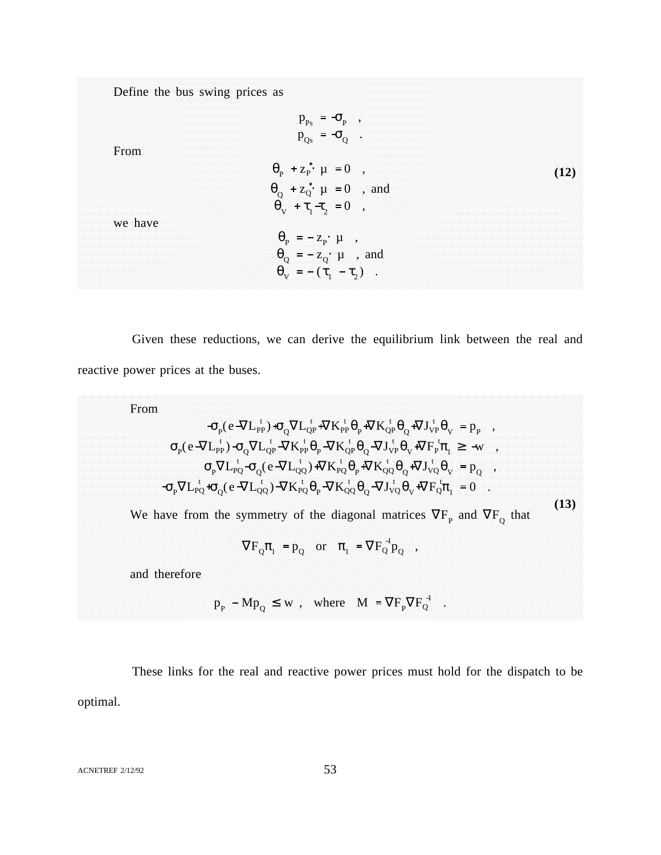Define the bus swing prices as

|         | $p_{Ps} = \sigma_{P}$ ,                                  |      |
|---------|----------------------------------------------------------|------|
| From    | $p_{Qs} = -\sigma_Q$ .                                   |      |
|         | $\theta_{\rm p}$ + $z_{\rm p}$ , $\mu$ = 0,              | (12) |
|         | $\theta_0$ + $z_0^*$ , $\mu$ = 0, and                    |      |
|         | $\theta_{\rm v}$ + $\tau_{\rm i}$ + $\tau_{\rm o}$ = 0 , |      |
| we have | $\theta_{\rm p}$ = $z_{\rm p}$ $\mu$ ,                   |      |
|         | $\theta_0 = -z_0$ ; $\mu$ , and                          |      |
|         | $\theta_{\rm v}$ = $-(\tau_{1} - \tau_{2})$ .            |      |

Given these reductions, we can derive the equilibrium link between the real and reactive power prices at the buses.

From

$$
\sigma_{p}(e\text{-}VL_{pp}^{+})\text{H}_{Q}V L_{QP}^{+}\text{-}NK_{PP}^{+}\theta_{p}\text{-}NK_{QP}^{+}\theta_{Q}\text{-}V J_{VP}^{+}\theta_{V}=p_{p}\ ,\newline\sigma_{p}(e\text{-}VL_{pp}^{+})\text{-} \sigma_{Q}V L_{QP}^{+}\text{-}NK_{PP}^{+}\theta_{p}\text{-}VK_{QP}^{+}\theta_{Q}\text{-}V J_{VP}^{+}\theta_{V}\text{-}NF_{p}^{+}\pi_{1}\geq -w\ ,\newline\sigma_{p}V L_{PQ}^{+}\text{-} \sigma_{Q}(e\text{-}VL_{QQ}^{+})\text{-}NK_{PQ}^{+}\theta_{p}\text{-}NK_{QQ}^{+}\theta_{Q}\text{-}VI_{VQ}^{+}\theta_{V}=p_{Q}\ ,\newline\sigma_{p}V L_{PQ}^{+}\text{-} \sigma_{Q}(e\text{-}VL_{QQ}^{+})\text{-}VK_{PQ}^{+}\theta_{p}\text{-}Y K_{QQ}^{+}\theta_{Q}\text{-}VI_{VQ}^{+}\theta_{V}\text{-}VF_{Q}^{+}\pi_{1}=0\ .\newline\tag{13}
$$

We have from the symmetry of the diagonal matrices  $\nabla F_p$  and  $\nabla F_q$  that

$$
\nabla F_{Q} \pi_1 = p_Q \quad \text{or} \quad \pi_1 = \nabla F_{Q}^{-1} p_Q \quad ,
$$

and therefore

$$
p_{p} - Mp_{Q} \leq w , \text{ where } M = \nabla F_{p} \nabla F_{Q}^{-1} .
$$

These links for the real and reactive power prices must hold for the dispatch to be optimal.

ACNETREF 2/12/92 53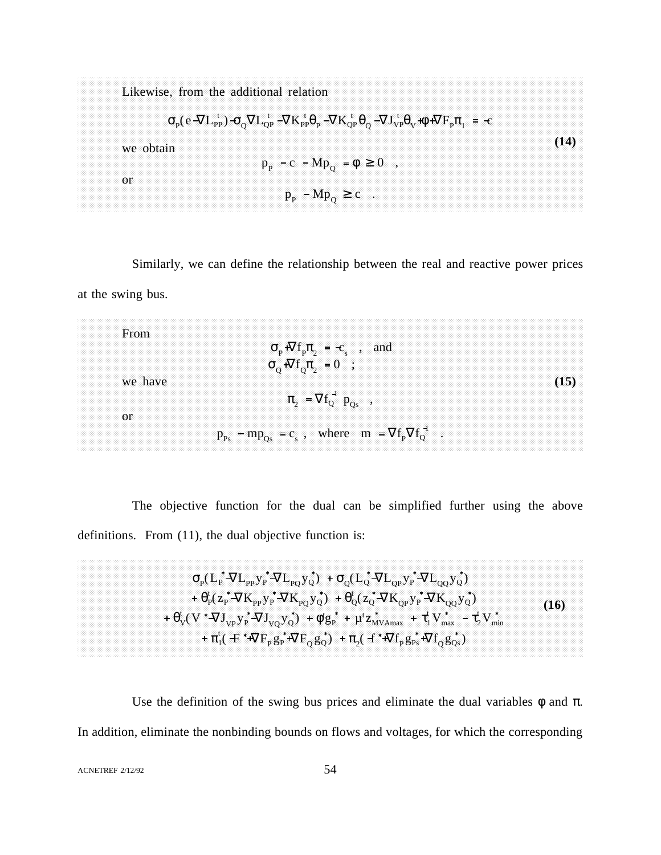Likewise, from the additional relation  
\n
$$
\sigma_{p}(e-\nabla L_{pp}^{t})-\sigma_{Q}\nabla L_{QP}^{t} - \nabla K_{pp}^{t}\theta_{p} - \nabla K_{QP}^{t}\theta_{Q} - \nabla J_{VP}^{t}\theta_{V} + \nabla F_{p}\pi_{1} = -c
$$
\nwe obtain  
\n
$$
p_{p} - c - Mp_{Q} = \phi \ge 0,
$$
\nor  
\n
$$
p_{p} - Mp_{Q} \ge c.
$$
\n(14)

Similarly, we can define the relationship between the real and reactive power prices at the swing bus.

From  
\n
$$
\sigma_{p} \cdot \nabla f_{p} \pi_{2} = -c_{s} , \text{ and}
$$
\n
$$
\sigma_{Q} \cdot \nabla f_{Q} \pi_{2} = 0 ;
$$
\nwe have  
\n
$$
\pi_{2} = \nabla f_{Q}^{-1} p_{Q_{S}} ,
$$
\nor  
\n
$$
p_{p_{S}} - mp_{Q_{S}} = c_{s} , \text{ where } m = \nabla f_{p} \nabla f_{Q}^{-1} .
$$
\n(15)

The objective function for the dual can be simplified further using the above definitions. From (11), the dual objective function is:

$$
\sigma_{p}(L_{p}^{*}\nabla L_{pp}y_{p}^{*}\nabla L_{pq}y_{Q}^{*}) + \sigma_{Q}(L_{Q}^{*}\nabla L_{QP}y_{p}^{*}\nabla L_{QQ}y_{Q}^{*}) \n+ \theta_{p}^{i}(z_{p}^{*}\nabla K_{pp}y_{p}^{*}\nabla K_{pq}y_{Q}^{*}) + \theta_{Q}^{i}(z_{Q}^{*}\nabla K_{QP}y_{p}^{*}\nabla K_{QQ}y_{Q}^{*}) \n+ \theta_{v}^{i}(V^{*}\nabla J_{vp}y_{p}^{*}\nabla J_{vQ}y_{Q}^{*}) + \phi_{Bp}^{i} + \mu^{i}z_{MV_{Amax}}^{*} + \tau_{1}^{i}V_{max}^{*} - \tau_{2}^{i}V_{min}^{*} \n+ \pi_{1}^{i}(F^{*}\nabla F_{p}g_{p}^{*}\nabla F_{Q}g_{Q}^{*}) + \pi_{2}(F^{*}\nabla F_{p}g_{p}^{*}\nabla F_{Q}g_{Q}^{*})
$$
\n(16)

Use the definition of the swing bus prices and eliminate the dual variables  $\phi$  and  $\pi$ . In addition, eliminate the nonbinding bounds on flows and voltages, for which the corresponding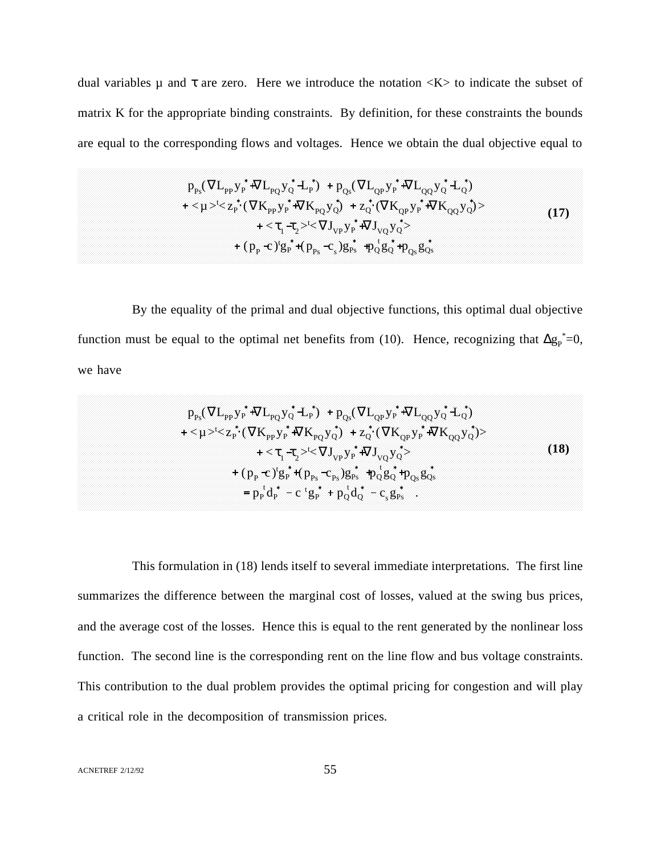dual variables  $\mu$  and  $\tau$  are zero. Here we introduce the notation  $\langle K \rangle$  to indicate the subset of matrix K for the appropriate binding constraints. By definition, for these constraints the bounds are equal to the corresponding flows and voltages. Hence we obtain the dual objective equal to

$$
p_{P_{S}}(\nabla L_{PP} y_{P}^{\dagger} + \nabla L_{PQ} y_{Q}^{\dagger} + P_{PQ_{S}}(\nabla L_{QP} y_{P}^{\dagger} + \nabla L_{QQ} y_{Q}^{\dagger} + L_{Q}^{\dagger})
$$
  
+ $<\mu$ > $<sup>*</sup> ( $\nabla K_{PP} y_{P}^{\dagger} + \nabla K_{PQ} y_{Q}^{\dagger}) + z_{Q}^{\dagger} (\nabla K_{QP} y_{P}^{\dagger} + \nabla K_{QQ} y_{Q}^{\dagger}) >+ $<\tau_{1} + \tau_{2}$ > $<\nabla J_{VP} y_{P}^{\dagger} + \nabla J_{VQ} y_{Q}^{\dagger}$   
+ $(p_{P} + c)^{t} g_{P}^{\dagger} + (p_{P_{S}} - c_{s}) g_{P_{S}}^{\dagger} + p_{Q}^{\dagger} g_{Q}^{\dagger} + p_{Q_{S}} g_{Q_{S}}^{\dagger}$  (17)$$ 

By the equality of the primal and dual objective functions, this optimal dual objective function must be equal to the optimal net benefits from (10). Hence, recognizing that  $\Delta g_{P}^{\dagger} = 0$ , we have

$$
p_{ps}(\nabla L_{pp} y_{p} \cdot \nabla L_{pq} y_{Q} \cdot L_{p}) + p_{QS}(\nabla L_{QP} y_{p} \cdot \nabla L_{QQ} y_{Q} \cdot L_{Q})
$$
  
+
$$
\langle \mu \rangle^{\prime} \langle z_{p} \cdot (\nabla K_{pp} y_{p} \cdot \nabla K_{pq} y_{Q}) + z_{Q}^{\prime} (\nabla K_{QP} y_{p} \cdot \nabla K_{QQ} y_{Q}) \rangle
$$
  
+
$$
\langle \tau_{1} \cdot \tau_{2} \rangle^{\prime} \langle \nabla J_{VP} y_{p} \cdot \nabla J_{VQ} y_{Q} \rangle
$$
  
+
$$
(p_{p} \cdot \tau)_{gp}^{\prime} \cdot \tau_{1}^{*} (p_{p_{s}} \cdot c_{p_{s}})_{gp_{s}^{*}} \cdot \tau_{1}^{*} (g_{Q} \cdot \tau_{Q_{s}} g_{Q_{s}} \cdot
$$
  
= 
$$
p_{p}^{\prime} d_{p} \cdot \tau_{Q}^{\prime} \cdot \tau_{1}^{*} + p_{Q}^{\prime} d_{Q}^{\tau} \cdot c_{s} g_{p_{s}} \quad .
$$
 (18)

This formulation in (18) lends itself to several immediate interpretations. The first line summarizes the difference between the marginal cost of losses, valued at the swing bus prices, and the average cost of the losses. Hence this is equal to the rent generated by the nonlinear loss function. The second line is the corresponding rent on the line flow and bus voltage constraints. This contribution to the dual problem provides the optimal pricing for congestion and will play a critical role in the decomposition of transmission prices.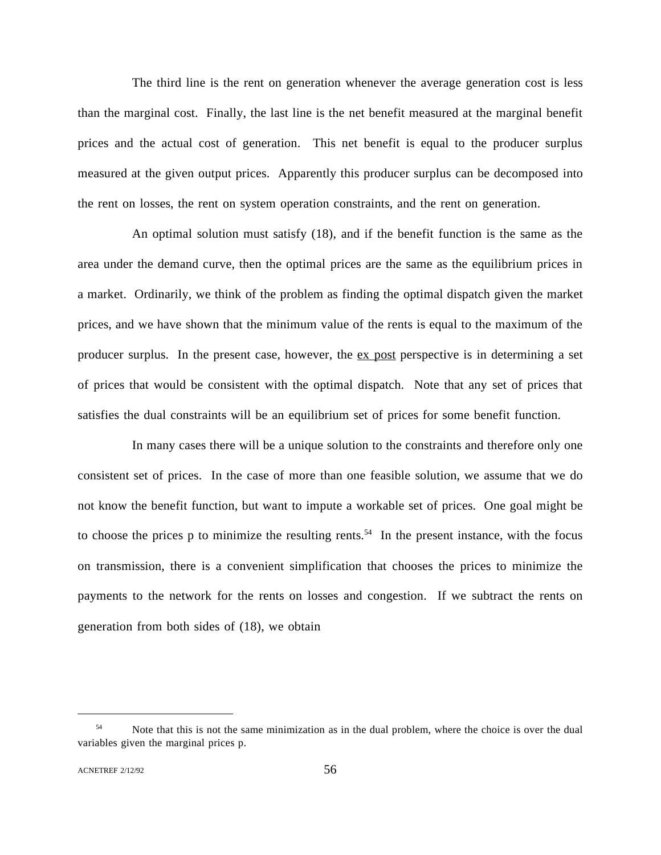The third line is the rent on generation whenever the average generation cost is less than the marginal cost. Finally, the last line is the net benefit measured at the marginal benefit prices and the actual cost of generation. This net benefit is equal to the producer surplus measured at the given output prices. Apparently this producer surplus can be decomposed into the rent on losses, the rent on system operation constraints, and the rent on generation.

An optimal solution must satisfy (18), and if the benefit function is the same as the area under the demand curve, then the optimal prices are the same as the equilibrium prices in a market. Ordinarily, we think of the problem as finding the optimal dispatch given the market prices, and we have shown that the minimum value of the rents is equal to the maximum of the producer surplus. In the present case, however, the ex post perspective is in determining a set of prices that would be consistent with the optimal dispatch. Note that any set of prices that satisfies the dual constraints will be an equilibrium set of prices for some benefit function.

In many cases there will be a unique solution to the constraints and therefore only one consistent set of prices. In the case of more than one feasible solution, we assume that we do not know the benefit function, but want to impute a workable set of prices. One goal might be to choose the prices p to minimize the resulting rents.<sup>54</sup> In the present instance, with the focus on transmission, there is a convenient simplification that chooses the prices to minimize the payments to the network for the rents on losses and congestion. If we subtract the rents on generation from both sides of (18), we obtain

 <sup>54</sup> Note that this is not the same minimization as in the dual problem, where the choice is over the dual variables given the marginal prices p.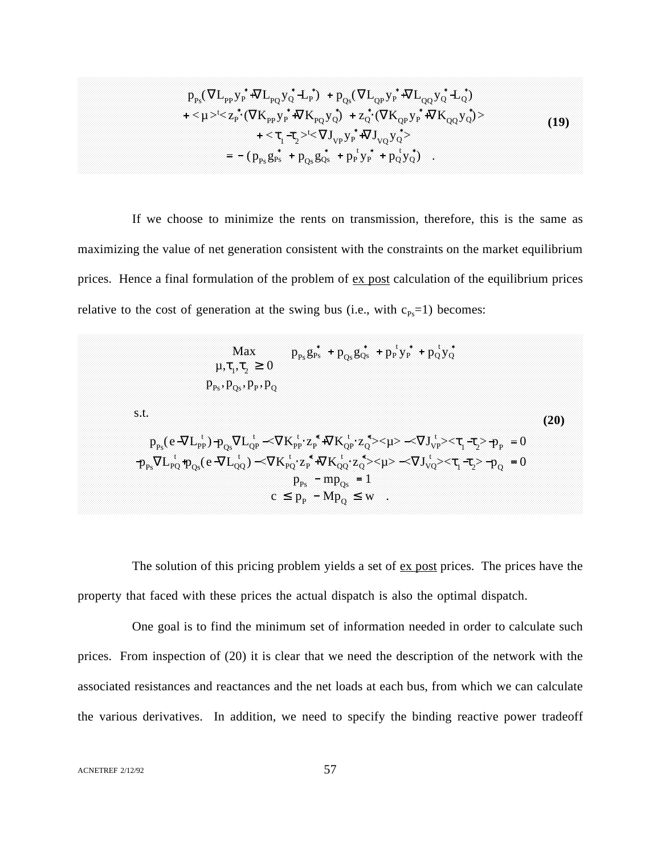$$
p_{p_{s}}(\nabla L_{pp} y_{p}^{*} + \nabla L_{p_{Q}} y_{Q}^{*} + p_{p}^{*}) + p_{Q_{s}}(\nabla L_{QP} y_{p}^{*} + \nabla L_{QQ} y_{Q}^{*} + p_{Q}^{*})
$$
  
+
$$
\langle \mu \rangle^{\langle} z_{p}^{*} (\nabla K_{pp} y_{p}^{*} + \nabla K_{pq} y_{Q}) + z_{Q}^{*} (\nabla K_{qp} y_{p}^{*} + \nabla K_{QQ} y_{Q}^{*}) \rangle
$$
  
+
$$
\langle \tau_{1} \cdot \tau_{2} \rangle^{\langle} \langle \nabla J_{pp} y_{p}^{*} + \nabla J_{VQ} y_{Q}^{*} \rangle
$$
  
= 
$$
-(p_{p_{s}} g_{p_{s}}^{*} + p_{Q_{s}} g_{Q_{s}}^{*} + p_{p}^{*} y_{p}^{*} + p_{Q}^{*} y_{Q}^{*})
$$
 (19)

If we choose to minimize the rents on transmission, therefore, this is the same as maximizing the value of net generation consistent with the constraints on the market equilibrium prices. Hence a final formulation of the problem of ex post calculation of the equilibrium prices relative to the cost of generation at the swing bus (i.e., with  $c_{\text{Ps}}=1$ ) becomes:

$$
\begin{array}{ll}\n\text{Max} & p_{p_{8}}g_{p_{8}}^{*} + p_{Q_{8}}g_{Q_{8}}^{*} + p_{P_{8}}^{*}y_{p}^{*} + p_{Q}^{*}y_{Q}^{*} \\
& p_{p_{8}}, p_{Q_{8}}, p_{P}, p_{Q} \\
\text{s.t.} & \text{sn.} \\
\text{s.t.} & p_{p_{8}}(e-\nabla L_{pp}^{*}) - p_{Q_{8}}\nabla L_{QP}^{*} < \nabla K_{pp}^{*}z_{p}^{*} + \nabla K_{QP}^{*}z_{Q}^{*} < \mu > \sqrt{U_{VP}} < \tau_{1} + \tau_{2} > \tau_{P} = 0 \\
& p_{p_{8}}\nabla L_{p_{Q}}^{*} + p_{Q_{8}}(e-\nabla L_{Q_{Q}}^{*}) < \nabla K_{p_{Q}}^{*}z_{p}^{*} + \nabla K_{Q_{Q}}^{*}z_{Q}^{*} < \mu > \sqrt{U_{VQ}} < \tau_{1} + \tau_{2} > \tau_{Q} = 0 \\
& p_{p_{8}} - mp_{Q_{8}} = 1 & \text{c} \leq p_{p} - \text{Mp}_{Q} \leq w\n\end{array} \tag{20}
$$

The solution of this pricing problem yields a set of  $ex$  post prices. The prices have the property that faced with these prices the actual dispatch is also the optimal dispatch.

One goal is to find the minimum set of information needed in order to calculate such prices. From inspection of (20) it is clear that we need the description of the network with the associated resistances and reactances and the net loads at each bus, from which we can calculate the various derivatives. In addition, we need to specify the binding reactive power tradeoff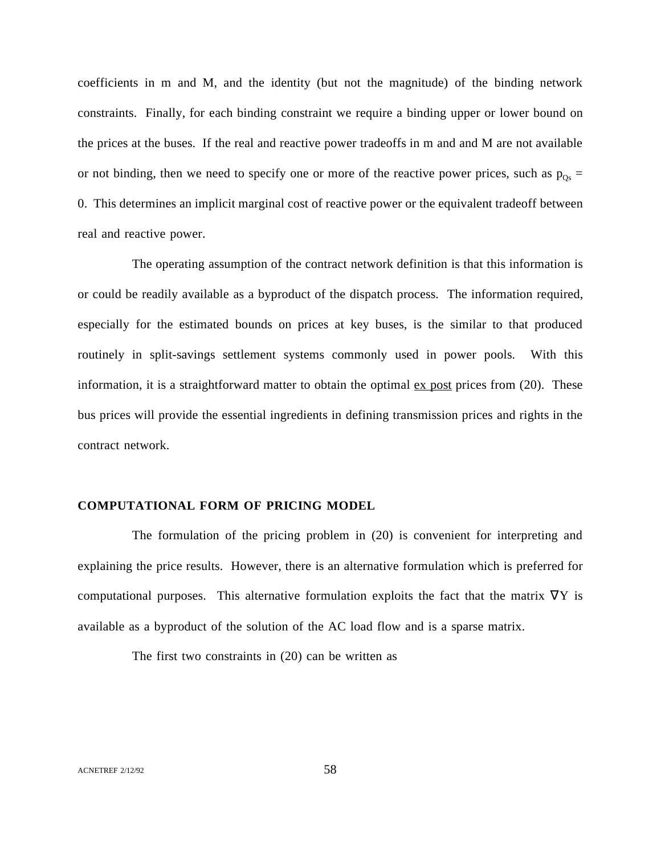coefficients in m and M, and the identity (but not the magnitude) of the binding network constraints. Finally, for each binding constraint we require a binding upper or lower bound on the prices at the buses. If the real and reactive power tradeoffs in m and and M are not available or not binding, then we need to specify one or more of the reactive power prices, such as  $p_{Qs}$  = 0. This determines an implicit marginal cost of reactive power or the equivalent tradeoff between real and reactive power.

The operating assumption of the contract network definition is that this information is or could be readily available as a byproduct of the dispatch process. The information required, especially for the estimated bounds on prices at key buses, is the similar to that produced routinely in split-savings settlement systems commonly used in power pools. With this information, it is a straightforward matter to obtain the optimal  $ex$  post prices from (20). These bus prices will provide the essential ingredients in defining transmission prices and rights in the contract network.

# **COMPUTATIONAL FORM OF PRICING MODEL**

The formulation of the pricing problem in (20) is convenient for interpreting and explaining the price results. However, there is an alternative formulation which is preferred for computational purposes. This alternative formulation exploits the fact that the matrix  $\nabla$ Y is available as a byproduct of the solution of the AC load flow and is a sparse matrix.

The first two constraints in (20) can be written as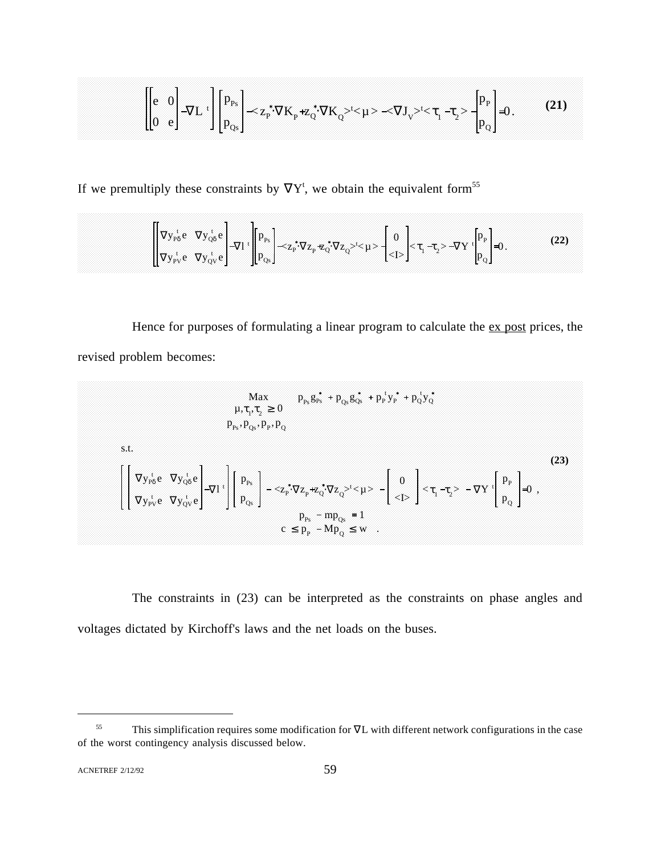$$
\begin{bmatrix} \begin{bmatrix} e & 0 \\ 0 & e \end{bmatrix} - \nabla L \end{bmatrix} \begin{bmatrix} p_{p_s} \\ p_{\mathbb{Q}_s} \end{bmatrix} < z_p^* \nabla K_p + z_Q^* \nabla K_Q > \langle \mu \rangle < \nabla J_V > \langle \tau_1 - \tau_2 \rangle < \frac{p_p}{p_Q} \end{bmatrix} \neq 0. \tag{21}
$$

If we premultiply these constraints by  $\nabla Y^t$ , we obtain the equivalent form<sup>55</sup>

$$
\begin{bmatrix}\n\nabla y_{\text{p}_{\delta}}^{\dagger} e & \nabla y_{\text{q}_{\delta}}^{\dagger} e \\
\nabla y_{\text{p}_{\delta}}^{\dagger} e & \nabla y_{\text{q}_{\delta}}^{\dagger} e\n\end{bmatrix} - \nabla l^{\dagger} \begin{bmatrix}\np_{\text{p}_{\delta}} \\
P_{\text{q}_{\delta}}\n\end{bmatrix} < z_{\text{p}}^{\dagger} \nabla z_{\text{p}}^{\dagger} \nabla z_{\text{q}}^{\dagger} \nabla z_{\text{q}}^{\dagger} \nabla z_{\text{q}} > -\nabla l^{\dagger} \begin{bmatrix}\n\sigma_{\text{p}} \\
\sigma_{\text{p}}\n\end{bmatrix} = 0.
$$
\n(22)

Hence for purposes of formulating a linear program to calculate the ex post prices, the revised problem becomes:

$$
\begin{array}{ll}\n&\text{Max} & p_{P_8}g_{P_8}^* + p_{Q_8}g_{Q_8}^* + p_{P_8}^+ y_{P}^+ + p_{Q}^+ y_{Q}^+ \\
& & p_{P_8}, p_{Q_8}, p_{P_9}, p_{Q} \\
& & p_{P_8}, p_{Q_8}, p_{P_9}, p_{Q} \\
& & & \left[\begin{bmatrix} \nabla y_{P_8}^* e & \nabla y_{Q_8}^* e \\ \nabla y_{P_8}^* e & \nabla y_{Q_8}^* e \end{bmatrix} - \nabla l \cdot \begin{bmatrix} \n\end{bmatrix} \begin{bmatrix} p_{P_8} \\ p_{Q_8} \end{bmatrix} - \langle z_{P}^* \nabla z_{P}^* + z_{Q}^* \nabla z_{Q}^* \langle z_{P} \rangle - \begin{bmatrix} 0 \\ & & \langle z_{P} \rangle \end{bmatrix} \langle z_{P_8} - \langle z_{P} \rangle - \nabla l \cdot \begin{bmatrix} \n\end{bmatrix} \begin{bmatrix} p_{P_8} \\ p_{Q_8} \end{bmatrix} = 0 ,\n\end{array}
$$
\n(23)

The constraints in (23) can be interpreted as the constraints on phase angles and voltages dictated by Kirchoff's laws and the net loads on the buses.

 <sup>55</sup> This simplification requires some modification for ∇L with different network configurations in the case of the worst contingency analysis discussed below.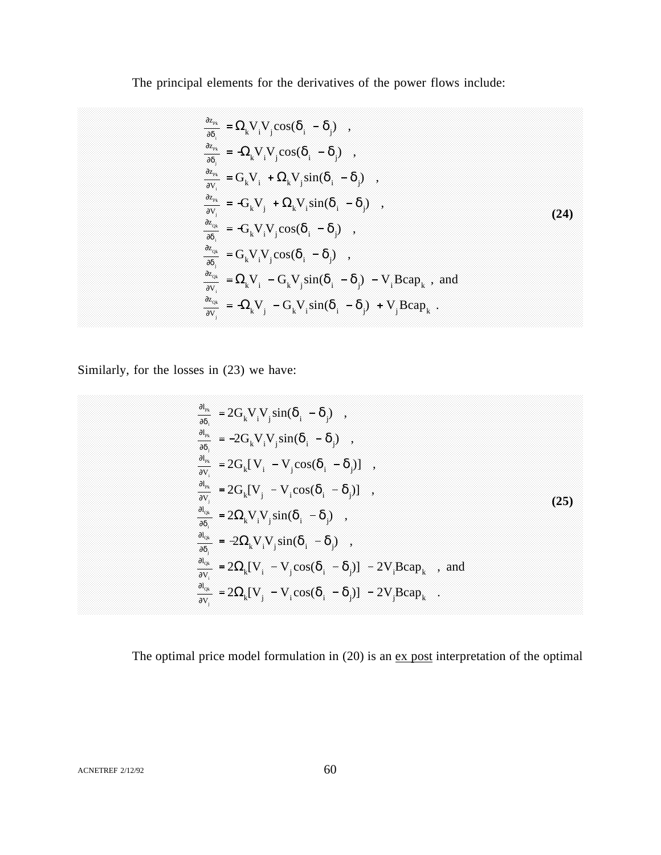The principal elements for the derivatives of the power flows include:

$$
\frac{\partial z_{\mu_k}}{\partial \delta_i} = \Omega_k V_i V_j \cos(\delta_i - \delta_j) ,
$$
\n
$$
\frac{\partial z_{\mu_k}}{\partial \delta_i} = -\Omega_k V_i V_j \cos(\delta_i - \delta_j) ,
$$
\n
$$
\frac{\partial z_{\mu_k}}{\partial V_i} = G_k V_i + \Omega_k V_j \sin(\delta_i - \delta_j) ,
$$
\n
$$
\frac{\partial z_{\mu_k}}{\partial V_i} = -G_k V_j + \Omega_k V_i \sin(\delta_i - \delta_j) ,
$$
\n
$$
\frac{\partial z_{\mu_k}}{\partial \delta_i} = -G_k V_i V_j \cos(\delta_i - \delta_j) ,
$$
\n
$$
\frac{\partial z_{\mu_k}}{\partial \delta_i} = G_k V_i V_j \cos(\delta_i - \delta_j) ,
$$
\n
$$
\frac{\partial z_{\mu_k}}{\partial V_i} = \Omega_k V_i - G_k V_j \sin(\delta_i - \delta_j) - V_i B \text{cap}_k , \text{ and}
$$
\n
$$
\frac{\partial z_{\mu_k}}{\partial V_i} = -\Omega_k V_j - G_k V_i \sin(\delta_i - \delta_j) + V_j B \text{cap}_k .
$$
\n(24)

Similarly, for the losses in (23) we have:

$$
\frac{\partial I_{n_i}}{\partial \delta_i} = 2G_k V_i V_j \sin(\delta_i - \delta_j) ,
$$
\n
$$
\frac{\partial I_{n_i}}{\partial \delta_i} = -2G_k V_i V_j \sin(\delta_i - \delta_j) ,
$$
\n
$$
\frac{\partial I_{n_i}}{\partial V_i} = 2G_k [V_i - V_j \cos(\delta_i - \delta_j)] ,
$$
\n
$$
\frac{\partial I_{n_i}}{\partial V_i} = 2G_k [V_j - V_i \cos(\delta_i - \delta_j)] ,
$$
\n
$$
\frac{\partial I_{n_i}}{\partial \delta_i} = 2\Omega_k V_i V_j \sin(\delta_i - \delta_j) ,
$$
\n
$$
\frac{\partial I_{n_i}}{\partial \delta_i} = -2\Omega_k V_i V_j \sin(\delta_i - \delta_j) ,
$$
\n
$$
\frac{\partial I_{n_i}}{\partial V_i} = 2\Omega_k [V_i - V_j \cos(\delta_i - \delta_j)] - 2V_j B \cos p_k ,
$$
\nand\n
$$
\frac{\partial I_{n_i}}{\partial V_i} = 2\Omega_k [V_j - V_i \cos(\delta_i - \delta_j)] - 2V_j B \cos p_k .
$$
\n(25)

The optimal price model formulation in (20) is an ex post interpretation of the optimal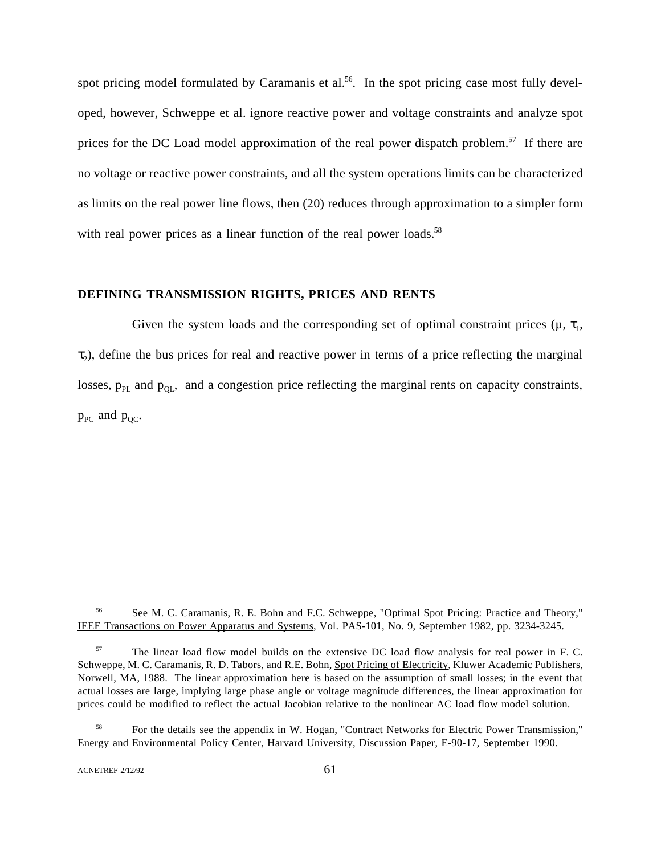spot pricing model formulated by Caramanis et al.<sup>56</sup>. In the spot pricing case most fully developed, however, Schweppe et al. ignore reactive power and voltage constraints and analyze spot prices for the DC Load model approximation of the real power dispatch problem.<sup>57</sup> If there are no voltage or reactive power constraints, and all the system operations limits can be characterized as limits on the real power line flows, then (20) reduces through approximation to a simpler form with real power prices as a linear function of the real power loads.<sup>58</sup>

# **DEFINING TRANSMISSION RIGHTS, PRICES AND RENTS**

Given the system loads and the corresponding set of optimal constraint prices  $(\mu, \tau_1)$ ,  $\tau_2$ ), define the bus prices for real and reactive power in terms of a price reflecting the marginal losses,  $p_{PL}$  and  $p_{OL}$ , and a congestion price reflecting the marginal rents on capacity constraints,  $p_{PC}$  and  $p_{OC}$ .

 <sup>56</sup> See M. C. Caramanis, R. E. Bohn and F.C. Schweppe, "Optimal Spot Pricing: Practice and Theory," IEEE Transactions on Power Apparatus and Systems, Vol. PAS-101, No. 9, September 1982, pp. 3234-3245.

The linear load flow model builds on the extensive DC load flow analysis for real power in F. C. Schweppe, M. C. Caramanis, R. D. Tabors, and R.E. Bohn, Spot Pricing of Electricity, Kluwer Academic Publishers, Norwell, MA, 1988. The linear approximation here is based on the assumption of small losses; in the event that actual losses are large, implying large phase angle or voltage magnitude differences, the linear approximation for prices could be modified to reflect the actual Jacobian relative to the nonlinear AC load flow model solution.

 <sup>58</sup> For the details see the appendix in W. Hogan, "Contract Networks for Electric Power Transmission," Energy and Environmental Policy Center, Harvard University, Discussion Paper, E-90-17, September 1990.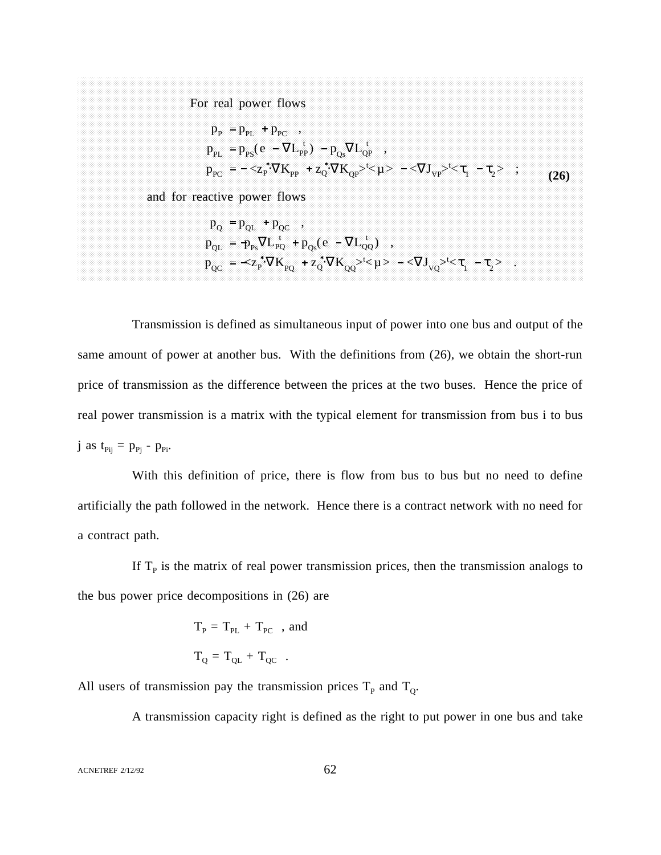For real power flows

$$
p_{p} = p_{pL} + p_{pC} ,
$$
  
\n
$$
p_{pL} = p_{pg}(e - \nabla L_{pp}^{t}) - p_{Qs} \nabla L_{QP}^{t} ,
$$
  
\n
$$
p_{pC} = -\langle z_{p}^{*} \nabla K_{pp} + z_{Q}^{*} \nabla K_{QP} \rangle^{t} \langle \mu \rangle - \langle \nabla J_{VP} \rangle^{t} \langle \tau_{1} - \tau_{2} \rangle ;
$$
 (26)

and for reactive power flows

$$
p_{Q} = p_{QL} + p_{QC} ,
$$
  
\n
$$
p_{QL} = p_{Ps} \nabla L_{PQ}^{+1} + p_{Qs} (e - \nabla L_{QQ}^{+}) ,
$$
  
\n
$$
p_{QC} = \langle z_{P}^{*} \nabla K_{PQ} + z_{Q}^{*} \nabla K_{QQ} \rangle \langle \mu \rangle - \langle \nabla J_{VQ} \rangle \langle \tau_{1} - \tau_{2} \rangle .
$$

Transmission is defined as simultaneous input of power into one bus and output of the same amount of power at another bus. With the definitions from (26), we obtain the short-run price of transmission as the difference between the prices at the two buses. Hence the price of real power transmission is a matrix with the typical element for transmission from bus i to bus j as  $t_{Pij} = p_{Pj} - p_{Pi}$ .

With this definition of price, there is flow from bus to bus but no need to define artificially the path followed in the network. Hence there is a contract network with no need for a contract path.

If  $T<sub>p</sub>$  is the matrix of real power transmission prices, then the transmission analogs to the bus power price decompositions in (26) are

$$
T_{P} = T_{PL} + T_{PC} , \text{ and}
$$
  

$$
T_{Q} = T_{QL} + T_{QC} .
$$

All users of transmission pay the transmission prices  $T_{\text{P}}$  and  $T_{\text{Q}}$ .

A transmission capacity right is defined as the right to put power in one bus and take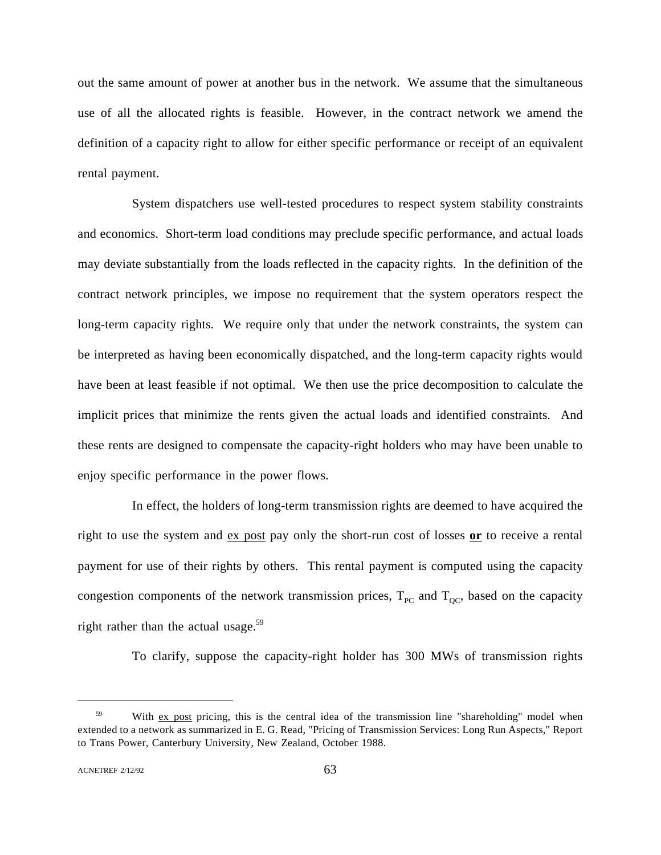out the same amount of power at another bus in the network. We assume that the simultaneous use of all the allocated rights is feasible. However, in the contract network we amend the definition of a capacity right to allow for either specific performance or receipt of an equivalent rental payment.

System dispatchers use well-tested procedures to respect system stability constraints and economics. Short-term load conditions may preclude specific performance, and actual loads may deviate substantially from the loads reflected in the capacity rights. In the definition of the contract network principles, we impose no requirement that the system operators respect the long-term capacity rights. We require only that under the network constraints, the system can be interpreted as having been economically dispatched, and the long-term capacity rights would have been at least feasible if not optimal. We then use the price decomposition to calculate the implicit prices that minimize the rents given the actual loads and identified constraints. And these rents are designed to compensate the capacity-right holders who may have been unable to enjoy specific performance in the power flows.

In effect, the holders of long-term transmission rights are deemed to have acquired the right to use the system and ex post pay only the short-run cost of losses **or** to receive a rental payment for use of their rights by others. This rental payment is computed using the capacity congestion components of the network transmission prices,  $T_{PC}$  and  $T_{OC}$ , based on the capacity right rather than the actual usage. $59$ 

To clarify, suppose the capacity-right holder has 300 MWs of transmission rights

<sup>&</sup>lt;sup>59</sup> With ex post pricing, this is the central idea of the transmission line "shareholding" model when extended to a network as summarized in E. G. Read, "Pricing of Transmission Services: Long Run Aspects," Report to Trans Power, Canterbury University, New Zealand, October 1988.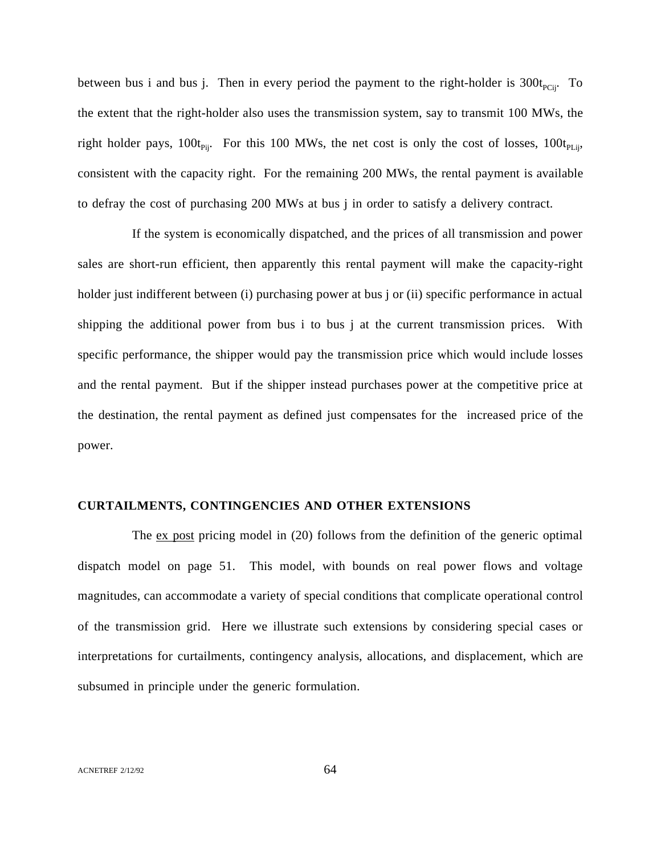between bus i and bus j. Then in every period the payment to the right-holder is  $300t_{PCi}$ . To the extent that the right-holder also uses the transmission system, say to transmit 100 MWs, the right holder pays,  $100t_{pi}$ . For this 100 MWs, the net cost is only the cost of losses,  $100t_{pi}$ ; consistent with the capacity right. For the remaining 200 MWs, the rental payment is available to defray the cost of purchasing 200 MWs at bus j in order to satisfy a delivery contract.

If the system is economically dispatched, and the prices of all transmission and power sales are short-run efficient, then apparently this rental payment will make the capacity-right holder just indifferent between (i) purchasing power at bus j or (ii) specific performance in actual shipping the additional power from bus i to bus j at the current transmission prices. With specific performance, the shipper would pay the transmission price which would include losses and the rental payment. But if the shipper instead purchases power at the competitive price at the destination, the rental payment as defined just compensates for the increased price of the power.

#### **CURTAILMENTS, CONTINGENCIES AND OTHER EXTENSIONS**

The ex post pricing model in (20) follows from the definition of the generic optimal dispatch model on page 51. This model, with bounds on real power flows and voltage magnitudes, can accommodate a variety of special conditions that complicate operational control of the transmission grid. Here we illustrate such extensions by considering special cases or interpretations for curtailments, contingency analysis, allocations, and displacement, which are subsumed in principle under the generic formulation.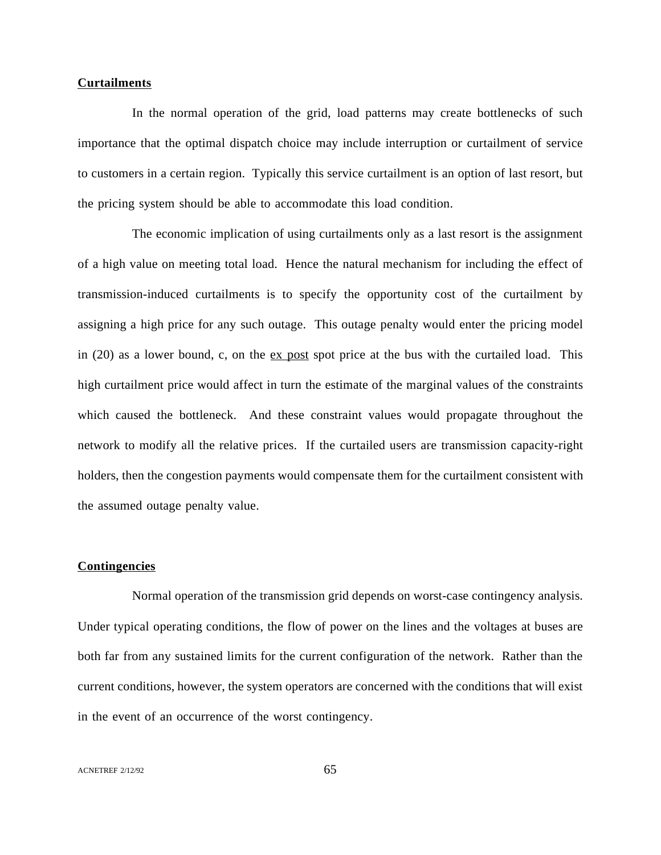# **Curtailments**

In the normal operation of the grid, load patterns may create bottlenecks of such importance that the optimal dispatch choice may include interruption or curtailment of service to customers in a certain region. Typically this service curtailment is an option of last resort, but the pricing system should be able to accommodate this load condition.

The economic implication of using curtailments only as a last resort is the assignment of a high value on meeting total load. Hence the natural mechanism for including the effect of transmission-induced curtailments is to specify the opportunity cost of the curtailment by assigning a high price for any such outage. This outage penalty would enter the pricing model in (20) as a lower bound, c, on the ex post spot price at the bus with the curtailed load. This high curtailment price would affect in turn the estimate of the marginal values of the constraints which caused the bottleneck. And these constraint values would propagate throughout the network to modify all the relative prices. If the curtailed users are transmission capacity-right holders, then the congestion payments would compensate them for the curtailment consistent with the assumed outage penalty value.

### **Contingencies**

Normal operation of the transmission grid depends on worst-case contingency analysis. Under typical operating conditions, the flow of power on the lines and the voltages at buses are both far from any sustained limits for the current configuration of the network. Rather than the current conditions, however, the system operators are concerned with the conditions that will exist in the event of an occurrence of the worst contingency.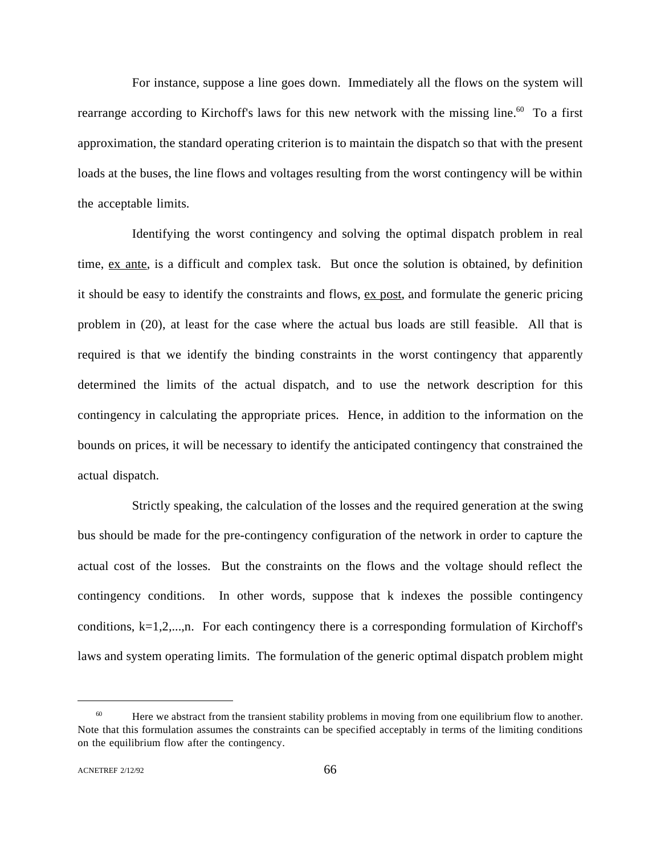For instance, suppose a line goes down. Immediately all the flows on the system will rearrange according to Kirchoff's laws for this new network with the missing line.<sup>60</sup> To a first approximation, the standard operating criterion is to maintain the dispatch so that with the present loads at the buses, the line flows and voltages resulting from the worst contingency will be within the acceptable limits.

Identifying the worst contingency and solving the optimal dispatch problem in real time, ex ante, is a difficult and complex task. But once the solution is obtained, by definition it should be easy to identify the constraints and flows, ex post, and formulate the generic pricing problem in (20), at least for the case where the actual bus loads are still feasible. All that is required is that we identify the binding constraints in the worst contingency that apparently determined the limits of the actual dispatch, and to use the network description for this contingency in calculating the appropriate prices. Hence, in addition to the information on the bounds on prices, it will be necessary to identify the anticipated contingency that constrained the actual dispatch.

Strictly speaking, the calculation of the losses and the required generation at the swing bus should be made for the pre-contingency configuration of the network in order to capture the actual cost of the losses. But the constraints on the flows and the voltage should reflect the contingency conditions. In other words, suppose that k indexes the possible contingency conditions, k=1,2,...,n. For each contingency there is a corresponding formulation of Kirchoff's laws and system operating limits. The formulation of the generic optimal dispatch problem might

<sup>&</sup>lt;sup>60</sup> Here we abstract from the transient stability problems in moving from one equilibrium flow to another. Note that this formulation assumes the constraints can be specified acceptably in terms of the limiting conditions on the equilibrium flow after the contingency.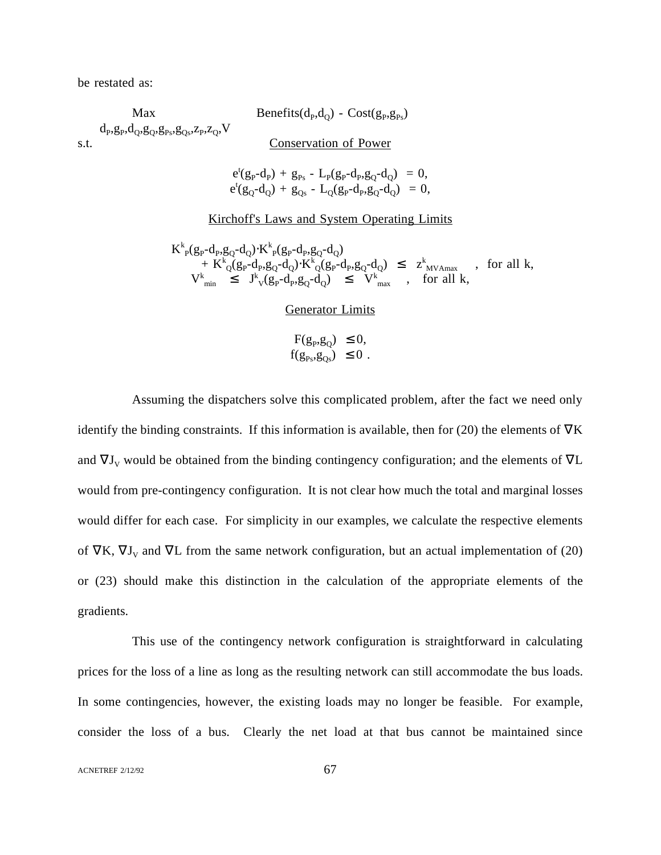be restated as:

Max Benefits $(d_P, d_Q)$  - Cost $(g_P, g_{P_S})$  $d_p, g_p, d_0, g_0, g_{p_s}, g_{0s}, z_p, z_0, V$ s.t. Conservation of Power  $e^{t}(g_{p}-d_{p}) + g_{p_{s}} - L_{p}(g_{p}-d_{p},g_{Q}-d_{Q}) = 0,$  $e^{t}(g_{Q}-d_{Q}) + g_{Qs} - L_{Q}(g_{P}-d_{P},g_{Q}-d_{Q}) = 0,$ Kirchoff's Laws and System Operating Limits  $K_{P}^{k}(g_{p}-d_{p},g_{Q}-d_{Q})\cdot K_{P}^{k}(g_{p}-d_{p},g_{Q}-d_{Q})$ 

 $+ K_{Q}^{k}(g_{P}-d_{P},g_{Q}-d_{Q}) \cdot K_{Q}^{k}(g_{P}-d_{P},g_{Q}-d_{Q}) \leq z_{MV_{AMax}}^{k}$ , for all k,  $V_{\min}^k \leq J_{\nu}^k(g_P - d_P, g_Q - d_Q) \leq V_{\max}^k$ , for all k,

Generator Limits

 $F(g_P, g_Q) \leq 0$ ,  $f(g_{Ps}, g_{Os}) \leq 0$ .

Assuming the dispatchers solve this complicated problem, after the fact we need only identify the binding constraints. If this information is available, then for (20) the elements of  $\nabla K$ and  $\nabla J_v$  would be obtained from the binding contingency configuration; and the elements of  $\nabla L$ would from pre-contingency configuration. It is not clear how much the total and marginal losses would differ for each case. For simplicity in our examples, we calculate the respective elements of  $\nabla K$ ,  $\nabla J_v$  and  $\nabla L$  from the same network configuration, but an actual implementation of (20) or (23) should make this distinction in the calculation of the appropriate elements of the gradients.

This use of the contingency network configuration is straightforward in calculating prices for the loss of a line as long as the resulting network can still accommodate the bus loads. In some contingencies, however, the existing loads may no longer be feasible. For example, consider the loss of a bus. Clearly the net load at that bus cannot be maintained since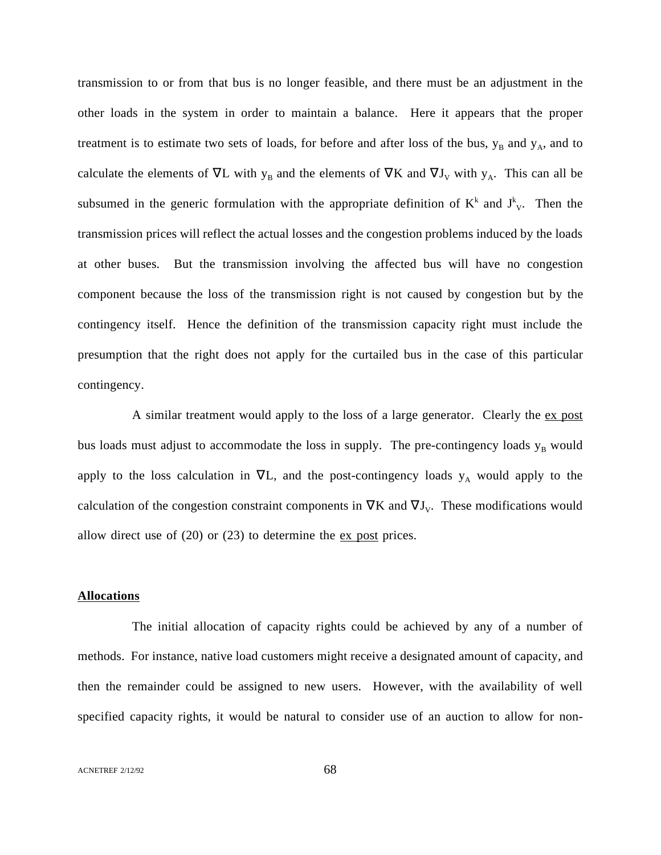transmission to or from that bus is no longer feasible, and there must be an adjustment in the other loads in the system in order to maintain a balance. Here it appears that the proper treatment is to estimate two sets of loads, for before and after loss of the bus,  $y_B$  and  $y_A$ , and to calculate the elements of  $\nabla L$  with  $y_B$  and the elements of  $\nabla K$  and  $\nabla J_v$  with  $y_A$ . This can all be subsumed in the generic formulation with the appropriate definition of  $K^k$  and  $J^k_{\;V}$ . Then the transmission prices will reflect the actual losses and the congestion problems induced by the loads at other buses. But the transmission involving the affected bus will have no congestion component because the loss of the transmission right is not caused by congestion but by the contingency itself. Hence the definition of the transmission capacity right must include the presumption that the right does not apply for the curtailed bus in the case of this particular contingency.

A similar treatment would apply to the loss of a large generator. Clearly the ex post bus loads must adjust to accommodate the loss in supply. The pre-contingency loads  $y_B$  would apply to the loss calculation in  $\nabla L$ , and the post-contingency loads  $y_A$  would apply to the calculation of the congestion constraint components in  $\nabla K$  and  $\nabla J_v$ . These modifications would allow direct use of (20) or (23) to determine the ex post prices.

#### **Allocations**

The initial allocation of capacity rights could be achieved by any of a number of methods. For instance, native load customers might receive a designated amount of capacity, and then the remainder could be assigned to new users. However, with the availability of well specified capacity rights, it would be natural to consider use of an auction to allow for non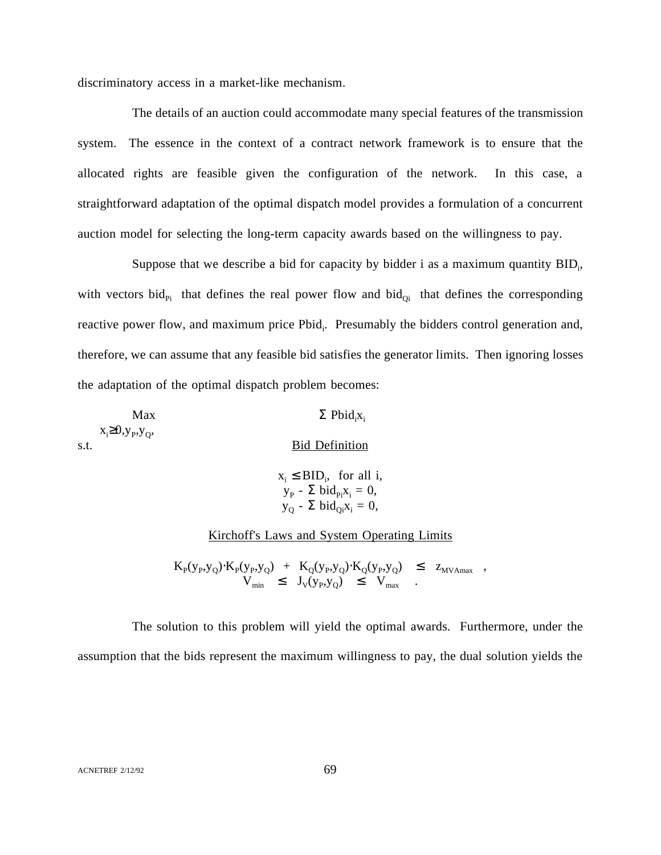discriminatory access in a market-like mechanism.

The details of an auction could accommodate many special features of the transmission system. The essence in the context of a contract network framework is to ensure that the allocated rights are feasible given the configuration of the network. In this case, a straightforward adaptation of the optimal dispatch model provides a formulation of a concurrent auction model for selecting the long-term capacity awards based on the willingness to pay.

Suppose that we describe a bid for capacity by bidder i as a maximum quantity  $BID_i$ , with vectors bid<sub>Pi</sub> that defines the real power flow and bid<sub>Oi</sub> that defines the corresponding reactive power flow, and maximum price Pbid<sub>i</sub>. Presumably the bidders control generation and, therefore, we can assume that any feasible bid satisfies the generator limits. Then ignoring losses the adaptation of the optimal dispatch problem becomes:

| Max                    | $\Sigma$ Pbid <sub>i</sub> x <sub>i</sub> |
|------------------------|-------------------------------------------|
| $x_i \ge 0, y_P, y_O,$ |                                           |
| s.t.                   | <b>Bid Definition</b>                     |

 $x_i \leq BID_i$ , for all i,  $y_P$  -  $\Sigma$  bid<sub>Pi</sub> $X_i = 0$ ,  $y_Q$  -  $\Sigma$  bid<sub>Qi</sub> $x_i = 0$ ,

Kirchoff's Laws and System Operating Limits

 $K_{p}(y_{p},y_{Q})\cdot K_{p}(y_{p},y_{Q}) + K_{Q}(y_{p},y_{Q})\cdot K_{Q}(y_{p},y_{Q}) \le z_{MV_{\text{AMax}}}$  $V_{\min} \leq J_{V}(y_{P}, y_{Q}) \leq V_{\max}$ .

The solution to this problem will yield the optimal awards. Furthermore, under the assumption that the bids represent the maximum willingness to pay, the dual solution yields the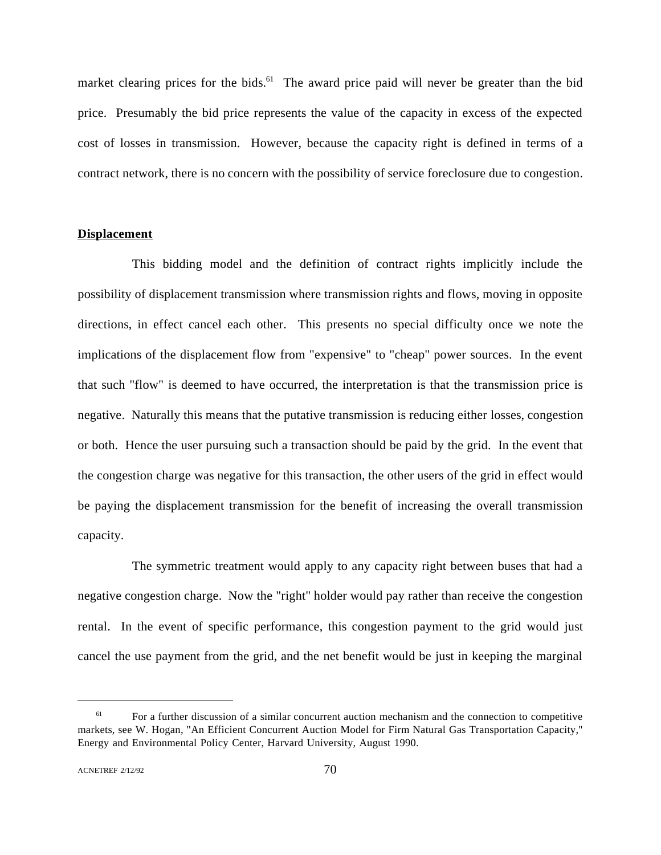market clearing prices for the bids.<sup>61</sup> The award price paid will never be greater than the bid price. Presumably the bid price represents the value of the capacity in excess of the expected cost of losses in transmission. However, because the capacity right is defined in terms of a contract network, there is no concern with the possibility of service foreclosure due to congestion.

# **Displacement**

This bidding model and the definition of contract rights implicitly include the possibility of displacement transmission where transmission rights and flows, moving in opposite directions, in effect cancel each other. This presents no special difficulty once we note the implications of the displacement flow from "expensive" to "cheap" power sources. In the event that such "flow" is deemed to have occurred, the interpretation is that the transmission price is negative. Naturally this means that the putative transmission is reducing either losses, congestion or both. Hence the user pursuing such a transaction should be paid by the grid. In the event that the congestion charge was negative for this transaction, the other users of the grid in effect would be paying the displacement transmission for the benefit of increasing the overall transmission capacity.

The symmetric treatment would apply to any capacity right between buses that had a negative congestion charge. Now the "right" holder would pay rather than receive the congestion rental. In the event of specific performance, this congestion payment to the grid would just cancel the use payment from the grid, and the net benefit would be just in keeping the marginal

<sup>&</sup>lt;sup>61</sup> For a further discussion of a similar concurrent auction mechanism and the connection to competitive markets, see W. Hogan, "An Efficient Concurrent Auction Model for Firm Natural Gas Transportation Capacity," Energy and Environmental Policy Center, Harvard University, August 1990.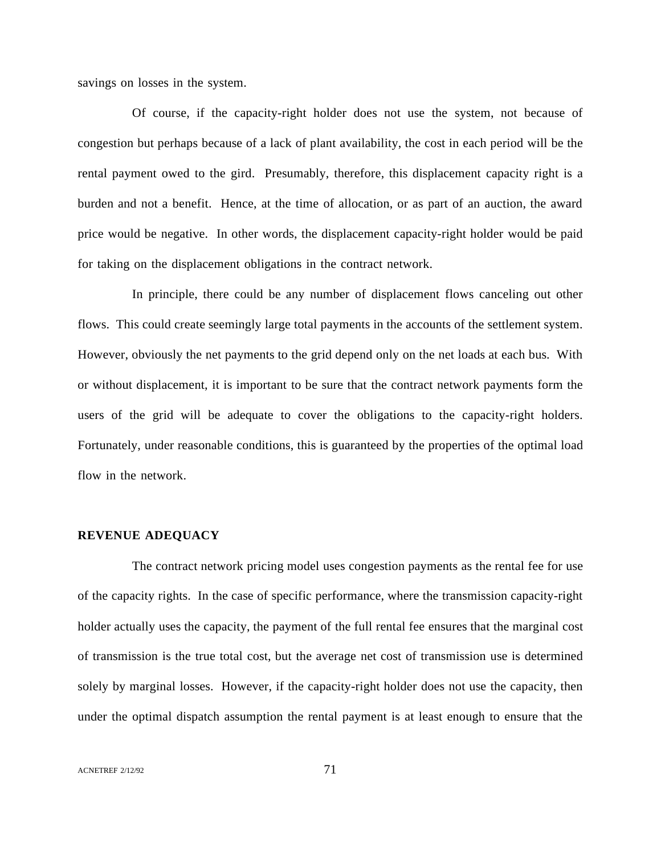savings on losses in the system.

Of course, if the capacity-right holder does not use the system, not because of congestion but perhaps because of a lack of plant availability, the cost in each period will be the rental payment owed to the gird. Presumably, therefore, this displacement capacity right is a burden and not a benefit. Hence, at the time of allocation, or as part of an auction, the award price would be negative. In other words, the displacement capacity-right holder would be paid for taking on the displacement obligations in the contract network.

In principle, there could be any number of displacement flows canceling out other flows. This could create seemingly large total payments in the accounts of the settlement system. However, obviously the net payments to the grid depend only on the net loads at each bus. With or without displacement, it is important to be sure that the contract network payments form the users of the grid will be adequate to cover the obligations to the capacity-right holders. Fortunately, under reasonable conditions, this is guaranteed by the properties of the optimal load flow in the network.

## **REVENUE ADEQUACY**

The contract network pricing model uses congestion payments as the rental fee for use of the capacity rights. In the case of specific performance, where the transmission capacity-right holder actually uses the capacity, the payment of the full rental fee ensures that the marginal cost of transmission is the true total cost, but the average net cost of transmission use is determined solely by marginal losses. However, if the capacity-right holder does not use the capacity, then under the optimal dispatch assumption the rental payment is at least enough to ensure that the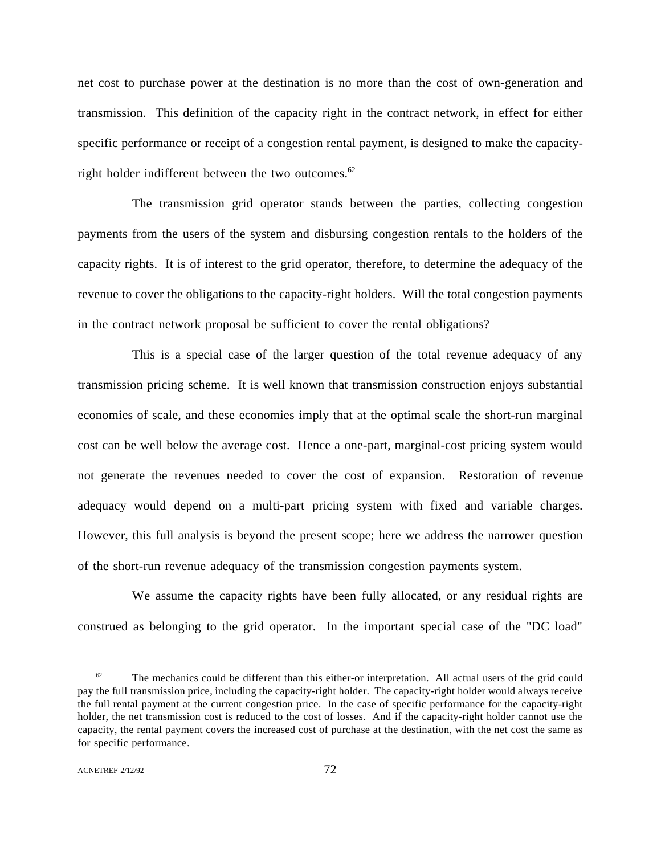net cost to purchase power at the destination is no more than the cost of own-generation and transmission. This definition of the capacity right in the contract network, in effect for either specific performance or receipt of a congestion rental payment, is designed to make the capacityright holder indifferent between the two outcomes. $62$ 

The transmission grid operator stands between the parties, collecting congestion payments from the users of the system and disbursing congestion rentals to the holders of the capacity rights. It is of interest to the grid operator, therefore, to determine the adequacy of the revenue to cover the obligations to the capacity-right holders. Will the total congestion payments in the contract network proposal be sufficient to cover the rental obligations?

This is a special case of the larger question of the total revenue adequacy of any transmission pricing scheme. It is well known that transmission construction enjoys substantial economies of scale, and these economies imply that at the optimal scale the short-run marginal cost can be well below the average cost. Hence a one-part, marginal-cost pricing system would not generate the revenues needed to cover the cost of expansion. Restoration of revenue adequacy would depend on a multi-part pricing system with fixed and variable charges. However, this full analysis is beyond the present scope; here we address the narrower question of the short-run revenue adequacy of the transmission congestion payments system.

We assume the capacity rights have been fully allocated, or any residual rights are construed as belonging to the grid operator. In the important special case of the "DC load"

 $\overline{a}$ 

 $62$  The mechanics could be different than this either-or interpretation. All actual users of the grid could pay the full transmission price, including the capacity-right holder. The capacity-right holder would always receive the full rental payment at the current congestion price. In the case of specific performance for the capacity-right holder, the net transmission cost is reduced to the cost of losses. And if the capacity-right holder cannot use the capacity, the rental payment covers the increased cost of purchase at the destination, with the net cost the same as for specific performance.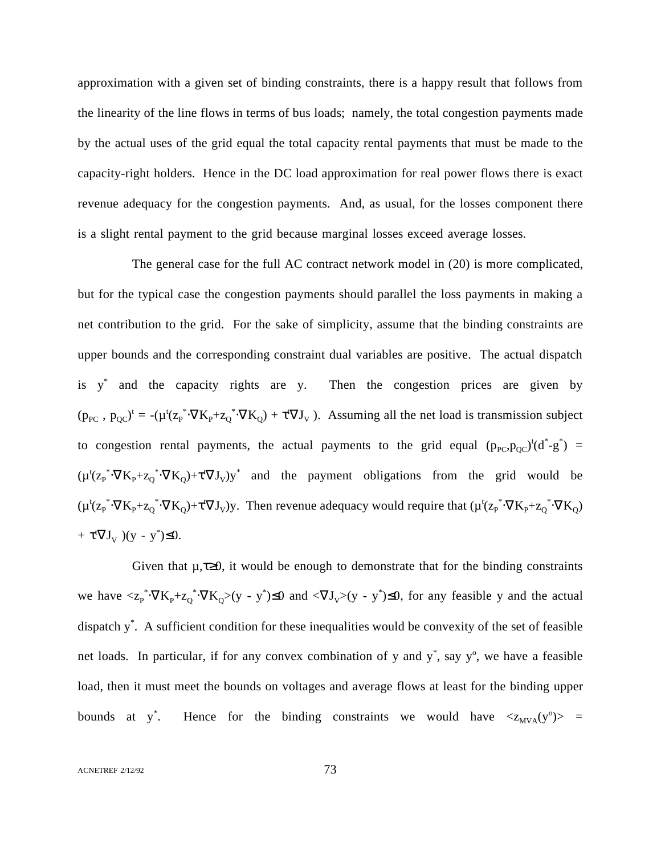approximation with a given set of binding constraints, there is a happy result that follows from the linearity of the line flows in terms of bus loads; namely, the total congestion payments made by the actual uses of the grid equal the total capacity rental payments that must be made to the capacity-right holders. Hence in the DC load approximation for real power flows there is exact revenue adequacy for the congestion payments. And, as usual, for the losses component there is a slight rental payment to the grid because marginal losses exceed average losses.

The general case for the full AC contract network model in (20) is more complicated, but for the typical case the congestion payments should parallel the loss payments in making a net contribution to the grid. For the sake of simplicity, assume that the binding constraints are upper bounds and the corresponding constraint dual variables are positive. The actual dispatch is y\* and the capacity rights are y. Then the congestion prices are given by  $(p_{PC}, p_{QC})^t = -( \mu^t (z_p^* \cdot \nabla K_p + z_Q^* \cdot \nabla K_Q) + \tau^t \nabla J_V)$ . Assuming all the net load is transmission subject to congestion rental payments, the actual payments to the grid equal  $(p_{PC}, p_{QC})^t(d^* - g^*) =$  $(\mu^t(z_p^* \cdot \nabla K_p + z_Q^* \cdot \nabla K_Q) + \tau^t \nabla J_v)y^*$  and the payment obligations from the grid would be  $(\mu^t(z_p^* \cdot \nabla K_p + z_Q^* \cdot \nabla K_Q) + \tau^t \nabla J_v)y$ . Then revenue adequacy would require that  $(\mu^t(z_p^* \cdot \nabla K_p + z_Q^* \cdot \nabla K_Q))$  $+ \tau^{\mathsf{t}} \nabla J_{V}$  )(y - y<sup>\*</sup>) $\leq 0$ .

Given that  $\mu, \tau \geq 0$ , it would be enough to demonstrate that for the binding constraints we have  $\langle z_p^* \cdot \nabla K_p + z_Q^* \cdot \nabla K_Q \rangle$  (y - y\*) $\leq 0$  and  $\langle \nabla J_v \rangle$  (y - y\*) $\leq 0$ , for any feasible y and the actual dispatch y\* . A sufficient condition for these inequalities would be convexity of the set of feasible net loads. In particular, if for any convex combination of y and  $y^*$ , say  $y^0$ , we have a feasible load, then it must meet the bounds on voltages and average flows at least for the binding upper bounds at  $y^*$ . Hence for the binding constraints we would have  $\langle z_{MVA}(y^0) \rangle$  =

ACNETREF 2/12/92 73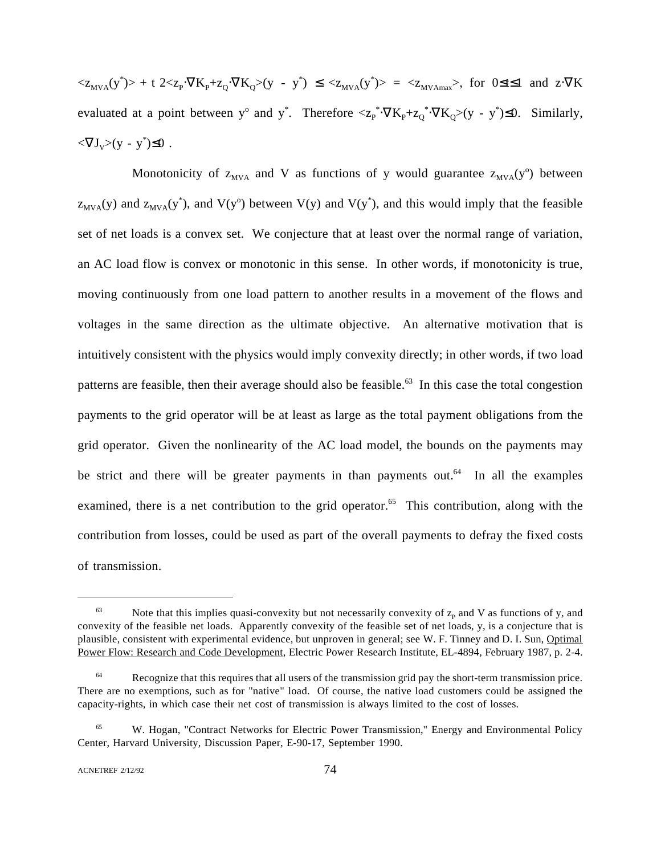$\langle z_{\text{MVA}}(y^*) \rangle + t \; 2 \langle z_{\text{P}} \cdot \nabla K_{\text{P}} + z_{\text{Q}} \cdot \nabla K_{\text{Q}} \rangle(y - y^*) \leq \langle z_{\text{MVAmax}}(y^*) \rangle = \langle z_{\text{MVAmax}} \rangle$ , for 0≤t≤1 and z $\cdot \nabla K$ evaluated at a point between y<sup>o</sup> and y<sup>\*</sup>. Therefore  $\langle z_p^{*+1} \nabla K_p + z_Q^{*+1} \nabla K_Q \rangle$  (y - y<sup>\*</sup>)  $\leq 0$ . Similarly,  $<\!\nabla J_v \!\!>\!\! (y - y^*) \!\!\leq\!\! 0$ .

Monotonicity of  $z_{MVA}$  and V as functions of y would guarantee  $z_{MVA}(y^{\circ})$  between  $z<sub>MVA</sub>(y)$  and  $z<sub>MVA</sub>(y<sup>*</sup>)$ , and  $V(y<sup>o</sup>)$  between  $V(y)$  and  $V(y<sup>*</sup>)$ , and this would imply that the feasible set of net loads is a convex set. We conjecture that at least over the normal range of variation, an AC load flow is convex or monotonic in this sense. In other words, if monotonicity is true, moving continuously from one load pattern to another results in a movement of the flows and voltages in the same direction as the ultimate objective. An alternative motivation that is intuitively consistent with the physics would imply convexity directly; in other words, if two load patterns are feasible, then their average should also be feasible.<sup>63</sup> In this case the total congestion payments to the grid operator will be at least as large as the total payment obligations from the grid operator. Given the nonlinearity of the AC load model, the bounds on the payments may be strict and there will be greater payments in than payments out. $64$  In all the examples examined, there is a net contribution to the grid operator.<sup>65</sup> This contribution, along with the contribution from losses, could be used as part of the overall payments to defray the fixed costs of transmission.

 $\overline{a}$ 

<sup>&</sup>lt;sup>63</sup> Note that this implies quasi-convexity but not necessarily convexity of  $z_p$  and V as functions of y, and convexity of the feasible net loads. Apparently convexity of the feasible set of net loads, y, is a conjecture that is plausible, consistent with experimental evidence, but unproven in general; see W. F. Tinney and D. I. Sun, Optimal Power Flow: Research and Code Development, Electric Power Research Institute, EL-4894, February 1987, p. 2-4.

Recognize that this requires that all users of the transmission grid pay the short-term transmission price. There are no exemptions, such as for "native" load. Of course, the native load customers could be assigned the capacity-rights, in which case their net cost of transmission is always limited to the cost of losses.

 <sup>65</sup> W. Hogan, "Contract Networks for Electric Power Transmission," Energy and Environmental Policy Center, Harvard University, Discussion Paper, E-90-17, September 1990.